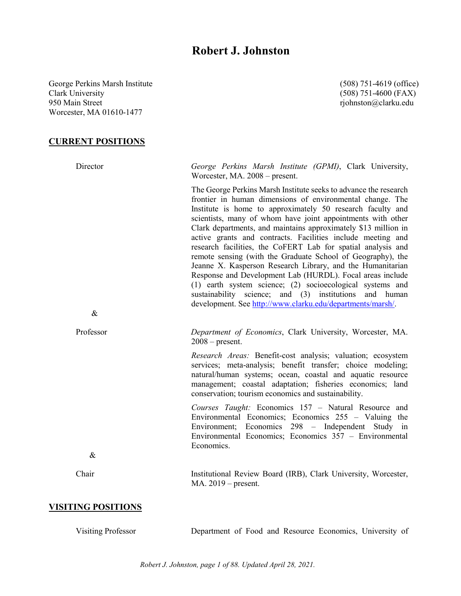# **Robert J. Johnston**

George Perkins Marsh Institute (508) 751-4619 (office) Clark University (508) 751-4600 (FAX) 950 Main Street **rights and the street rights and the street** rights and rights rights and rights and rights and rights and rights are rights and rights and rights are rights and rights are rights and rights are rights and Worcester, MA 01610-1477

**CURRENT POSITIONS**

Director *George Perkins Marsh Institute (GPMI)*, Clark University, Worcester, MA. 2008 – present. The George Perkins Marsh Institute seeks to advance the research frontier in human dimensions of environmental change. The Institute is home to approximately 50 research faculty and scientists, many of whom have joint appointments with other Clark departments, and maintains approximately \$13 million in active grants and contracts. Facilities include meeting and research facilities, the CoFERT Lab for spatial analysis and remote sensing (with the Graduate School of Geography), the Jeanne X. Kasperson Research Library, and the Humanitarian Response and Development Lab (HURDL). Focal areas include (1) earth system science; (2) socioecological systems and sustainability science; and (3) institutions and human development. See [http://www.clarku.edu/departments/marsh/.](http://www.clarku.edu/departments/marsh/) & Professor *Department of Economics*, Clark University, Worcester, MA.  $2008$  – present. *Research Areas:* Benefit-cost analysis; valuation; ecosystem services; meta-analysis; benefit transfer; choice modeling; natural/human systems; ocean, coastal and aquatic resource management; coastal adaptation; fisheries economics; land conservation; tourism economics and sustainability. *Courses Taught:* Economics 157 – Natural Resource and Environmental Economics; Economics 255 – Valuing the Environment; Economics 298 – Independent Study in Environmental Economics; Economics 357 – Environmental Economics. & Chair Institutional Review Board (IRB), Clark University, Worcester, MA. 2019 – present. **VISITING POSITIONS** 

Visiting Professor Department of Food and Resource Economics, University of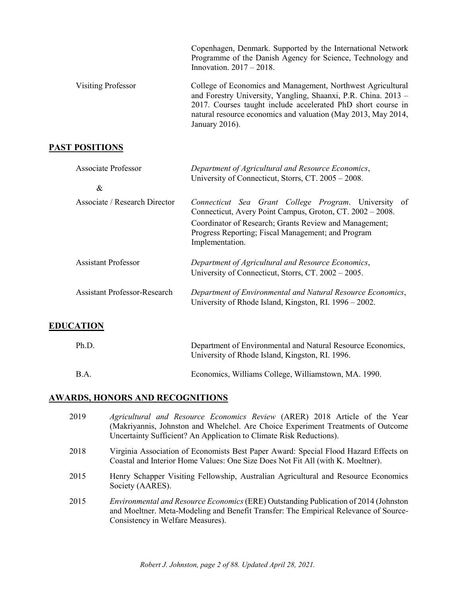|                    | Copenhagen, Denmark. Supported by the International Network<br>Programme of the Danish Agency for Science, Technology and<br>Innovation. $2017 - 2018$ .                                                                                                                            |
|--------------------|-------------------------------------------------------------------------------------------------------------------------------------------------------------------------------------------------------------------------------------------------------------------------------------|
| Visiting Professor | College of Economics and Management, Northwest Agricultural<br>and Forestry University, Yangling, Shaanxi, P.R. China. 2013 -<br>2017. Courses taught include accelerated PhD short course in<br>natural resource economics and valuation (May 2013, May 2014,<br>January $2016$ ). |

## **PAST POSITIONS**

| <b>Associate Professor</b><br>& | Department of Agricultural and Resource Economics,<br>University of Connecticut, Storrs, CT. 2005 – 2008.                       |
|---------------------------------|---------------------------------------------------------------------------------------------------------------------------------|
|                                 |                                                                                                                                 |
| Associate / Research Director   | Connecticut Sea Grant College Program. University of<br>Connecticut, Avery Point Campus, Groton, CT. 2002 - 2008.               |
|                                 | Coordinator of Research; Grants Review and Management;<br>Progress Reporting; Fiscal Management; and Program<br>Implementation. |
| <b>Assistant Professor</b>      | Department of Agricultural and Resource Economics,<br>University of Connecticut, Storrs, CT. 2002 – 2005.                       |
| Assistant Professor-Research    | Department of Environmental and Natural Resource Economics,<br>University of Rhode Island, Kingston, RI. 1996 – 2002.           |
| <b>ILITIANI</b>                 |                                                                                                                                 |

### **EDUCATION**

| Ph.D.       | Department of Environmental and Natural Resource Economics,<br>University of Rhode Island, Kingston, RI. 1996. |
|-------------|----------------------------------------------------------------------------------------------------------------|
| <b>B.A.</b> | Economics, Williams College, Williamstown, MA. 1990.                                                           |

## **AWARDS, HONORS AND RECOGNITIONS**

| 2019 | Agricultural and Resource Economics Review (ARER) 2018 Article of the Year<br>(Makriyannis, Johnston and Whelchel. Are Choice Experiment Treatments of Outcome<br>Uncertainty Sufficient? An Application to Climate Risk Reductions). |
|------|---------------------------------------------------------------------------------------------------------------------------------------------------------------------------------------------------------------------------------------|
| 2018 | Virginia Association of Economists Best Paper Award: Special Flood Hazard Effects on<br>Coastal and Interior Home Values: One Size Does Not Fit All (with K. Moeltner).                                                               |
| 2015 | Henry Schapper Visiting Fellowship, Australian Agricultural and Resource Economics<br>Society (AARES).                                                                                                                                |
| 2015 | Environmental and Resource Economics (ERE) Outstanding Publication of 2014 (Johnston<br>and Moeltner. Meta-Modeling and Benefit Transfer: The Empirical Relevance of Source-<br>Consistency in Welfare Measures).                     |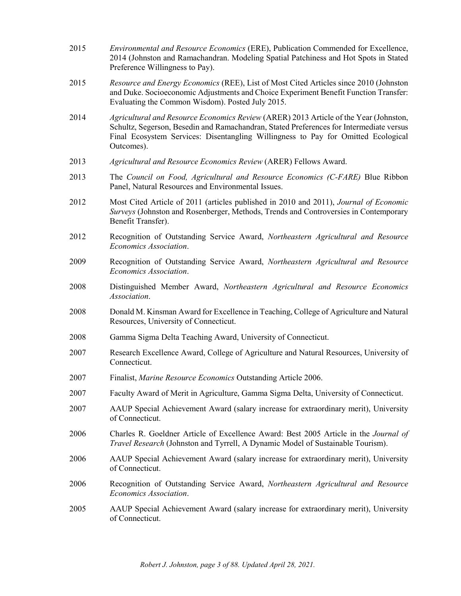| 2015 | Environmental and Resource Economics (ERE), Publication Commended for Excellence,<br>2014 (Johnston and Ramachandran. Modeling Spatial Patchiness and Hot Spots in Stated<br>Preference Willingness to Pay).                                                                        |
|------|-------------------------------------------------------------------------------------------------------------------------------------------------------------------------------------------------------------------------------------------------------------------------------------|
| 2015 | Resource and Energy Economics (REE), List of Most Cited Articles since 2010 (Johnston<br>and Duke. Socioeconomic Adjustments and Choice Experiment Benefit Function Transfer:<br>Evaluating the Common Wisdom). Posted July 2015.                                                   |
| 2014 | Agricultural and Resource Economics Review (ARER) 2013 Article of the Year (Johnston,<br>Schultz, Segerson, Besedin and Ramachandran, Stated Preferences for Intermediate versus<br>Final Ecosystem Services: Disentangling Willingness to Pay for Omitted Ecological<br>Outcomes). |
| 2013 | Agricultural and Resource Economics Review (ARER) Fellows Award.                                                                                                                                                                                                                    |
| 2013 | The Council on Food, Agricultural and Resource Economics (C-FARE) Blue Ribbon<br>Panel, Natural Resources and Environmental Issues.                                                                                                                                                 |
| 2012 | Most Cited Article of 2011 (articles published in 2010 and 2011), Journal of Economic<br>Surveys (Johnston and Rosenberger, Methods, Trends and Controversies in Contemporary<br>Benefit Transfer).                                                                                 |
| 2012 | Recognition of Outstanding Service Award, Northeastern Agricultural and Resource<br>Economics Association.                                                                                                                                                                          |
| 2009 | Recognition of Outstanding Service Award, Northeastern Agricultural and Resource<br>Economics Association.                                                                                                                                                                          |
| 2008 | Distinguished Member Award, Northeastern Agricultural and Resource Economics<br>Association.                                                                                                                                                                                        |
| 2008 | Donald M. Kinsman Award for Excellence in Teaching, College of Agriculture and Natural<br>Resources, University of Connecticut.                                                                                                                                                     |
| 2008 | Gamma Sigma Delta Teaching Award, University of Connecticut.                                                                                                                                                                                                                        |
| 2007 | Research Excellence Award, College of Agriculture and Natural Resources, University of<br>Connecticut.                                                                                                                                                                              |
| 2007 | Finalist, Marine Resource Economics Outstanding Article 2006.                                                                                                                                                                                                                       |
| 2007 | Faculty Award of Merit in Agriculture, Gamma Sigma Delta, University of Connecticut.                                                                                                                                                                                                |
| 2007 | AAUP Special Achievement Award (salary increase for extraordinary merit), University<br>of Connecticut.                                                                                                                                                                             |
| 2006 | Charles R. Goeldner Article of Excellence Award: Best 2005 Article in the Journal of<br>Travel Research (Johnston and Tyrrell, A Dynamic Model of Sustainable Tourism).                                                                                                             |
| 2006 | AAUP Special Achievement Award (salary increase for extraordinary merit), University<br>of Connecticut.                                                                                                                                                                             |
| 2006 | Recognition of Outstanding Service Award, Northeastern Agricultural and Resource<br>Economics Association.                                                                                                                                                                          |
| 2005 | AAUP Special Achievement Award (salary increase for extraordinary merit), University<br>of Connecticut.                                                                                                                                                                             |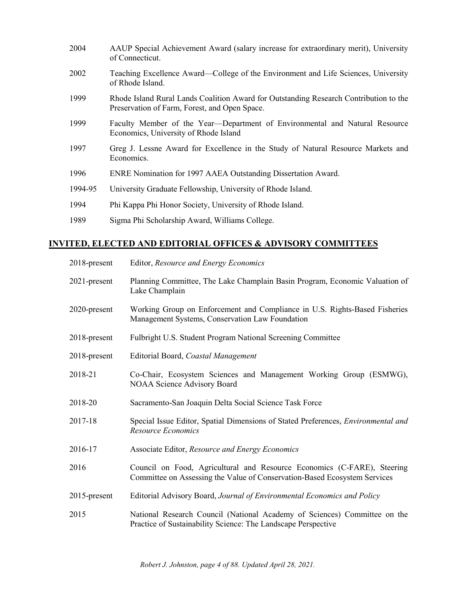| 2004    | AAUP Special Achievement Award (salary increase for extraordinary merit), University<br>of Connecticut.                                |
|---------|----------------------------------------------------------------------------------------------------------------------------------------|
| 2002    | Teaching Excellence Award—College of the Environment and Life Sciences, University<br>of Rhode Island.                                 |
| 1999    | Rhode Island Rural Lands Coalition Award for Outstanding Research Contribution to the<br>Preservation of Farm, Forest, and Open Space. |
| 1999    | Faculty Member of the Year—Department of Environmental and Natural Resource<br>Economics, University of Rhode Island                   |
| 1997    | Greg J. Lessne Award for Excellence in the Study of Natural Resource Markets and<br>Economics.                                         |
| 1996    | ENRE Nomination for 1997 AAEA Outstanding Dissertation Award.                                                                          |
| 1994-95 | University Graduate Fellowship, University of Rhode Island.                                                                            |
| 1994    | Phi Kappa Phi Honor Society, University of Rhode Island.                                                                               |
| 1989    | Sigma Phi Scholarship Award, Williams College.                                                                                         |

## **INVITED, ELECTED AND EDITORIAL OFFICES & ADVISORY COMMITTEES**

| 2018-present    | Editor, Resource and Energy Economics                                                                                                                |
|-----------------|------------------------------------------------------------------------------------------------------------------------------------------------------|
| 2021-present    | Planning Committee, The Lake Champlain Basin Program, Economic Valuation of<br>Lake Champlain                                                        |
| 2020-present    | Working Group on Enforcement and Compliance in U.S. Rights-Based Fisheries<br>Management Systems, Conservation Law Foundation                        |
| 2018-present    | Fulbright U.S. Student Program National Screening Committee                                                                                          |
| 2018-present    | Editorial Board, Coastal Management                                                                                                                  |
| 2018-21         | Co-Chair, Ecosystem Sciences and Management Working Group (ESMWG),<br>NOAA Science Advisory Board                                                    |
| 2018-20         | Sacramento-San Joaquin Delta Social Science Task Force                                                                                               |
| 2017-18         | Special Issue Editor, Spatial Dimensions of Stated Preferences, <i>Environmental and</i><br>Resource Economics                                       |
| 2016-17         | Associate Editor, Resource and Energy Economics                                                                                                      |
| 2016            | Council on Food, Agricultural and Resource Economics (C-FARE), Steering<br>Committee on Assessing the Value of Conservation-Based Ecosystem Services |
| $2015$ -present | Editorial Advisory Board, Journal of Environmental Economics and Policy                                                                              |
| 2015            | National Research Council (National Academy of Sciences) Committee on the<br>Practice of Sustainability Science: The Landscape Perspective           |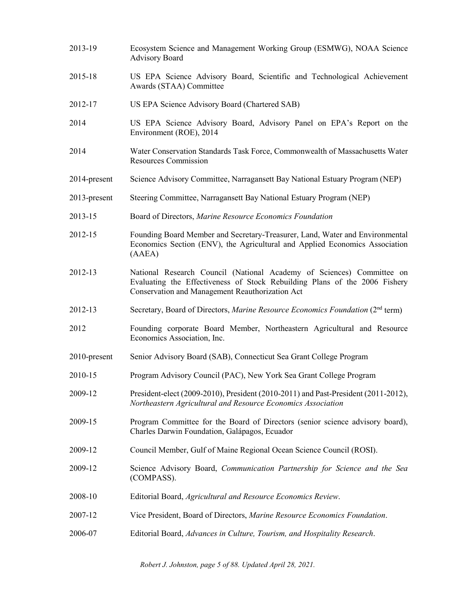2013-19 Ecosystem Science and Management Working Group (ESMWG), NOAA Science Advisory Board 2015-18 US EPA Science Advisory Board, Scientific and Technological Achievement Awards (STAA) Committee 2012-17 US EPA Science Advisory Board (Chartered SAB) 2014 US EPA Science Advisory Board, Advisory Panel on EPA's Report on the Environment (ROE), 2014 2014 Water Conservation Standards Task Force, Commonwealth of Massachusetts Water Resources Commission 2014-present Science Advisory Committee, Narragansett Bay National Estuary Program (NEP) 2013-present Steering Committee, Narragansett Bay National Estuary Program (NEP) 2013-15 Board of Directors, *Marine Resource Economics Foundation* 2012-15 Founding Board Member and Secretary-Treasurer, Land, Water and Environmental Economics Section (ENV), the Agricultural and Applied Economics Association (AAEA) 2012-13 National Research Council (National Academy of Sciences) Committee on Evaluating the Effectiveness of Stock Rebuilding Plans of the 2006 Fishery Conservation and Management Reauthorization Act 2012-13 Secretary, Board of Directors, *Marine Resource Economics Foundation* (2nd term) 2012 Founding corporate Board Member, Northeastern Agricultural and Resource Economics Association, Inc. 2010-present Senior Advisory Board (SAB), Connecticut Sea Grant College Program 2010-15 Program Advisory Council (PAC), New York Sea Grant College Program 2009-12 President-elect (2009-2010), President (2010-2011) and Past-President (2011-2012), *Northeastern Agricultural and Resource Economics Association* 2009-15 Program Committee for the Board of Directors (senior science advisory board), Charles Darwin Foundation, Galápagos, Ecuador 2009-12 Council Member, Gulf of Maine Regional Ocean Science Council (ROSI). 2009-12 Science Advisory Board, *Communication Partnership for Science and the Sea* (COMPASS). 2008-10 Editorial Board, *Agricultural and Resource Economics Review*. 2007-12 Vice President, Board of Directors, *Marine Resource Economics Foundation*. 2006-07 Editorial Board, *Advances in Culture, Tourism, and Hospitality Research*.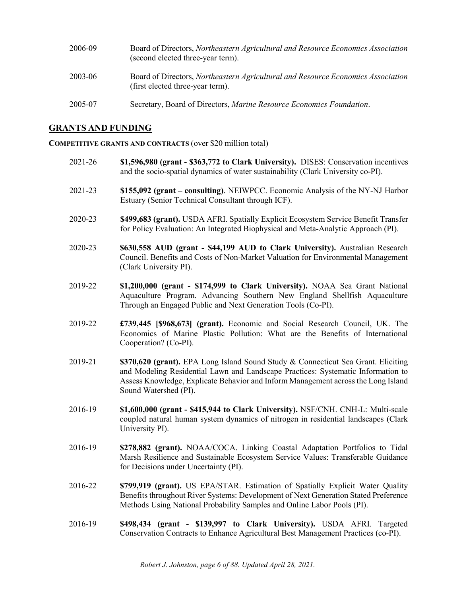| 2006-09 | Board of Directors, Northeastern Agricultural and Resource Economics Association<br>(second elected three-year term). |
|---------|-----------------------------------------------------------------------------------------------------------------------|
| 2003-06 | Board of Directors, Northeastern Agricultural and Resource Economics Association<br>(first elected three-year term).  |
| 2005-07 | Secretary, Board of Directors, Marine Resource Economics Foundation.                                                  |

### **GRANTS AND FUNDING**

**COMPETITIVE GRANTS AND CONTRACTS** (over \$20 million total)

- 2021-26 **\$1,596,980 (grant - \$363,772 to Clark University).** DISES: Conservation incentives and the socio-spatial dynamics of water sustainability (Clark University co-PI).
- 2021-23 **\$155,092 (grant – consulting)**. NEIWPCC. Economic Analysis of the NY-NJ Harbor Estuary (Senior Technical Consultant through ICF).
- 2020-23 **\$499,683 (grant).** USDA AFRI. Spatially Explicit Ecosystem Service Benefit Transfer for Policy Evaluation: An Integrated Biophysical and Meta-Analytic Approach (PI).
- 2020-23 **\$630,558 AUD (grant - \$44,199 AUD to Clark University).** Australian Research Council. Benefits and Costs of Non-Market Valuation for Environmental Management (Clark University PI).
- 2019-22 **\$1,200,000 (grant - \$174,999 to Clark University).** NOAA Sea Grant National Aquaculture Program. Advancing Southern New England Shellfish Aquaculture Through an Engaged Public and Next Generation Tools (Co-PI).
- 2019-22 **£739,445 [\$968,673] (grant).** Economic and Social Research Council, UK. The Economics of Marine Plastic Pollution: What are the Benefits of International Cooperation? (Co-PI).
- 2019-21 **\$370,620 (grant).** EPA Long Island Sound Study & Connecticut Sea Grant. Eliciting and Modeling Residential Lawn and Landscape Practices: Systematic Information to Assess Knowledge, Explicate Behavior and Inform Management across the Long Island Sound Watershed (PI).
- 2016-19 **\$1,600,000 (grant - \$415,944 to Clark University).** NSF/CNH. CNH-L: Multi-scale coupled natural human system dynamics of nitrogen in residential landscapes (Clark University PI).
- 2016-19 **\$278,882 (grant).** NOAA/COCA. Linking Coastal Adaptation Portfolios to Tidal Marsh Resilience and Sustainable Ecosystem Service Values: Transferable Guidance for Decisions under Uncertainty (PI).
- 2016-22 **\$799,919 (grant).** US EPA/STAR. Estimation of Spatially Explicit Water Quality Benefits throughout River Systems: Development of Next Generation Stated Preference Methods Using National Probability Samples and Online Labor Pools (PI).
- 2016-19 **\$498,434 (grant - \$139,997 to Clark University).** USDA AFRI. Targeted Conservation Contracts to Enhance Agricultural Best Management Practices (co-PI).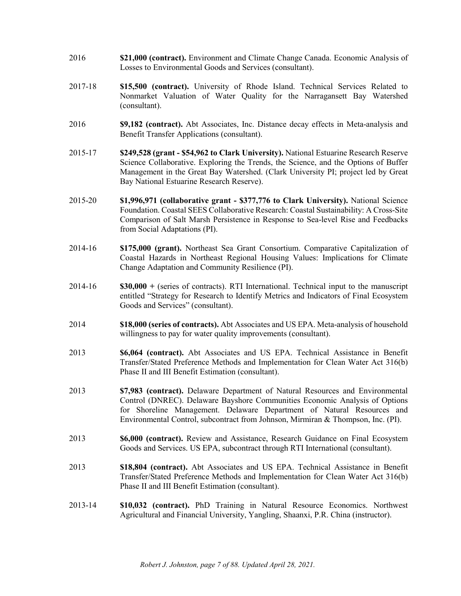- 2016 **\$21,000 (contract).** Environment and Climate Change Canada. Economic Analysis of Losses to Environmental Goods and Services (consultant).
- 2017-18 **\$15,500 (contract).** University of Rhode Island. Technical Services Related to Nonmarket Valuation of Water Quality for the Narragansett Bay Watershed (consultant).
- 2016 **\$9,182 (contract).** Abt Associates, Inc. Distance decay effects in Meta-analysis and Benefit Transfer Applications (consultant).
- 2015-17 **\$249,528 (grant - \$54,962 to Clark University).** National Estuarine Research Reserve Science Collaborative. Exploring the Trends, the Science, and the Options of Buffer Management in the Great Bay Watershed. (Clark University PI; project led by Great Bay National Estuarine Research Reserve).
- 2015-20 **\$1,996,971 (collaborative grant - \$377,776 to Clark University).** National Science Foundation. Coastal SEES Collaborative Research: Coastal Sustainability: A Cross-Site Comparison of Salt Marsh Persistence in Response to Sea-level Rise and Feedbacks from Social Adaptations (PI).
- 2014-16 **\$175,000 (grant).** Northeast Sea Grant Consortium. Comparative Capitalization of Coastal Hazards in Northeast Regional Housing Values: Implications for Climate Change Adaptation and Community Resilience (PI).
- 2014-16 **\$30,000 +** (series of contracts). RTI International. Technical input to the manuscript entitled "Strategy for Research to Identify Metrics and Indicators of Final Ecosystem Goods and Services" (consultant).
- 2014 **\$18,000 (series of contracts).** Abt Associates and US EPA. Meta-analysis of household willingness to pay for water quality improvements (consultant).
- 2013 **\$6,064 (contract).** Abt Associates and US EPA. Technical Assistance in Benefit Transfer/Stated Preference Methods and Implementation for Clean Water Act 316(b) Phase II and III Benefit Estimation (consultant).
- 2013 **\$7,983 (contract).** Delaware Department of Natural Resources and Environmental Control (DNREC). Delaware Bayshore Communities Economic Analysis of Options for Shoreline Management. Delaware Department of Natural Resources and Environmental Control, subcontract from Johnson, Mirmiran & Thompson, Inc. (PI).
- 2013 **\$6,000 (contract).** Review and Assistance, Research Guidance on Final Ecosystem Goods and Services. US EPA, subcontract through RTI International (consultant).
- 2013 **\$18,804 (contract).** Abt Associates and US EPA. Technical Assistance in Benefit Transfer/Stated Preference Methods and Implementation for Clean Water Act 316(b) Phase II and III Benefit Estimation (consultant).
- 2013-14 **\$10,032 (contract).** PhD Training in Natural Resource Economics. Northwest Agricultural and Financial University, Yangling, Shaanxi, P.R. China (instructor).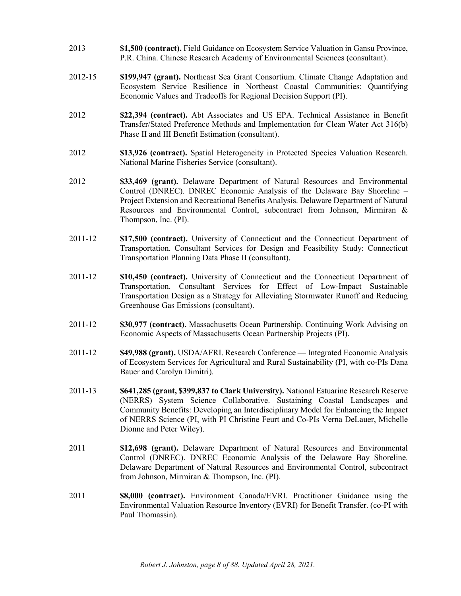- 2013 **\$1,500 (contract).** Field Guidance on Ecosystem Service Valuation in Gansu Province, P.R. China. Chinese Research Academy of Environmental Sciences (consultant).
- 2012-15 **\$199,947 (grant).** Northeast Sea Grant Consortium. Climate Change Adaptation and Ecosystem Service Resilience in Northeast Coastal Communities: Quantifying Economic Values and Tradeoffs for Regional Decision Support (PI).
- 2012 **\$22,394 (contract).** Abt Associates and US EPA. Technical Assistance in Benefit Transfer/Stated Preference Methods and Implementation for Clean Water Act 316(b) Phase II and III Benefit Estimation (consultant).
- 2012 **\$13,926 (contract).** Spatial Heterogeneity in Protected Species Valuation Research. National Marine Fisheries Service (consultant).
- 2012 **\$33,469 (grant).** Delaware Department of Natural Resources and Environmental Control (DNREC). DNREC Economic Analysis of the Delaware Bay Shoreline – Project Extension and Recreational Benefits Analysis. Delaware Department of Natural Resources and Environmental Control, subcontract from Johnson, Mirmiran & Thompson, Inc. (PI).
- 2011-12 **\$17,500 (contract).** University of Connecticut and the Connecticut Department of Transportation. Consultant Services for Design and Feasibility Study: Connecticut Transportation Planning Data Phase II (consultant).
- 2011-12 **\$10,450 (contract).** University of Connecticut and the Connecticut Department of Transportation. Consultant Services for Effect of Low-Impact Sustainable Transportation Design as a Strategy for Alleviating Stormwater Runoff and Reducing Greenhouse Gas Emissions (consultant).
- 2011-12 **\$30,977 (contract).** Massachusetts Ocean Partnership. Continuing Work Advising on Economic Aspects of Massachusetts Ocean Partnership Projects (PI).
- 2011-12 **\$49,988 (grant).** USDA/AFRI. Research Conference Integrated Economic Analysis of Ecosystem Services for Agricultural and Rural Sustainability (PI, with co-PIs Dana Bauer and Carolyn Dimitri).
- 2011-13 **\$641,285 (grant, \$399,837 to Clark University).** National Estuarine Research Reserve (NERRS) System Science Collaborative. Sustaining Coastal Landscapes and Community Benefits: Developing an Interdisciplinary Model for Enhancing the Impact of NERRS Science (PI, with PI Christine Feurt and Co-PIs Verna DeLauer, Michelle Dionne and Peter Wiley).
- 2011 **\$12,698 (grant).** Delaware Department of Natural Resources and Environmental Control (DNREC). DNREC Economic Analysis of the Delaware Bay Shoreline. Delaware Department of Natural Resources and Environmental Control, subcontract from Johnson, Mirmiran & Thompson, Inc. (PI).
- 2011 **\$8,000 (contract).** Environment Canada/EVRI. Practitioner Guidance using the Environmental Valuation Resource Inventory (EVRI) for Benefit Transfer. (co-PI with Paul Thomassin).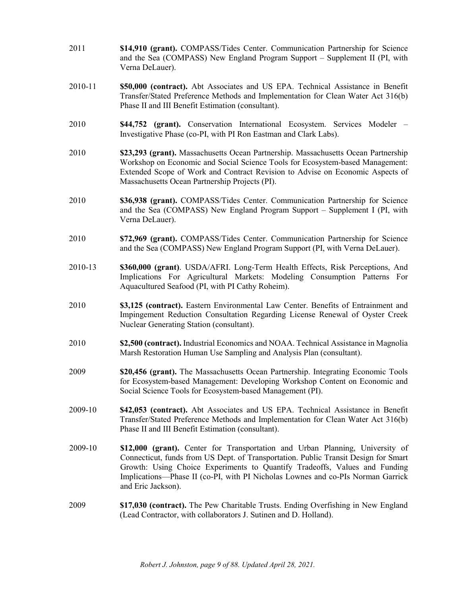- 2011 **\$14,910 (grant).** COMPASS/Tides Center. Communication Partnership for Science and the Sea (COMPASS) New England Program Support – Supplement II (PI, with Verna DeLauer).
- 2010-11 **\$50,000 (contract).** Abt Associates and US EPA. Technical Assistance in Benefit Transfer/Stated Preference Methods and Implementation for Clean Water Act 316(b) Phase II and III Benefit Estimation (consultant).
- 2010 **\$44,752 (grant).** Conservation International Ecosystem. Services Modeler Investigative Phase (co-PI, with PI Ron Eastman and Clark Labs).
- 2010 **\$23,293 (grant).** Massachusetts Ocean Partnership. Massachusetts Ocean Partnership Workshop on Economic and Social Science Tools for Ecosystem-based Management: Extended Scope of Work and Contract Revision to Advise on Economic Aspects of Massachusetts Ocean Partnership Projects (PI).
- 2010 **\$36,938 (grant).** COMPASS/Tides Center. Communication Partnership for Science and the Sea (COMPASS) New England Program Support – Supplement I (PI, with Verna DeLauer).
- 2010 **\$72,969 (grant).** COMPASS/Tides Center. Communication Partnership for Science and the Sea (COMPASS) New England Program Support (PI, with Verna DeLauer).
- 2010-13 **\$360,000 (grant)**. USDA/AFRI. Long-Term Health Effects, Risk Perceptions, And Implications For Agricultural Markets: Modeling Consumption Patterns For Aquacultured Seafood (PI, with PI Cathy Roheim).
- 2010 **\$3,125 (contract).** Eastern Environmental Law Center. Benefits of Entrainment and Impingement Reduction Consultation Regarding License Renewal of Oyster Creek Nuclear Generating Station (consultant).
- 2010 **\$2,500 (contract).** Industrial Economics and NOAA. Technical Assistance in Magnolia Marsh Restoration Human Use Sampling and Analysis Plan (consultant).
- 2009 **\$20,456 (grant).** The Massachusetts Ocean Partnership. Integrating Economic Tools for Ecosystem-based Management: Developing Workshop Content on Economic and Social Science Tools for Ecosystem-based Management (PI).
- 2009-10 **\$42,053 (contract).** Abt Associates and US EPA. Technical Assistance in Benefit Transfer/Stated Preference Methods and Implementation for Clean Water Act 316(b) Phase II and III Benefit Estimation (consultant).
- 2009-10 **\$12,000 (grant).** Center for Transportation and Urban Planning, University of Connecticut, funds from US Dept. of Transportation. Public Transit Design for Smart Growth: Using Choice Experiments to Quantify Tradeoffs, Values and Funding Implications—Phase II (co-PI, with PI Nicholas Lownes and co-PIs Norman Garrick and Eric Jackson).
- 2009 **\$17,030 (contract).** The Pew Charitable Trusts. Ending Overfishing in New England (Lead Contractor, with collaborators J. Sutinen and D. Holland).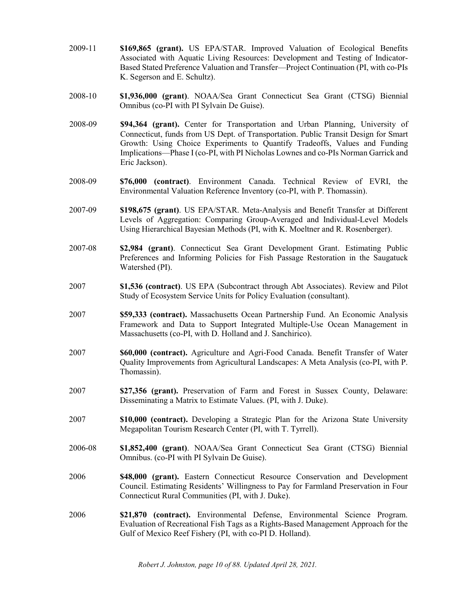- 2009-11 **\$169,865 (grant).** US EPA/STAR. Improved Valuation of Ecological Benefits Associated with Aquatic Living Resources: Development and Testing of Indicator-Based Stated Preference Valuation and Transfer—Project Continuation (PI, with co-PIs K. Segerson and E. Schultz).
- 2008-10 **\$1,936,000 (grant)**. NOAA/Sea Grant Connecticut Sea Grant (CTSG) Biennial Omnibus (co-PI with PI Sylvain De Guise).
- 2008-09 **\$94,364 (grant).** Center for Transportation and Urban Planning, University of Connecticut, funds from US Dept. of Transportation. Public Transit Design for Smart Growth: Using Choice Experiments to Quantify Tradeoffs, Values and Funding Implications—Phase I (co-PI, with PI Nicholas Lownes and co-PIs Norman Garrick and Eric Jackson).
- 2008-09 **\$76,000 (contract)**. Environment Canada. Technical Review of EVRI, the Environmental Valuation Reference Inventory (co-PI, with P. Thomassin).
- 2007-09 **\$198,675 (grant)**. US EPA/STAR. Meta-Analysis and Benefit Transfer at Different Levels of Aggregation: Comparing Group-Averaged and Individual-Level Models Using Hierarchical Bayesian Methods (PI, with K. Moeltner and R. Rosenberger).
- 2007-08 **\$2,984 (grant)**. Connecticut Sea Grant Development Grant. Estimating Public Preferences and Informing Policies for Fish Passage Restoration in the Saugatuck Watershed (PI).
- 2007 **\$1,536 (contract)**. US EPA (Subcontract through Abt Associates). Review and Pilot Study of Ecosystem Service Units for Policy Evaluation (consultant).
- 2007 **\$59,333 (contract).** Massachusetts Ocean Partnership Fund. An Economic Analysis Framework and Data to Support Integrated Multiple-Use Ocean Management in Massachusetts (co-PI, with D. Holland and J. Sanchirico).
- 2007 **\$60,000 (contract).** Agriculture and Agri-Food Canada. Benefit Transfer of Water Quality Improvements from Agricultural Landscapes: A Meta Analysis (co-PI, with P. Thomassin).
- 2007 **\$27,356 (grant).** Preservation of Farm and Forest in Sussex County, Delaware: Disseminating a Matrix to Estimate Values. (PI, with J. Duke).
- 2007 **\$10,000 (contract).** Developing a Strategic Plan for the Arizona State University Megapolitan Tourism Research Center (PI, with T. Tyrrell).
- 2006-08 **\$1,852,400 (grant)**. NOAA/Sea Grant Connecticut Sea Grant (CTSG) Biennial Omnibus. (co-PI with PI Sylvain De Guise).
- 2006 **\$48,000 (grant).** Eastern Connecticut Resource Conservation and Development Council. Estimating Residents' Willingness to Pay for Farmland Preservation in Four Connecticut Rural Communities (PI, with J. Duke).
- 2006 **\$21,870 (contract).** Environmental Defense, Environmental Science Program. Evaluation of Recreational Fish Tags as a Rights-Based Management Approach for the Gulf of Mexico Reef Fishery (PI, with co-PI D. Holland).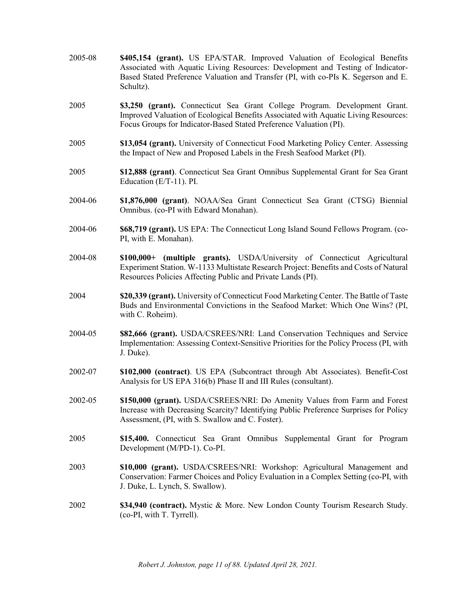- 2005-08 **\$405,154 (grant).** US EPA/STAR. Improved Valuation of Ecological Benefits Associated with Aquatic Living Resources: Development and Testing of Indicator-Based Stated Preference Valuation and Transfer (PI, with co-PIs K. Segerson and E. Schultz).
- 2005 **\$3,250 (grant).** Connecticut Sea Grant College Program. Development Grant. Improved Valuation of Ecological Benefits Associated with Aquatic Living Resources: Focus Groups for Indicator-Based Stated Preference Valuation (PI).
- 2005 **\$13,054 (grant).** University of Connecticut Food Marketing Policy Center. Assessing the Impact of New and Proposed Labels in the Fresh Seafood Market (PI).
- 2005 **\$12,888 (grant)**. Connecticut Sea Grant Omnibus Supplemental Grant for Sea Grant Education (E/T-11). PI.
- 2004-06 **\$1,876,000 (grant)**. NOAA/Sea Grant Connecticut Sea Grant (CTSG) Biennial Omnibus. (co-PI with Edward Monahan).
- 2004-06 **\$68,719 (grant).** US EPA: The Connecticut Long Island Sound Fellows Program. (co-PI, with E. Monahan).
- 2004-08 **\$100,000+ (multiple grants).** USDA/University of Connecticut Agricultural Experiment Station. W-1133 Multistate Research Project: Benefits and Costs of Natural Resources Policies Affecting Public and Private Lands (PI).
- 2004 **\$20,339 (grant).** University of Connecticut Food Marketing Center. The Battle of Taste Buds and Environmental Convictions in the Seafood Market: Which One Wins? (PI, with C. Roheim).
- 2004-05 **\$82,666 (grant).** USDA/CSREES/NRI: Land Conservation Techniques and Service Implementation: Assessing Context-Sensitive Priorities for the Policy Process (PI, with J. Duke).
- 2002-07 **\$102,000 (contract)**. US EPA (Subcontract through Abt Associates). Benefit-Cost Analysis for US EPA 316(b) Phase II and III Rules (consultant).
- 2002-05 **\$150,000 (grant).** USDA/CSREES/NRI: Do Amenity Values from Farm and Forest Increase with Decreasing Scarcity? Identifying Public Preference Surprises for Policy Assessment, (PI, with S. Swallow and C. Foster).
- 2005 **\$15,400.** Connecticut Sea Grant Omnibus Supplemental Grant for Program Development (M/PD-1). Co-PI.
- 2003 **\$10,000 (grant).** USDA/CSREES/NRI: Workshop: Agricultural Management and Conservation: Farmer Choices and Policy Evaluation in a Complex Setting (co-PI, with J. Duke, L. Lynch, S. Swallow).
- 2002 **\$34,940 (contract).** Mystic & More. New London County Tourism Research Study. (co-PI, with T. Tyrrell).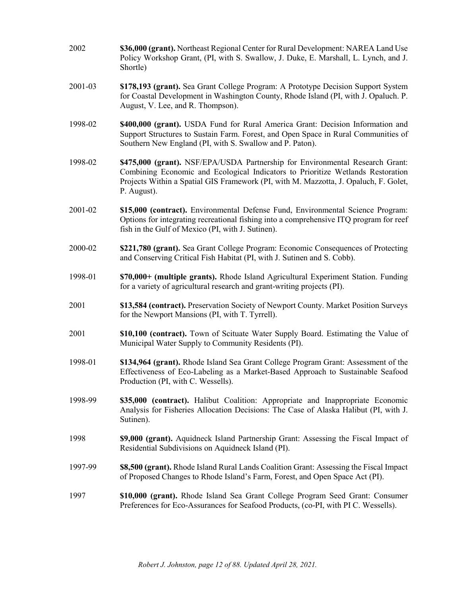- 2002 **\$36,000 (grant).** Northeast Regional Center for Rural Development: NAREA Land Use Policy Workshop Grant, (PI, with S. Swallow, J. Duke, E. Marshall, L. Lynch, and J. Shortle)
- 2001-03 **\$178,193 (grant).** Sea Grant College Program: A Prototype Decision Support System for Coastal Development in Washington County, Rhode Island (PI, with J. Opaluch. P. August, V. Lee, and R. Thompson).
- 1998-02 **\$400,000 (grant).** USDA Fund for Rural America Grant: Decision Information and Support Structures to Sustain Farm. Forest, and Open Space in Rural Communities of Southern New England (PI, with S. Swallow and P. Paton).
- 1998-02 **\$475,000 (grant).** NSF/EPA/USDA Partnership for Environmental Research Grant: Combining Economic and Ecological Indicators to Prioritize Wetlands Restoration Projects Within a Spatial GIS Framework (PI, with M. Mazzotta, J. Opaluch, F. Golet, P. August).
- 2001-02 **\$15,000 (contract).** Environmental Defense Fund, Environmental Science Program: Options for integrating recreational fishing into a comprehensive ITQ program for reef fish in the Gulf of Mexico (PI, with J. Sutinen).
- 2000-02 **\$221,780 (grant).** Sea Grant College Program: Economic Consequences of Protecting and Conserving Critical Fish Habitat (PI, with J. Sutinen and S. Cobb).
- 1998-01 **\$70,000+ (multiple grants).** Rhode Island Agricultural Experiment Station. Funding for a variety of agricultural research and grant-writing projects (PI).
- 2001 **\$13,584 (contract).** Preservation Society of Newport County. Market Position Surveys for the Newport Mansions (PI, with T. Tyrrell).
- 2001 **\$10,100 (contract).** Town of Scituate Water Supply Board. Estimating the Value of Municipal Water Supply to Community Residents (PI).
- 1998-01 **\$134,964 (grant).** Rhode Island Sea Grant College Program Grant: Assessment of the Effectiveness of Eco-Labeling as a Market-Based Approach to Sustainable Seafood Production (PI, with C. Wessells).
- 1998-99 **\$35,000 (contract).** Halibut Coalition: Appropriate and Inappropriate Economic Analysis for Fisheries Allocation Decisions: The Case of Alaska Halibut (PI, with J. Sutinen).
- 1998 **\$9,000 (grant).** Aquidneck Island Partnership Grant: Assessing the Fiscal Impact of Residential Subdivisions on Aquidneck Island (PI).
- 1997-99 **\$8,500 (grant).** Rhode Island Rural Lands Coalition Grant: Assessing the Fiscal Impact of Proposed Changes to Rhode Island's Farm, Forest, and Open Space Act (PI).
- 1997 **\$10,000 (grant).** Rhode Island Sea Grant College Program Seed Grant: Consumer Preferences for Eco-Assurances for Seafood Products, (co-PI, with PI C. Wessells).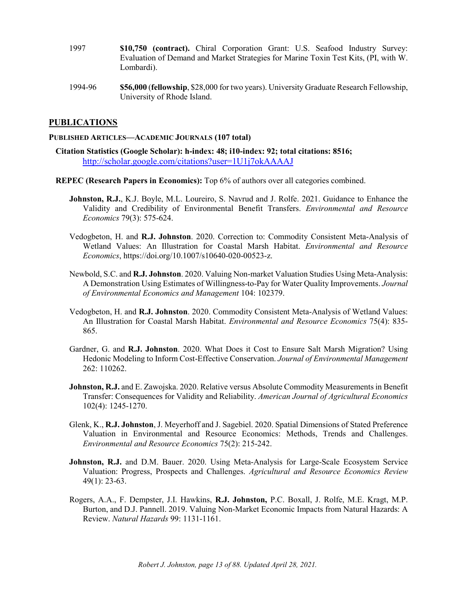- 1997 **\$10,750 (contract).** Chiral Corporation Grant: U.S. Seafood Industry Survey: Evaluation of Demand and Market Strategies for Marine Toxin Test Kits, (PI, with W. Lombardi).
- 1994-96 **\$56,000** (**fellowship**, \$28,000 for two years). University Graduate Research Fellowship, University of Rhode Island.

### **PUBLICATIONS**

#### **PUBLISHED ARTICLES—ACADEMIC JOURNALS (107 total)**

- **Citation Statistics (Google Scholar): h-index: 48; i10-index: 92; total citations: 8516;**  <http://scholar.google.com/citations?user=1U1j7okAAAAJ>
- **REPEC (Research Papers in Economics):** Top 6% of authors over all categories combined.
	- **Johnston, R.J.**, K.J. Boyle, M.L. Loureiro, S. Navrud and J. Rolfe. 2021. Guidance to Enhance the Validity and Credibility of Environmental Benefit Transfers. *Environmental and Resource Economics* 79(3): 575-624.
	- Vedogbeton, H. and **R.J. Johnston**. 2020. Correction to: Commodity Consistent Meta‑Analysis of Wetland Values: An Illustration for Coastal Marsh Habitat. *Environmental and Resource Economics*, https://doi.org/10.1007/s10640-020-00523-z.
	- Newbold, S.C. and **R.J. Johnston**. 2020. Valuing Non-market Valuation Studies Using Meta-Analysis: A Demonstration Using Estimates of Willingness-to-Pay for Water Quality Improvements. *Journal of Environmental Economics and Management* 104: 102379.
	- Vedogbeton, H. and **R.J. Johnston**. 2020. Commodity Consistent Meta-Analysis of Wetland Values: An Illustration for Coastal Marsh Habitat. *Environmental and Resource Economics* 75(4): 835- 865.
	- Gardner, G. and **R.J. Johnston**. 2020. What Does it Cost to Ensure Salt Marsh Migration? Using Hedonic Modeling to Inform Cost-Effective Conservation. *Journal of Environmental Management* 262: 110262.
	- **Johnston, R.J.** and E. Zawojska. 2020. Relative versus Absolute Commodity Measurements in Benefit Transfer: Consequences for Validity and Reliability. *American Journal of Agricultural Economics* 102(4): 1245-1270.
	- Glenk, K., **R.J. Johnston**, J. Meyerhoff and J. Sagebiel. 2020. Spatial Dimensions of Stated Preference Valuation in Environmental and Resource Economics: Methods, Trends and Challenges. *Environmental and Resource Economics* 75(2): 215-242.
	- Johnston, R.J. and D.M. Bauer. 2020. Using Meta-Analysis for Large-Scale Ecosystem Service Valuation: Progress, Prospects and Challenges. *Agricultural and Resource Economics Review* 49(1): 23-63.
	- Rogers, A.A., F. Dempster, J.I. Hawkins, **R.J. Johnston,** P.C. Boxall, J. Rolfe, M.E. Kragt, M.P. Burton, and D.J. Pannell. 2019. Valuing Non-Market Economic Impacts from Natural Hazards: A Review. *Natural Hazards* 99: 1131-1161.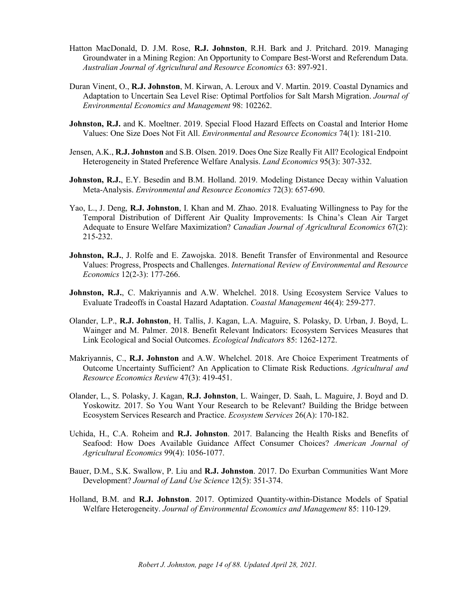- Hatton MacDonald, D. J.M. Rose, **R.J. Johnston**, R.H. Bark and J. Pritchard. 2019. Managing Groundwater in a Mining Region: An Opportunity to Compare Best-Worst and Referendum Data. *Australian Journal of Agricultural and Resource Economics* 63: 897-921.
- Duran Vinent, O., **R.J. Johnston**, M. Kirwan, A. Leroux and V. Martin. 2019. Coastal Dynamics and Adaptation to Uncertain Sea Level Rise: Optimal Portfolios for Salt Marsh Migration. *Journal of Environmental Economics and Management* 98: 102262.
- Johnston, R.J. and K. Moeltner. 2019. Special Flood Hazard Effects on Coastal and Interior Home Values: One Size Does Not Fit All. *Environmental and Resource Economics* 74(1): 181-210.
- Jensen, A.K., **R.J. Johnston** and S.B. Olsen. 2019. Does One Size Really Fit All? Ecological Endpoint Heterogeneity in Stated Preference Welfare Analysis. *Land Economics* 95(3): 307-332.
- **Johnston, R.J.**, E.Y. Besedin and B.M. Holland. 2019. Modeling Distance Decay within Valuation Meta-Analysis. *Environmental and Resource Economics* 72(3): 657-690.
- Yao, L., J. Deng, **R.J. Johnston**, I. Khan and M. Zhao. 2018. Evaluating Willingness to Pay for the Temporal Distribution of Different Air Quality Improvements: Is China's Clean Air Target Adequate to Ensure Welfare Maximization? *Canadian Journal of Agricultural Economics* 67(2): 215-232.
- **Johnston, R.J.**, J. Rolfe and E. Zawojska. 2018. Benefit Transfer of Environmental and Resource Values: Progress, Prospects and Challenges. *International Review of Environmental and Resource Economics* 12(2-3): 177-266.
- **Johnston, R.J.**, C. Makriyannis and A.W. Whelchel. 2018. Using Ecosystem Service Values to Evaluate Tradeoffs in Coastal Hazard Adaptation. *Coastal Management* 46(4): 259-277.
- Olander, L.P., **R.J. Johnston**, H. Tallis, J. Kagan, L.A. Maguire, S. Polasky, D. Urban, J. Boyd, L. Wainger and M. Palmer. 2018. Benefit Relevant Indicators: Ecosystem Services Measures that Link Ecological and Social Outcomes. *Ecological Indicators* 85: 1262-1272.
- Makriyannis, C., **R.J. Johnston** and A.W. Whelchel. 2018. Are Choice Experiment Treatments of Outcome Uncertainty Sufficient? An Application to Climate Risk Reductions. *Agricultural and Resource Economics Review* 47(3): 419-451.
- Olander, L., S. Polasky, J. Kagan, **R.J. Johnston**, L. Wainger, D. Saah, L. Maguire, J. Boyd and D. Yoskowitz. 2017. So You Want Your Research to be Relevant? Building the Bridge between Ecosystem Services Research and Practice. *Ecosystem Services* 26(A): 170-182.
- Uchida, H., C.A. Roheim and **R.J. Johnston**. 2017. Balancing the Health Risks and Benefits of Seafood: How Does Available Guidance Affect Consumer Choices? *American Journal of Agricultural Economics* 99(4): 1056-1077.
- Bauer, D.M., S.K. Swallow, P. Liu and **R.J. Johnston**. 2017. Do Exurban Communities Want More Development? *Journal of Land Use Science* 12(5): 351-374.
- Holland, B.M. and **R.J. Johnston**. 2017. Optimized Quantity-within-Distance Models of Spatial Welfare Heterogeneity. *Journal of Environmental Economics and Management* 85: 110-129.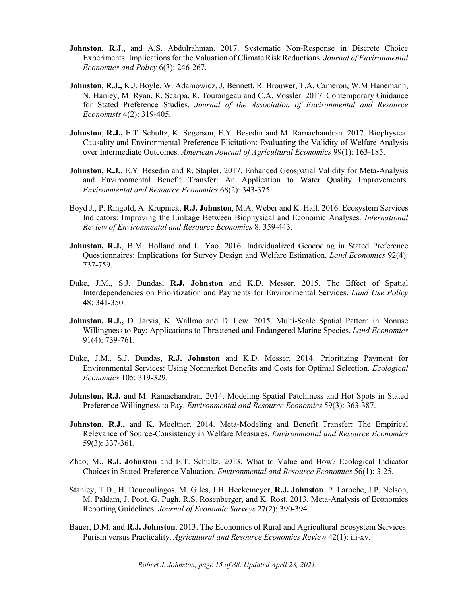- **Johnston**, **R.J.,** and A.S. Abdulrahman. 2017. Systematic Non-Response in Discrete Choice Experiments: Implications for the Valuation of Climate Risk Reductions. *Journal of Environmental Economics and Policy* 6(3): 246-267.
- **Johnston**, **R.J.,** K.J. Boyle, W. Adamowicz, J. Bennett, R. Brouwer, T.A. Cameron, W.M Hanemann, N. Hanley, M. Ryan, R. Scarpa, R. Tourangeau and C.A. Vossler. 2017. Contemporary Guidance for Stated Preference Studies. *Journal of the Association of Environmental and Resource Economists* 4(2): 319-405.
- **Johnston, R.J., E.T. Schultz, K. Segerson, E.Y. Besedin and M. Ramachandran. 2017. Biophysical** Causality and Environmental Preference Elicitation: Evaluating the Validity of Welfare Analysis over Intermediate Outcomes. *American Journal of Agricultural Economics* 99(1): 163-185.
- **Johnston, R.J.**, E.Y. Besedin and R. Stapler. 2017. Enhanced Geospatial Validity for Meta-Analysis and Environmental Benefit Transfer: An Application to Water Quality Improvements. *Environmental and Resource Economics* 68(2): 343-375.
- Boyd J., P. Ringold, A. Krupnick, **R.J. Johnston**, M.A. Weber and K. Hall. 2016. Ecosystem Services Indicators: Improving the Linkage Between Biophysical and Economic Analyses. *International Review of Environmental and Resource Economics* 8: 359-443.
- Johnston, R.J., B.M. Holland and L. Yao. 2016. Individualized Geocoding in Stated Preference Questionnaires: Implications for Survey Design and Welfare Estimation. *Land Economics* 92(4): 737-759.
- Duke, J.M., S.J. Dundas, **R.J. Johnston** and K.D. Messer. 2015. The Effect of Spatial Interdependencies on Prioritization and Payments for Environmental Services. *Land Use Policy* 48: 341-350.
- **Johnston, R.J.,** D. Jarvis, K. Wallmo and D. Lew. 2015. Multi-Scale Spatial Pattern in Nonuse Willingness to Pay: Applications to Threatened and Endangered Marine Species. *Land Economics* 91(4): 739-761.
- Duke, J.M., S.J. Dundas, **R.J. Johnston** and K.D. Messer. 2014. Prioritizing Payment for Environmental Services: Using Nonmarket Benefits and Costs for Optimal Selection. *Ecological Economics* 105: 319-329.
- **Johnston, R.J.** and M. Ramachandran. 2014. Modeling Spatial Patchiness and Hot Spots in Stated Preference Willingness to Pay. *Environmental and Resource Economics* 59(3): 363-387.
- **Johnston**, **R.J.,** and K. Moeltner. 2014. Meta-Modeling and Benefit Transfer: The Empirical Relevance of Source-Consistency in Welfare Measures. *Environmental and Resource Economics* 59(3): 337-361.
- Zhao, M., **R.J. Johnston** and E.T. Schultz. 2013. What to Value and How? Ecological Indicator Choices in Stated Preference Valuation. *Environmental and Resource Economics* 56(1): 3-25.
- Stanley, T.D., H. Doucouliagos, M. Giles, J.H. Heckemeyer, **R.J. Johnston**, P. Laroche, J.P. Nelson, M. Paldam, J. Poot, G. Pugh, R.S. Rosenberger, and K. Rost. 2013. Meta-Analysis of Economics Reporting Guidelines. *Journal of Economic Surveys* 27(2): 390-394.
- Bauer, D.M. and **R.J. Johnston**. 2013. The Economics of Rural and Agricultural Ecosystem Services: Purism versus Practicality. *Agricultural and Resource Economics Review* 42(1): iii-xv.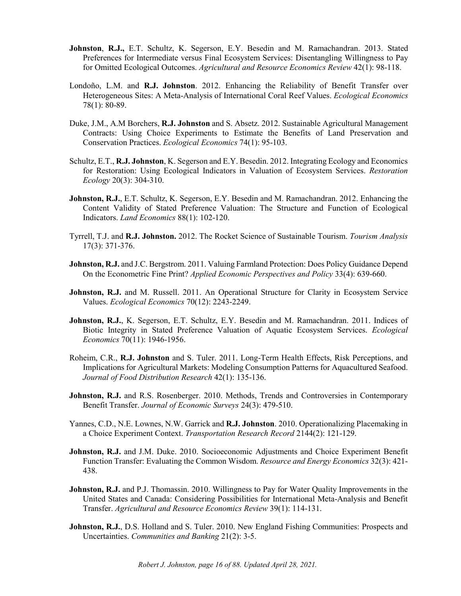- **Johnston**, **R.J.,** E.T. Schultz, K. Segerson, E.Y. Besedin and M. Ramachandran. 2013. Stated Preferences for Intermediate versus Final Ecosystem Services: Disentangling Willingness to Pay for Omitted Ecological Outcomes. *Agricultural and Resource Economics Review* 42(1): 98-118.
- Londoño, L.M. and **R.J. Johnston**. 2012. Enhancing the Reliability of Benefit Transfer over Heterogeneous Sites: A Meta-Analysis of International Coral Reef Values. *Ecological Economics* 78(1): 80-89.
- Duke, J.M., A.M Borchers, **R.J. Johnston** and S. Absetz. 2012. Sustainable Agricultural Management Contracts: Using Choice Experiments to Estimate the Benefits of Land Preservation and Conservation Practices. *Ecological Economics* 74(1): 95-103.
- Schultz, E.T., **R.J. Johnston**, K. Segerson and E.Y. Besedin. 2012. Integrating Ecology and Economics for Restoration: Using Ecological Indicators in Valuation of Ecosystem Services. *Restoration Ecology* 20(3): 304-310.
- Johnston, R.J., E.T. Schultz, K. Segerson, E.Y. Besedin and M. Ramachandran. 2012. Enhancing the Content Validity of Stated Preference Valuation: The Structure and Function of Ecological Indicators. *Land Economics* 88(1): 102-120.
- Tyrrell, T.J. and **R.J. Johnston.** 2012. The Rocket Science of Sustainable Tourism. *Tourism Analysis* 17(3): 371-376.
- **Johnston, R.J.** and J.C. Bergstrom. 2011. Valuing Farmland Protection: Does Policy Guidance Depend On the Econometric Fine Print? *Applied Economic Perspectives and Policy* 33(4): 639-660.
- **Johnston, R.J.** and M. Russell. 2011. An Operational Structure for Clarity in Ecosystem Service Values. *Ecological Economics* 70(12): 2243-2249.
- Johnston, R.J., K. Segerson, E.T. Schultz, E.Y. Besedin and M. Ramachandran. 2011. Indices of Biotic Integrity in Stated Preference Valuation of Aquatic Ecosystem Services. *Ecological Economics* 70(11): 1946-1956.
- Roheim, C.R., **R.J. Johnston** and S. Tuler. 2011. Long-Term Health Effects, Risk Perceptions, and Implications for Agricultural Markets: Modeling Consumption Patterns for Aquacultured Seafood. *Journal of Food Distribution Research* 42(1): 135-136.
- Johnston, R.J. and R.S. Rosenberger. 2010. Methods, Trends and Controversies in Contemporary Benefit Transfer. *Journal of Economic Surveys* 24(3): 479-510.
- Yannes, C.D., N.E. Lownes, N.W. Garrick and **R.J. Johnston**. 2010. Operationalizing Placemaking in a Choice Experiment Context. *Transportation Research Record* 2144(2): 121-129.
- **Johnston, R.J.** and J.M. Duke. 2010. Socioeconomic Adjustments and Choice Experiment Benefit Function Transfer: Evaluating the Common Wisdom. *Resource and Energy Economics* 32(3): 421- 438.
- **Johnston, R.J.** and P.J. Thomassin. 2010. Willingness to Pay for Water Quality Improvements in the United States and Canada: Considering Possibilities for International Meta-Analysis and Benefit Transfer. *Agricultural and Resource Economics Review* 39(1): 114-131.
- **Johnston, R.J., D.S. Holland and S. Tuler. 2010. New England Fishing Communities: Prospects and** Uncertainties. *Communities and Banking* 21(2): 3-5.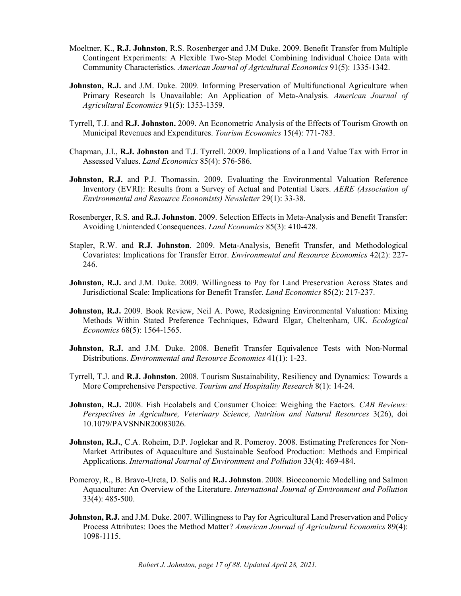- Moeltner, K., **R.J. Johnston**, R.S. Rosenberger and J.M Duke. 2009. Benefit Transfer from Multiple Contingent Experiments: A Flexible Two-Step Model Combining Individual Choice Data with Community Characteristics. *American Journal of Agricultural Economics* 91(5): 1335-1342.
- **Johnston, R.J.** and J.M. Duke. 2009. Informing Preservation of Multifunctional Agriculture when Primary Research Is Unavailable: An Application of Meta-Analysis. *American Journal of Agricultural Economics* 91(5): 1353-1359.
- Tyrrell, T.J. and **R.J. Johnston.** 2009. An Econometric Analysis of the Effects of Tourism Growth on Municipal Revenues and Expenditures. *Tourism Economics* 15(4): 771-783.
- Chapman, J.I., **R.J. Johnston** and T.J. Tyrrell. 2009. Implications of a Land Value Tax with Error in Assessed Values. *Land Economics* 85(4): 576-586.
- **Johnston, R.J.** and P.J. Thomassin. 2009. Evaluating the Environmental Valuation Reference Inventory (EVRI): Results from a Survey of Actual and Potential Users. *AERE (Association of Environmental and Resource Economists) Newsletter* 29(1): 33-38.
- Rosenberger, R.S. and **R.J. Johnston**. 2009. Selection Effects in Meta-Analysis and Benefit Transfer: Avoiding Unintended Consequences. *Land Economics* 85(3): 410-428.
- Stapler, R.W. and **R.J. Johnston**. 2009. Meta-Analysis, Benefit Transfer, and Methodological Covariates: Implications for Transfer Error. *Environmental and Resource Economics* 42(2): 227- 246.
- **Johnston, R.J.** and J.M. Duke. 2009. Willingness to Pay for Land Preservation Across States and Jurisdictional Scale: Implications for Benefit Transfer. *Land Economics* 85(2): 217-237.
- **Johnston, R.J.** 2009. Book Review, Neil A. Powe, Redesigning Environmental Valuation: Mixing Methods Within Stated Preference Techniques, Edward Elgar, Cheltenham, UK. *Ecological Economics* 68(5): 1564-1565.
- **Johnston, R.J.** and J.M. Duke. 2008. Benefit Transfer Equivalence Tests with Non-Normal Distributions. *Environmental and Resource Economics* 41(1): 1-23.
- Tyrrell, T.J. and **R.J. Johnston**. 2008. Tourism Sustainability, Resiliency and Dynamics: Towards a More Comprehensive Perspective. *Tourism and Hospitality Research* 8(1): 14-24.
- **Johnston, R.J.** 2008. Fish Ecolabels and Consumer Choice: Weighing the Factors. *CAB Reviews: Perspectives in Agriculture, Veterinary Science, Nutrition and Natural Resources* 3(26), doi 10.1079/PAVSNNR20083026.
- **Johnston, R.J.**, C.A. Roheim, D.P. Joglekar and R. Pomeroy. 2008. Estimating Preferences for Non-Market Attributes of Aquaculture and Sustainable Seafood Production: Methods and Empirical Applications. *International Journal of Environment and Pollution* 33(4): 469-484.
- Pomeroy, R., B. Bravo-Ureta, D. Solis and **R.J. Johnston**. 2008. Bioeconomic Modelling and Salmon Aquaculture: An Overview of the Literature. *International Journal of Environment and Pollution* 33(4): 485-500.
- Johnston, R.J. and J.M. Duke. 2007. Willingness to Pay for Agricultural Land Preservation and Policy Process Attributes: Does the Method Matter? *American Journal of Agricultural Economics* 89(4): 1098-1115.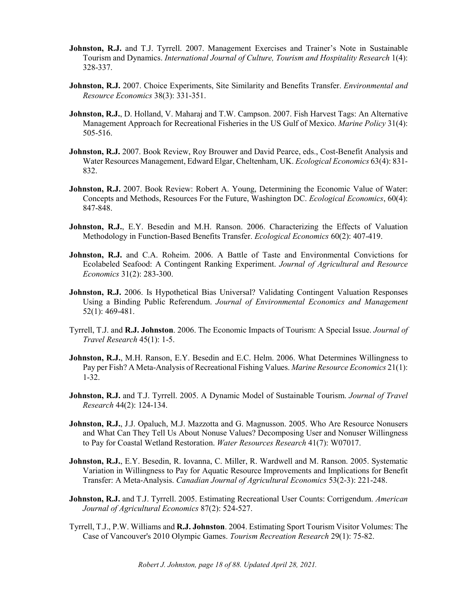- **Johnston, R.J.** and T.J. Tyrrell. 2007. Management Exercises and Trainer's Note in Sustainable Tourism and Dynamics. *International Journal of Culture, Tourism and Hospitality Research* 1(4): 328-337.
- **Johnston, R.J.** 2007. Choice Experiments, Site Similarity and Benefits Transfer. *Environmental and Resource Economics* 38(3): 331-351.
- **Johnston, R.J.**, D. Holland, V. Maharaj and T.W. Campson. 2007. Fish Harvest Tags: An Alternative Management Approach for Recreational Fisheries in the US Gulf of Mexico. *Marine Policy* 31(4): 505-516.
- Johnston, R.J. 2007. Book Review, Roy Brouwer and David Pearce, eds., Cost-Benefit Analysis and Water Resources Management, Edward Elgar, Cheltenham, UK. *Ecological Economics* 63(4): 831- 832.
- **Johnston, R.J.** 2007. Book Review: Robert A. Young, Determining the Economic Value of Water: Concepts and Methods, Resources For the Future, Washington DC. *Ecological Economics*, 60(4): 847-848.
- Johnston, R.J., E.Y. Besedin and M.H. Ranson. 2006. Characterizing the Effects of Valuation Methodology in Function-Based Benefits Transfer. *Ecological Economics* 60(2): 407-419.
- **Johnston, R.J.** and C.A. Roheim. 2006. A Battle of Taste and Environmental Convictions for Ecolabeled Seafood: A Contingent Ranking Experiment. *Journal of Agricultural and Resource Economics* 31(2): 283-300.
- **Johnston, R.J.** 2006. Is Hypothetical Bias Universal? Validating Contingent Valuation Responses Using a Binding Public Referendum. *Journal of Environmental Economics and Management* 52(1): 469-481.
- Tyrrell, T.J. and **R.J. Johnston**. 2006. The Economic Impacts of Tourism: A Special Issue. *Journal of Travel Research* 45(1): 1-5.
- **Johnston, R.J.**, M.H. Ranson, E.Y. Besedin and E.C. Helm. 2006. What Determines Willingness to Pay per Fish? A Meta-Analysis of Recreational Fishing Values. *Marine Resource Economics* 21(1): 1-32.
- **Johnston, R.J.** and T.J. Tyrrell. 2005. A Dynamic Model of Sustainable Tourism. *Journal of Travel Research* 44(2): 124-134.
- **Johnston, R.J.**, J.J. Opaluch, M.J. Mazzotta and G. Magnusson. 2005. Who Are Resource Nonusers and What Can They Tell Us About Nonuse Values? Decomposing User and Nonuser Willingness to Pay for Coastal Wetland Restoration. *Water Resources Research* 41(7): W07017.
- **Johnston, R.J.**, E.Y. Besedin, R. Iovanna, C. Miller, R. Wardwell and M. Ranson. 2005. Systematic Variation in Willingness to Pay for Aquatic Resource Improvements and Implications for Benefit Transfer: A Meta-Analysis. *Canadian Journal of Agricultural Economics* 53(2-3): 221-248.
- **Johnston, R.J.** and T.J. Tyrrell. 2005. Estimating Recreational User Counts: Corrigendum. *American Journal of Agricultural Economics* 87(2): 524-527.
- Tyrrell, T.J., P.W. Williams and **R.J. Johnston**. 2004. Estimating Sport Tourism Visitor Volumes: The Case of Vancouver's 2010 Olympic Games. *Tourism Recreation Research* 29(1): 75-82.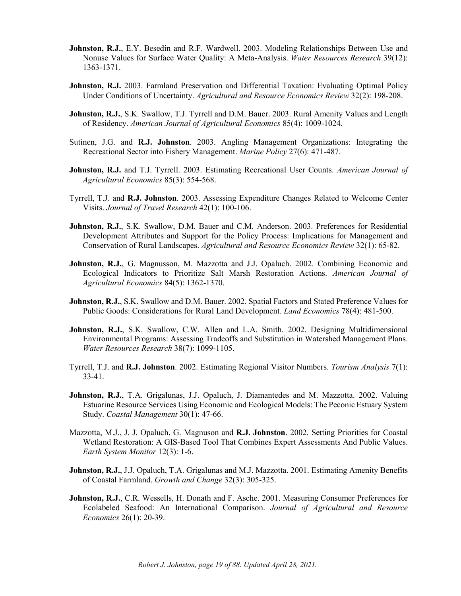- **Johnston, R.J.**, E.Y. Besedin and R.F. Wardwell. 2003. Modeling Relationships Between Use and Nonuse Values for Surface Water Quality: A Meta-Analysis. *Water Resources Research* 39(12): 1363-1371.
- **Johnston, R.J.** 2003. Farmland Preservation and Differential Taxation: Evaluating Optimal Policy Under Conditions of Uncertainty. *Agricultural and Resource Economics Review* 32(2): 198-208.
- **Johnston, R.J.**, S.K. Swallow, T.J. Tyrrell and D.M. Bauer. 2003. Rural Amenity Values and Length of Residency. *American Journal of Agricultural Economics* 85(4): 1009-1024.
- Sutinen, J.G. and **R.J. Johnston**. 2003. Angling Management Organizations: Integrating the Recreational Sector into Fishery Management. *Marine Policy* 27(6): 471-487.
- **Johnston, R.J.** and T.J. Tyrrell. 2003. Estimating Recreational User Counts. *American Journal of Agricultural Economics* 85(3): 554-568.
- Tyrrell, T.J. and **R.J. Johnston**. 2003. Assessing Expenditure Changes Related to Welcome Center Visits. *Journal of Travel Research* 42(1): 100-106.
- **Johnston, R.J.**, S.K. Swallow, D.M. Bauer and C.M. Anderson. 2003. Preferences for Residential Development Attributes and Support for the Policy Process: Implications for Management and Conservation of Rural Landscapes. *Agricultural and Resource Economics Review* 32(1): 65-82.
- **Johnston, R.J.**, G. Magnusson, M. Mazzotta and J.J. Opaluch. 2002. Combining Economic and Ecological Indicators to Prioritize Salt Marsh Restoration Actions. *American Journal of Agricultural Economics* 84(5): 1362-1370.
- **Johnston, R.J.**, S.K. Swallow and D.M. Bauer. 2002. Spatial Factors and Stated Preference Values for Public Goods: Considerations for Rural Land Development. *Land Economics* 78(4): 481-500.
- **Johnston, R.J.**, S.K. Swallow, C.W. Allen and L.A. Smith. 2002. Designing Multidimensional Environmental Programs: Assessing Tradeoffs and Substitution in Watershed Management Plans. *Water Resources Research* 38(7): 1099-1105.
- Tyrrell, T.J. and **R.J. Johnston**. 2002. Estimating Regional Visitor Numbers. *Tourism Analysis* 7(1): 33-41.
- Johnston, R.J., T.A. Grigalunas, J.J. Opaluch, J. Diamantedes and M. Mazzotta. 2002. Valuing Estuarine Resource Services Using Economic and Ecological Models: The Peconic Estuary System Study. *Coastal Management* 30(1): 47-66.
- Mazzotta, M.J., J. J. Opaluch, G. Magnuson and **R.J. Johnston**. 2002. Setting Priorities for Coastal Wetland Restoration: A GIS-Based Tool That Combines Expert Assessments And Public Values. *Earth System Monitor* 12(3): 1-6.
- **Johnston, R.J.**, J.J. Opaluch, T.A. Grigalunas and M.J. Mazzotta. 2001. Estimating Amenity Benefits of Coastal Farmland. *Growth and Change* 32(3): 305-325.
- **Johnston, R.J., C.R. Wessells, H. Donath and F. Asche. 2001. Measuring Consumer Preferences for** Ecolabeled Seafood: An International Comparison. *Journal of Agricultural and Resource Economics* 26(1): 20-39.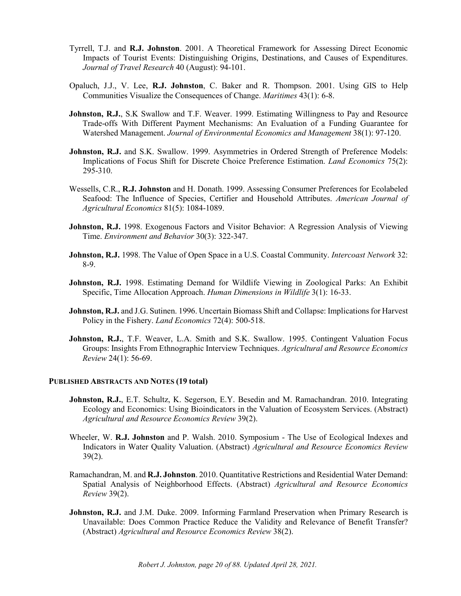- Tyrrell, T.J. and **R.J. Johnston**. 2001. A Theoretical Framework for Assessing Direct Economic Impacts of Tourist Events: Distinguishing Origins, Destinations, and Causes of Expenditures. *Journal of Travel Research* 40 (August): 94-101.
- Opaluch, J.J., V. Lee, **R.J. Johnston**, C. Baker and R. Thompson. 2001. Using GIS to Help Communities Visualize the Consequences of Change. *Maritimes* 43(1): 6-8.
- **Johnston, R.J.**, S.K Swallow and T.F. Weaver. 1999. Estimating Willingness to Pay and Resource Trade-offs With Different Payment Mechanisms: An Evaluation of a Funding Guarantee for Watershed Management. *Journal of Environmental Economics and Management* 38(1): 97-120.
- **Johnston, R.J.** and S.K. Swallow. 1999. Asymmetries in Ordered Strength of Preference Models: Implications of Focus Shift for Discrete Choice Preference Estimation. *Land Economics* 75(2): 295-310.
- Wessells, C.R., **R.J. Johnston** and H. Donath. 1999. Assessing Consumer Preferences for Ecolabeled Seafood: The Influence of Species, Certifier and Household Attributes. *American Journal of Agricultural Economics* 81(5): 1084-1089.
- **Johnston, R.J.** 1998. Exogenous Factors and Visitor Behavior: A Regression Analysis of Viewing Time. *Environment and Behavior* 30(3): 322-347.
- **Johnston, R.J.** 1998. The Value of Open Space in a U.S. Coastal Community. *Intercoast Network* 32: 8-9.
- **Johnston, R.J.** 1998. Estimating Demand for Wildlife Viewing in Zoological Parks: An Exhibit Specific, Time Allocation Approach. *Human Dimensions in Wildlife* 3(1): 16-33.
- **Johnston, R.J.** and J.G. Sutinen. 1996. Uncertain Biomass Shift and Collapse: Implications for Harvest Policy in the Fishery. *Land Economics* 72(4): 500-518.
- Johnston, R.J., T.F. Weaver, L.A. Smith and S.K. Swallow. 1995. Contingent Valuation Focus Groups: Insights From Ethnographic Interview Techniques. *Agricultural and Resource Economics Review* 24(1): 56-69.

#### **PUBLISHED ABSTRACTS AND NOTES (19 total)**

- **Johnston, R.J.**, E.T. Schultz, K. Segerson, E.Y. Besedin and M. Ramachandran. 2010. Integrating Ecology and Economics: Using Bioindicators in the Valuation of Ecosystem Services. (Abstract) *Agricultural and Resource Economics Review* 39(2).
- Wheeler, W. **R.J. Johnston** and P. Walsh. 2010. Symposium The Use of Ecological Indexes and Indicators in Water Quality Valuation. (Abstract) *Agricultural and Resource Economics Review*  $39(2)$ .
- Ramachandran, M. and **R.J. Johnston**. 2010. Quantitative Restrictions and Residential Water Demand: Spatial Analysis of Neighborhood Effects. (Abstract) *Agricultural and Resource Economics Review* 39(2).
- **Johnston, R.J.** and J.M. Duke. 2009. Informing Farmland Preservation when Primary Research is Unavailable: Does Common Practice Reduce the Validity and Relevance of Benefit Transfer? (Abstract) *Agricultural and Resource Economics Review* 38(2).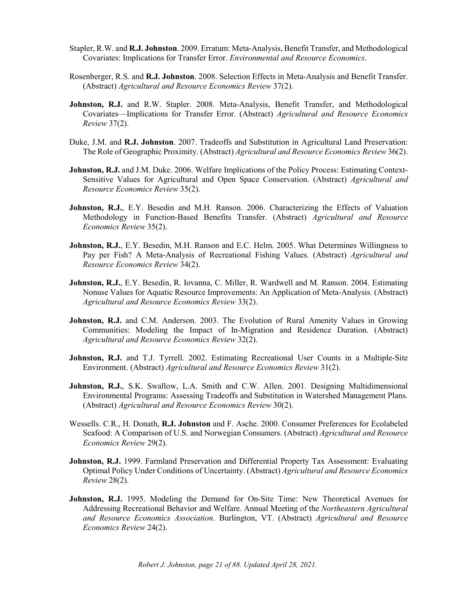- Stapler, R.W. and **R.J. Johnston**. 2009. Erratum: Meta-Analysis, Benefit Transfer, and Methodological Covariates: Implications for Transfer Error. *Environmental and Resource Economics*.
- Rosenberger, R.S. and **R.J. Johnston**. 2008. Selection Effects in Meta-Analysis and Benefit Transfer. (Abstract) *Agricultural and Resource Economics Review* 37(2).
- **Johnston, R.J.** and R.W. Stapler. 2008. Meta-Analysis, Benefit Transfer, and Methodological Covariates—Implications for Transfer Error. (Abstract) *Agricultural and Resource Economics Review* 37(2).
- Duke, J.M. and **R.J. Johnston**. 2007. Tradeoffs and Substitution in Agricultural Land Preservation: The Role of Geographic Proximity. (Abstract) *Agricultural and Resource Economics Review* 36(2).
- **Johnston, R.J.** and J.M. Duke. 2006. Welfare Implications of the Policy Process: Estimating Context-Sensitive Values for Agricultural and Open Space Conservation. (Abstract) *Agricultural and Resource Economics Review* 35(2).
- Johnston, R.J., E.Y. Besedin and M.H. Ranson. 2006. Characterizing the Effects of Valuation Methodology in Function-Based Benefits Transfer. (Abstract) *Agricultural and Resource Economics Review* 35(2).
- **Johnston, R.J.**, E.Y. Besedin, M.H. Ranson and E.C. Helm. 2005. What Determines Willingness to Pay per Fish? A Meta-Analysis of Recreational Fishing Values. (Abstract) *Agricultural and Resource Economics Review* 34(2).
- **Johnston, R.J.**, E.Y. Besedin, R. Iovanna, C. Miller, R. Wardwell and M. Ranson. 2004. Estimating Nonuse Values for Aquatic Resource Improvements: An Application of Meta-Analysis. (Abstract) *Agricultural and Resource Economics Review* 33(2).
- **Johnston, R.J.** and C.M. Anderson. 2003. The Evolution of Rural Amenity Values in Growing Communities: Modeling the Impact of In-Migration and Residence Duration. (Abstract) *Agricultural and Resource Economics Review* 32(2).
- **Johnston, R.J.** and T.J. Tyrrell. 2002. Estimating Recreational User Counts in a Multiple-Site Environment. (Abstract) *Agricultural and Resource Economics Review* 31(2).
- **Johnston, R.J.**, S.K. Swallow, L.A. Smith and C.W. Allen. 2001. Designing Multidimensional Environmental Programs: Assessing Tradeoffs and Substitution in Watershed Management Plans. (Abstract) *Agricultural and Resource Economics Review* 30(2).
- Wessells. C.R., H. Donath, **R.J. Johnston** and F. Asche. 2000. Consumer Preferences for Ecolabeled Seafood: A Comparison of U.S. and Norwegian Consumers. (Abstract) *Agricultural and Resource Economics Review* 29(2).
- **Johnston, R.J.** 1999. Farmland Preservation and Differential Property Tax Assessment: Evaluating Optimal Policy Under Conditions of Uncertainty. (Abstract) *Agricultural and Resource Economics Review* 28(2).
- **Johnston, R.J.** 1995. Modeling the Demand for On-Site Time: New Theoretical Avenues for Addressing Recreational Behavior and Welfare. Annual Meeting of the *Northeastern Agricultural and Resource Economics Association*. Burlington, VT. (Abstract) *Agricultural and Resource Economics Review* 24(2).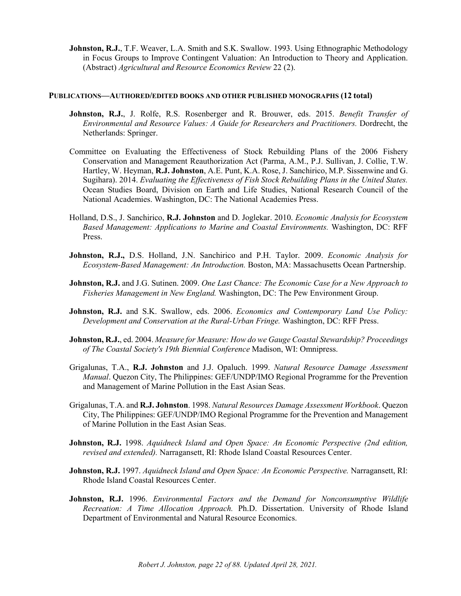**Johnston, R.J.,** T.F. Weaver, L.A. Smith and S.K. Swallow. 1993. Using Ethnographic Methodology in Focus Groups to Improve Contingent Valuation: An Introduction to Theory and Application. (Abstract) *Agricultural and Resource Economics Review* 22 (2).

#### **PUBLICATIONS—AUTHORED/EDITED BOOKS AND OTHER PUBLISHED MONOGRAPHS (12 total)**

- **Johnston, R.J.**, J. Rolfe, R.S. Rosenberger and R. Brouwer, eds. 2015. *Benefit Transfer of Environmental and Resource Values: A Guide for Researchers and Practitioners.* Dordrecht, the Netherlands: Springer.
- Committee on Evaluating the Effectiveness of Stock Rebuilding Plans of the 2006 Fishery Conservation and Management Reauthorization Act (Parma, A.M., P.J. Sullivan, J. Collie, T.W. Hartley, W. Heyman, **R.J. Johnston**, A.E. Punt, K.A. Rose, J. Sanchirico, M.P. Sissenwine and G. Sugihara). 2014. *Evaluating the Effectiveness of Fish Stock Rebuilding Plans in the United States.* Ocean Studies Board, Division on Earth and Life Studies, National Research Council of the National Academies. Washington, DC: The National Academies Press.
- Holland, D.S., J. Sanchirico, **R.J. Johnston** and D. Joglekar. 2010. *Economic Analysis for Ecosystem Based Management: Applications to Marine and Coastal Environments.* Washington, DC: RFF Press.
- **Johnston, R.J.,** D.S. Holland, J.N. Sanchirico and P.H. Taylor. 2009. *Economic Analysis for Ecosystem-Based Management: An Introduction.* Boston, MA: Massachusetts Ocean Partnership.
- **Johnston, R.J.** and J.G. Sutinen. 2009. *One Last Chance: The Economic Case for a New Approach to Fisheries Management in New England.* Washington, DC: The Pew Environment Group.
- **Johnston, R.J.** and S.K. Swallow, eds. 2006. *Economics and Contemporary Land Use Policy: Development and Conservation at the Rural-Urban Fringe.* Washington, DC: RFF Press.
- **Johnston, R.J.**, ed. 2004. *Measure for Measure: How do we Gauge Coastal Stewardship? Proceedings of The Coastal Society's 19th Biennial Conference* Madison, WI: Omnipress.
- Grigalunas, T.A., **R.J. Johnston** and J.J. Opaluch. 1999. *Natural Resource Damage Assessment Manual*. Quezon City, The Philippines: GEF/UNDP/IMO Regional Programme for the Prevention and Management of Marine Pollution in the East Asian Seas.
- Grigalunas, T.A. and **R.J. Johnston**. 1998. *Natural Resources Damage Assessment Workbook*. Quezon City, The Philippines: GEF/UNDP/IMO Regional Programme for the Prevention and Management of Marine Pollution in the East Asian Seas.
- **Johnston, R.J.** 1998. *Aquidneck Island and Open Space: An Economic Perspective (2nd edition, revised and extended).* Narragansett, RI: Rhode Island Coastal Resources Center.
- **Johnston, R.J.** 1997. *Aquidneck Island and Open Space: An Economic Perspective.* Narragansett, RI: Rhode Island Coastal Resources Center.
- **Johnston, R.J.** 1996. *Environmental Factors and the Demand for Nonconsumptive Wildlife Recreation: A Time Allocation Approach.* Ph.D. Dissertation. University of Rhode Island Department of Environmental and Natural Resource Economics.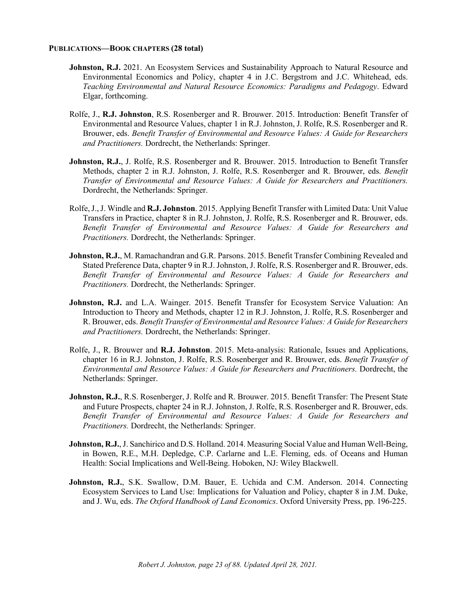#### **PUBLICATIONS—BOOK CHAPTERS (28 total)**

- **Johnston, R.J.** 2021. An Ecosystem Services and Sustainability Approach to Natural Resource and Environmental Economics and Policy, chapter 4 in J.C. Bergstrom and J.C. Whitehead, eds. *Teaching Environmental and Natural Resource Economics: Paradigms and Pedagogy*. Edward Elgar, forthcoming.
- Rolfe, J., **R.J. Johnston**, R.S. Rosenberger and R. Brouwer. 2015. Introduction: Benefit Transfer of Environmental and Resource Values, chapter 1 in R.J. Johnston, J. Rolfe, R.S. Rosenberger and R. Brouwer, eds. *Benefit Transfer of Environmental and Resource Values: A Guide for Researchers and Practitioners.* Dordrecht, the Netherlands: Springer.
- **Johnston, R.J.**, J. Rolfe, R.S. Rosenberger and R. Brouwer. 2015. Introduction to Benefit Transfer Methods, chapter 2 in R.J. Johnston, J. Rolfe, R.S. Rosenberger and R. Brouwer, eds. *Benefit Transfer of Environmental and Resource Values: A Guide for Researchers and Practitioners.* Dordrecht, the Netherlands: Springer.
- Rolfe,J., J. Windle and **R.J. Johnston**. 2015. Applying Benefit Transfer with Limited Data: Unit Value Transfers in Practice, chapter 8 in R.J. Johnston, J. Rolfe, R.S. Rosenberger and R. Brouwer, eds. *Benefit Transfer of Environmental and Resource Values: A Guide for Researchers and Practitioners.* Dordrecht, the Netherlands: Springer.
- **Johnston, R.J.**, M. Ramachandran and G.R. Parsons. 2015. Benefit Transfer Combining Revealed and Stated Preference Data, chapter 9 in R.J. Johnston, J. Rolfe, R.S. Rosenberger and R. Brouwer, eds. *Benefit Transfer of Environmental and Resource Values: A Guide for Researchers and Practitioners.* Dordrecht, the Netherlands: Springer.
- Johnston, R.J. and L.A. Wainger. 2015. Benefit Transfer for Ecosystem Service Valuation: An Introduction to Theory and Methods, chapter 12 in R.J. Johnston, J. Rolfe, R.S. Rosenberger and R. Brouwer, eds. *Benefit Transfer of Environmental and Resource Values: A Guide for Researchers and Practitioners.* Dordrecht, the Netherlands: Springer.
- Rolfe, J., R. Brouwer and **R.J. Johnston**. 2015. Meta-analysis: Rationale, Issues and Applications, chapter 16 in R.J. Johnston, J. Rolfe, R.S. Rosenberger and R. Brouwer, eds. *Benefit Transfer of Environmental and Resource Values: A Guide for Researchers and Practitioners.* Dordrecht, the Netherlands: Springer.
- **Johnston, R.J.**, R.S. Rosenberger, J. Rolfe and R. Brouwer. 2015. Benefit Transfer: The Present State and Future Prospects, chapter 24 in R.J. Johnston, J. Rolfe, R.S. Rosenberger and R. Brouwer, eds. *Benefit Transfer of Environmental and Resource Values: A Guide for Researchers and Practitioners.* Dordrecht, the Netherlands: Springer.
- **Johnston, R.J.**, J. Sanchirico and D.S. Holland. 2014. Measuring Social Value and Human Well-Being, in Bowen, R.E., M.H. Depledge, C.P. Carlarne and L.E. Fleming, eds. of Oceans and Human Health: Social Implications and Well-Being. Hoboken, NJ: Wiley Blackwell.
- **Johnston, R.J.**, S.K. Swallow, D.M. Bauer, E. Uchida and C.M. Anderson. 2014. Connecting Ecosystem Services to Land Use: Implications for Valuation and Policy, chapter 8 in J.M. Duke, and J. Wu, eds. *The Oxford Handbook of Land Economics*. Oxford University Press, pp. 196-225.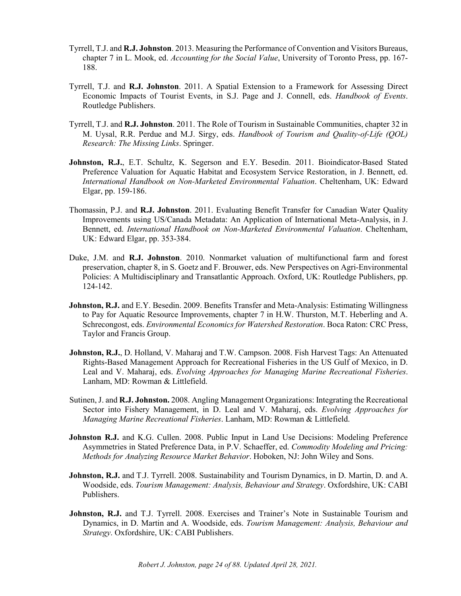- Tyrrell, T.J. and **R.J. Johnston**. 2013. Measuring the Performance of Convention and Visitors Bureaus, chapter 7 in L. Mook, ed. *Accounting for the Social Value*, University of Toronto Press, pp. 167- 188.
- Tyrrell, T.J. and **R.J. Johnston**. 2011. A Spatial Extension to a Framework for Assessing Direct Economic Impacts of Tourist Events, in S.J. Page and J. Connell, eds. *Handbook of Events*. Routledge Publishers.
- Tyrrell, T.J. and **R.J. Johnston**. 2011. The Role of Tourism in Sustainable Communities, chapter 32 in M. Uysal, R.R. Perdue and M.J. Sirgy, eds. *Handbook of Tourism and Quality-of-Life (QOL) Research: The Missing Links*. Springer.
- Johnston, R.J., E.T. Schultz, K. Segerson and E.Y. Besedin. 2011. Bioindicator-Based Stated Preference Valuation for Aquatic Habitat and Ecosystem Service Restoration, in J. Bennett, ed. *International Handbook on Non-Marketed Environmental Valuation*. Cheltenham, UK: Edward Elgar, pp. 159-186.
- Thomassin, P.J. and **R.J. Johnston**. 2011. Evaluating Benefit Transfer for Canadian Water Quality Improvements using US/Canada Metadata: An Application of International Meta-Analysis, in J. Bennett, ed. *International Handbook on Non-Marketed Environmental Valuation*. Cheltenham, UK: Edward Elgar, pp. 353-384.
- Duke, J.M. and **R.J. Johnston**. 2010. Nonmarket valuation of multifunctional farm and forest preservation, chapter 8, in S. Goetz and F. Brouwer, eds. New Perspectives on Agri-Environmental Policies: A Multidisciplinary and Transatlantic Approach. Oxford, UK: Routledge Publishers, pp. 124-142.
- **Johnston, R.J.** and E.Y. Besedin. 2009. Benefits Transfer and Meta-Analysis: Estimating Willingness to Pay for Aquatic Resource Improvements, chapter 7 in H.W. Thurston, M.T. Heberling and A. Schrecongost, eds. *Environmental Economics for Watershed Restoration*. Boca Raton: CRC Press, Taylor and Francis Group.
- **Johnston, R.J.**, D. Holland, V. Maharaj and T.W. Campson. 2008. Fish Harvest Tags: An Attenuated Rights-Based Management Approach for Recreational Fisheries in the US Gulf of Mexico, in D. Leal and V. Maharaj, eds. *Evolving Approaches for Managing Marine Recreational Fisheries*. Lanham, MD: Rowman & Littlefield.
- Sutinen, J. and **R.J. Johnston.** 2008. Angling Management Organizations: Integrating the Recreational Sector into Fishery Management, in D. Leal and V. Maharaj, eds. *Evolving Approaches for Managing Marine Recreational Fisheries*. Lanham, MD: Rowman & Littlefield.
- **Johnston R.J.** and K.G. Cullen. 2008. Public Input in Land Use Decisions: Modeling Preference Asymmetries in Stated Preference Data, in P.V. Schaeffer, ed. *Commodity Modeling and Pricing: Methods for Analyzing Resource Market Behavior*. Hoboken, NJ: John Wiley and Sons.
- **Johnston, R.J.** and T.J. Tyrrell. 2008. Sustainability and Tourism Dynamics, in D. Martin, D. and A. Woodside, eds. *Tourism Management: Analysis, Behaviour and Strategy*. Oxfordshire, UK: CABI Publishers.
- **Johnston, R.J.** and T.J. Tyrrell. 2008. Exercises and Trainer's Note in Sustainable Tourism and Dynamics, in D. Martin and A. Woodside, eds. *Tourism Management: Analysis, Behaviour and Strategy*. Oxfordshire, UK: CABI Publishers.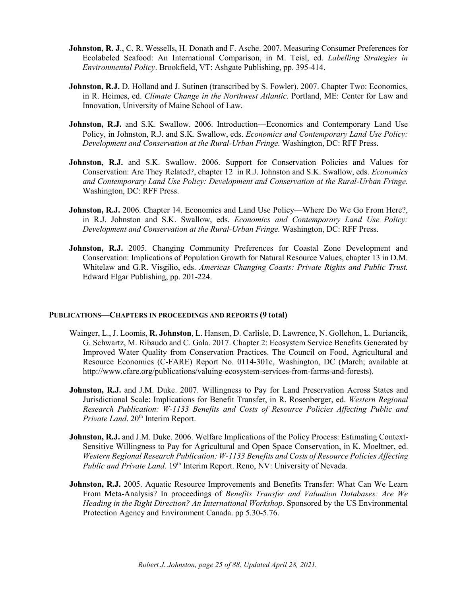- **Johnston, R. J., C. R. Wessells, H. Donath and F. Asche. 2007. Measuring Consumer Preferences for** Ecolabeled Seafood: An International Comparison, in M. Teisl, ed. *Labelling Strategies in Environmental Policy*. Brookfield, VT: Ashgate Publishing, pp. 395-414.
- **Johnston, R.J.** D. Holland and J. Sutinen (transcribed by S. Fowler). 2007. Chapter Two: Economics, in R. Heimes, ed. *Climate Change in the Northwest Atlantic*. Portland, ME: Center for Law and Innovation, University of Maine School of Law.
- **Johnston, R.J.** and S.K. Swallow. 2006. Introduction—Economics and Contemporary Land Use Policy, in Johnston, R.J. and S.K. Swallow, eds. *Economics and Contemporary Land Use Policy: Development and Conservation at the Rural-Urban Fringe.* Washington, DC: RFF Press.
- Johnston, R.J. and S.K. Swallow. 2006. Support for Conservation Policies and Values for Conservation: Are They Related?, chapter 12 in R.J. Johnston and S.K. Swallow, eds. *Economics and Contemporary Land Use Policy: Development and Conservation at the Rural-Urban Fringe.* Washington, DC: RFF Press.
- **Johnston, R.J.** 2006. Chapter 14. Economics and Land Use Policy—Where Do We Go From Here?, in R.J. Johnston and S.K. Swallow, eds. *Economics and Contemporary Land Use Policy: Development and Conservation at the Rural-Urban Fringe.* Washington, DC: RFF Press.
- **Johnston, R.J.** 2005. Changing Community Preferences for Coastal Zone Development and Conservation: Implications of Population Growth for Natural Resource Values, chapter 13 in D.M. Whitelaw and G.R. Visgilio, eds. *Americas Changing Coasts: Private Rights and Public Trust.* Edward Elgar Publishing, pp. 201-224.

#### **PUBLICATIONS—CHAPTERS IN PROCEEDINGS AND REPORTS (9 total)**

- Wainger, L., J. Loomis, **R. Johnston**, L. Hansen, D. Carlisle, D. Lawrence, N. Gollehon, L. Duriancik, G. Schwartz, M. Ribaudo and C. Gala. 2017. Chapter 2: Ecosystem Service Benefits Generated by Improved Water Quality from Conservation Practices. The Council on Food, Agricultural and Resource Economics (C-FARE) Report No. 0114-301c, Washington, DC (March; available at http://www.cfare.org/publications/valuing-ecosystem-services-from-farms-and-forests).
- **Johnston, R.J.** and J.M. Duke. 2007. Willingness to Pay for Land Preservation Across States and Jurisdictional Scale: Implications for Benefit Transfer, in R. Rosenberger, ed. *Western Regional Research Publication: W-1133 Benefits and Costs of Resource Policies Affecting Public and*  Private Land. 20<sup>th</sup> Interim Report.
- **Johnston, R.J.** and J.M. Duke. 2006. Welfare Implications of the Policy Process: Estimating Context-Sensitive Willingness to Pay for Agricultural and Open Space Conservation, in K. Moeltner, ed. *Western Regional Research Publication: W-1133 Benefits and Costs of Resource Policies Affecting Public and Private Land.* 19<sup>th</sup> Interim Report. Reno, NV: University of Nevada.
- **Johnston, R.J.** 2005. Aquatic Resource Improvements and Benefits Transfer: What Can We Learn From Meta-Analysis? In proceedings of *Benefits Transfer and Valuation Databases: Are We Heading in the Right Direction? An International Workshop*. Sponsored by the US Environmental Protection Agency and Environment Canada. pp 5.30-5.76.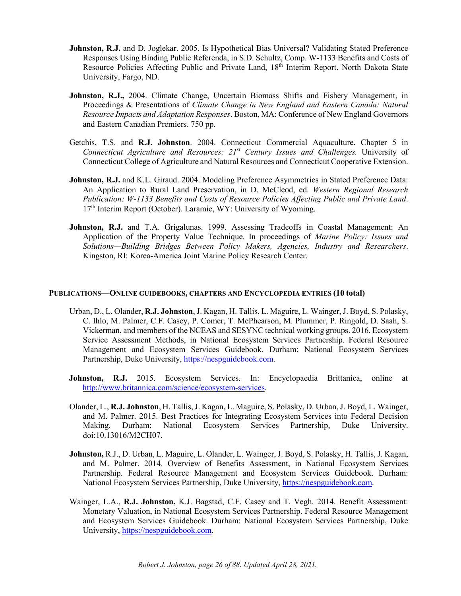- **Johnston, R.J.** and D. Joglekar. 2005. Is Hypothetical Bias Universal? Validating Stated Preference Responses Using Binding Public Referenda, in S.D. Schultz, Comp. W-1133 Benefits and Costs of Resource Policies Affecting Public and Private Land, 18th Interim Report. North Dakota State University, Fargo, ND.
- **Johnston, R.J.,** 2004. Climate Change, Uncertain Biomass Shifts and Fishery Management, in Proceedings & Presentations of *Climate Change in New England and Eastern Canada: Natural Resource Impacts and Adaptation Responses*. Boston, MA: Conference of New England Governors and Eastern Canadian Premiers. 750 pp.
- Getchis, T.S. and **R.J. Johnston**. 2004. Connecticut Commercial Aquaculture. Chapter 5 in *Connecticut Agriculture and Resources: 21st Century Issues and Challenges.* University of Connecticut College of Agriculture and Natural Resources and Connecticut Cooperative Extension.
- **Johnston, R.J.** and K.L. Giraud. 2004. Modeling Preference Asymmetries in Stated Preference Data: An Application to Rural Land Preservation, in D. McCleod, ed. *Western Regional Research Publication: W-1133 Benefits and Costs of Resource Policies Affecting Public and Private Land*. 17th Interim Report (October). Laramie, WY: University of Wyoming.
- Johnston, R.J. and T.A. Grigalunas. 1999. Assessing Tradeoffs in Coastal Management: An Application of the Property Value Technique. In proceedings of *Marine Policy: Issues and Solutions—Building Bridges Between Policy Makers, Agencies, Industry and Researchers*. Kingston, RI: Korea-America Joint Marine Policy Research Center.

#### **PUBLICATIONS—ONLINE GUIDEBOOKS, CHAPTERS AND ENCYCLOPEDIA ENTRIES (10 total)**

- Urban, D., L. Olander, **R.J. Johnston**, J. Kagan, H. Tallis, L. Maguire, L. Wainger, J. Boyd, S. Polasky, C. Ihlo, M. Palmer, C.F. Casey, P. Comer, T. McPhearson, M. Plummer, P. Ringold, D. Saah, S. Vickerman, and members of the NCEAS and SESYNC technical working groups. 2016. Ecosystem Service Assessment Methods, in National Ecosystem Services Partnership. Federal Resource Management and Ecosystem Services Guidebook. Durham: National Ecosystem Services Partnership, Duke University, [https://nespguidebook.com.](https://nespguidebook.com/)
- **Johnston, R.J.** 2015. Ecosystem Services. In: Encyclopaedia Brittanica, online at [http://www.britannica.com/science/ecosystem-services.](http://www.britannica.com/science/ecosystem-services)
- Olander, L., **R.J. Johnston**, H. Tallis, J. Kagan, L. Maguire, S. Polasky, D. Urban, J. Boyd, L. Wainger, and M. Palmer. 2015. Best Practices for Integrating Ecosystem Services into Federal Decision Making. Durham: National Ecosystem Services Partnership, Duke University. doi:10.13016/M2CH07.
- **Johnston,** R.J., D. Urban, L. Maguire, L. Olander, L. Wainger, J. Boyd, S. Polasky, H. Tallis, J. Kagan, and M. Palmer. 2014. Overview of Benefits Assessment, in National Ecosystem Services Partnership. Federal Resource Management and Ecosystem Services Guidebook. Durham: National Ecosystem Services Partnership, Duke University, [https://nespguidebook.com.](https://nespguidebook.com/)
- Wainger, L.A., **R.J. Johnston,** K.J. Bagstad, C.F. Casey and T. Vegh. 2014. Benefit Assessment: Monetary Valuation, in National Ecosystem Services Partnership. Federal Resource Management and Ecosystem Services Guidebook. Durham: National Ecosystem Services Partnership, Duke University, [https://nespguidebook.com.](https://nespguidebook.com/)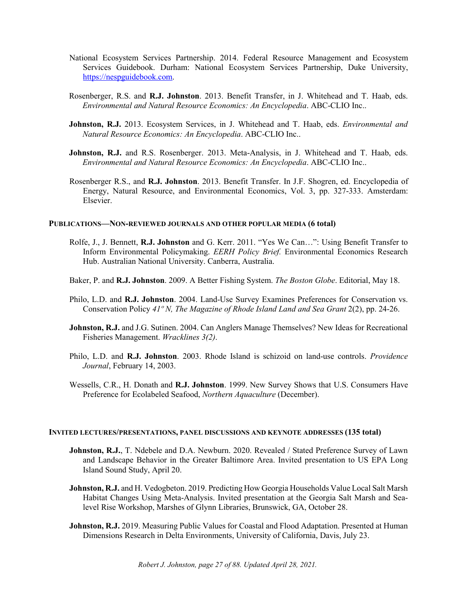- National Ecosystem Services Partnership. 2014. Federal Resource Management and Ecosystem Services Guidebook. Durham: National Ecosystem Services Partnership, Duke University, [https://nespguidebook.com.](https://nespguidebook.com/)
- Rosenberger, R.S. and **R.J. Johnston**. 2013. Benefit Transfer, in J. Whitehead and T. Haab, eds. *Environmental and Natural Resource Economics: An Encyclopedia*. ABC-CLIO Inc..
- **Johnston, R.J.** 2013. Ecosystem Services, in J. Whitehead and T. Haab, eds. *Environmental and Natural Resource Economics: An Encyclopedia*. ABC-CLIO Inc..
- **Johnston, R.J.** and R.S. Rosenberger. 2013. Meta-Analysis, in J. Whitehead and T. Haab, eds. *Environmental and Natural Resource Economics: An Encyclopedia*. ABC-CLIO Inc..
- Rosenberger R.S., and **R.J. Johnston**. 2013. Benefit Transfer. In J.F. Shogren, ed. Encyclopedia of Energy, Natural Resource, and Environmental Economics, Vol. 3, pp. 327-333. Amsterdam: Elsevier.

#### **PUBLICATIONS—NON-REVIEWED JOURNALS AND OTHER POPULAR MEDIA (6 total)**

- Rolfe, J., J. Bennett, **R.J. Johnston** and G. Kerr. 2011. "Yes We Can…": Using Benefit Transfer to Inform Environmental Policymaking. *EERH Policy Brief.* Environmental Economics Research Hub. Australian National University. Canberra, Australia.
- Baker, P. and **R.J. Johnston**. 2009. A Better Fishing System. *The Boston Globe*. Editorial, May 18.
- Philo, L.D. and **R.J. Johnston**. 2004. Land-Use Survey Examines Preferences for Conservation vs. Conservation Policy *41º N, The Magazine of Rhode Island Land and Sea Grant* 2(2), pp. 24-26.
- **Johnston, R.J.** and J.G. Sutinen. 2004. Can Anglers Manage Themselves? New Ideas for Recreational Fisheries Management. *Wracklines 3(2)*.
- Philo, L.D. and **R.J. Johnston**. 2003. Rhode Island is schizoid on land-use controls. *Providence Journal*, February 14, 2003.
- Wessells, C.R., H. Donath and **R.J. Johnston**. 1999. New Survey Shows that U.S. Consumers Have Preference for Ecolabeled Seafood, *Northern Aquaculture* (December).

#### **INVITED LECTURES/PRESENTATIONS, PANEL DISCUSSIONS AND KEYNOTE ADDRESSES (135 total)**

- **Johnston, R.J.,** T. Ndebele and D.A. Newburn. 2020. Revealed / Stated Preference Survey of Lawn and Landscape Behavior in the Greater Baltimore Area. Invited presentation to US EPA Long Island Sound Study, April 20.
- **Johnston, R.J.** and H. Vedogbeton. 2019. Predicting How Georgia Households Value Local Salt Marsh Habitat Changes Using Meta-Analysis. Invited presentation at the Georgia Salt Marsh and Sealevel Rise Workshop, Marshes of Glynn Libraries, Brunswick, GA, October 28.
- Johnston, R.J. 2019. Measuring Public Values for Coastal and Flood Adaptation. Presented at Human Dimensions Research in Delta Environments, University of California, Davis, July 23.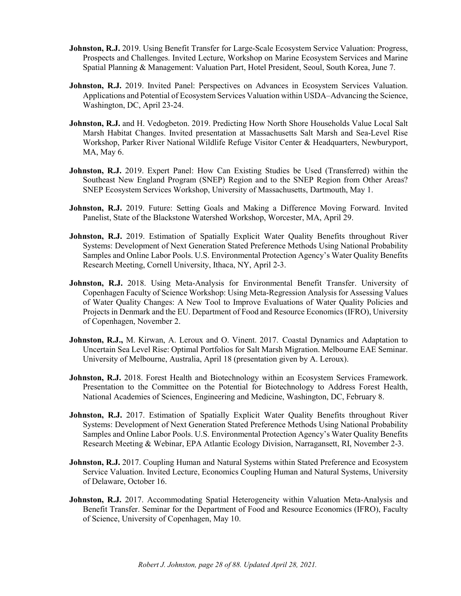- **Johnston, R.J.** 2019. Using Benefit Transfer for Large-Scale Ecosystem Service Valuation: Progress, Prospects and Challenges. Invited Lecture, Workshop on Marine Ecosystem Services and Marine Spatial Planning & Management: Valuation Part, Hotel President, Seoul, South Korea, June 7.
- **Johnston, R.J.** 2019. Invited Panel: Perspectives on Advances in Ecosystem Services Valuation. Applications and Potential of Ecosystem Services Valuation within USDA–Advancing the Science, Washington, DC, April 23-24.
- **Johnston, R.J.** and H. Vedogbeton. 2019. Predicting How North Shore Households Value Local Salt Marsh Habitat Changes. Invited presentation at Massachusetts Salt Marsh and Sea-Level Rise Workshop, Parker River National Wildlife Refuge Visitor Center & Headquarters, Newburyport, MA, May 6.
- **Johnston, R.J.** 2019. Expert Panel: How Can Existing Studies be Used (Transferred) within the Southeast New England Program (SNEP) Region and to the SNEP Region from Other Areas? SNEP Ecosystem Services Workshop, University of Massachusetts, Dartmouth, May 1.
- **Johnston, R.J.** 2019. Future: Setting Goals and Making a Difference Moving Forward. Invited Panelist, State of the Blackstone Watershed Workshop, Worcester, MA, April 29.
- **Johnston, R.J.** 2019. Estimation of Spatially Explicit Water Quality Benefits throughout River Systems: Development of Next Generation Stated Preference Methods Using National Probability Samples and Online Labor Pools. U.S. Environmental Protection Agency's Water Quality Benefits Research Meeting, Cornell University, Ithaca, NY, April 2-3.
- **Johnston, R.J.** 2018. Using Meta-Analysis for Environmental Benefit Transfer. University of Copenhagen Faculty of Science Workshop: Using Meta-Regression Analysis for Assessing Values of Water Quality Changes: A New Tool to Improve Evaluations of Water Quality Policies and Projects in Denmark and the EU. Department of Food and Resource Economics (IFRO), University of Copenhagen, November 2.
- **Johnston, R.J.,** M. Kirwan, A. Leroux and O. Vinent. 2017. Coastal Dynamics and Adaptation to Uncertain Sea Level Rise: Optimal Portfolios for Salt Marsh Migration. Melbourne EAE Seminar. University of Melbourne, Australia, April 18 (presentation given by A. Leroux).
- **Johnston, R.J.** 2018. Forest Health and Biotechnology within an Ecosystem Services Framework. Presentation to the Committee on the Potential for Biotechnology to Address Forest Health, National Academies of Sciences, Engineering and Medicine, Washington, DC, February 8.
- **Johnston, R.J.** 2017. Estimation of Spatially Explicit Water Quality Benefits throughout River Systems: Development of Next Generation Stated Preference Methods Using National Probability Samples and Online Labor Pools. U.S. Environmental Protection Agency's Water Quality Benefits Research Meeting & Webinar, EPA Atlantic Ecology Division, Narragansett, RI, November 2-3.
- **Johnston, R.J.** 2017. Coupling Human and Natural Systems within Stated Preference and Ecosystem Service Valuation. Invited Lecture, Economics Coupling Human and Natural Systems, University of Delaware, October 16.
- **Johnston, R.J.** 2017. Accommodating Spatial Heterogeneity within Valuation Meta-Analysis and Benefit Transfer. Seminar for the Department of Food and Resource Economics (IFRO), Faculty of Science, University of Copenhagen, May 10.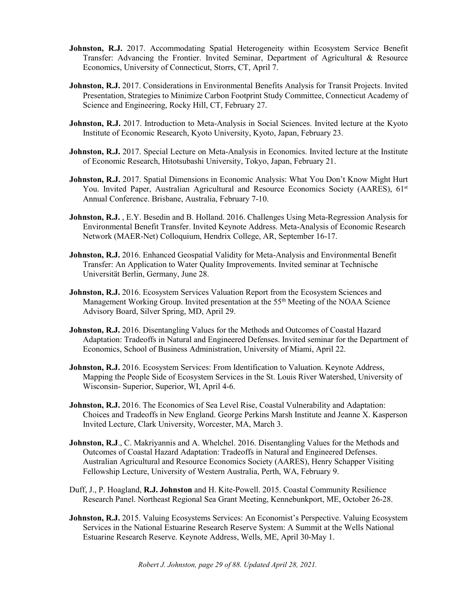- **Johnston, R.J.** 2017. Accommodating Spatial Heterogeneity within Ecosystem Service Benefit Transfer: Advancing the Frontier. Invited Seminar, Department of Agricultural & Resource Economics, University of Connecticut, Storrs, CT, April 7.
- **Johnston, R.J.** 2017. Considerations in Environmental Benefits Analysis for Transit Projects. Invited Presentation, Strategies to Minimize Carbon Footprint Study Committee, Connecticut Academy of Science and Engineering, Rocky Hill, CT, February 27.
- **Johnston, R.J.** 2017. Introduction to Meta-Analysis in Social Sciences. Invited lecture at the Kyoto Institute of Economic Research, Kyoto University, Kyoto, Japan, February 23.
- **Johnston, R.J.** 2017. Special Lecture on Meta-Analysis in Economics. Invited lecture at the Institute of Economic Research, Hitotsubashi University, Tokyo, Japan, February 21.
- **Johnston, R.J.** 2017. Spatial Dimensions in Economic Analysis: What You Don't Know Might Hurt You. Invited Paper, Australian Agricultural and Resource Economics Society (AARES), 61<sup>st</sup> Annual Conference. Brisbane, Australia, February 7-10.
- **Johnston, R.J.** , E.Y. Besedin and B. Holland. 2016. Challenges Using Meta-Regression Analysis for Environmental Benefit Transfer. Invited Keynote Address. Meta-Analysis of Economic Research Network (MAER-Net) Colloquium, Hendrix College, AR, September 16-17.
- **Johnston, R.J.** 2016. Enhanced Geospatial Validity for Meta-Analysis and Environmental Benefit Transfer: An Application to Water Quality Improvements. Invited seminar at Technische Universität Berlin, Germany, June 28.
- **Johnston, R.J.** 2016. Ecosystem Services Valuation Report from the Ecosystem Sciences and Management Working Group. Invited presentation at the 55<sup>th</sup> Meeting of the NOAA Science Advisory Board, Silver Spring, MD, April 29.
- **Johnston, R.J.** 2016. Disentangling Values for the Methods and Outcomes of Coastal Hazard Adaptation: Tradeoffs in Natural and Engineered Defenses. Invited seminar for the Department of Economics, School of Business Administration, University of Miami, April 22.
- **Johnston, R.J.** 2016. Ecosystem Services: From Identification to Valuation. Keynote Address, Mapping the People Side of Ecosystem Services in the St. Louis River Watershed, University of Wisconsin- Superior, Superior, WI, April 4-6.
- **Johnston, R.J.** 2016. The Economics of Sea Level Rise, Coastal Vulnerability and Adaptation: Choices and Tradeoffs in New England. George Perkins Marsh Institute and Jeanne X. Kasperson Invited Lecture, Clark University, Worcester, MA, March 3.
- **Johnston, R.J., C.** Makriyannis and A. Whelchel. 2016. Disentangling Values for the Methods and Outcomes of Coastal Hazard Adaptation: Tradeoffs in Natural and Engineered Defenses. Australian Agricultural and Resource Economics Society (AARES), Henry Schapper Visiting Fellowship Lecture, University of Western Australia, Perth, WA, February 9.
- Duff, J., P. Hoagland, **R.J. Johnston** and H. Kite-Powell. 2015. Coastal Community Resilience Research Panel. Northeast Regional Sea Grant Meeting, Kennebunkport, ME, October 26-28.
- Johnston, R.J. 2015. Valuing Ecosystems Services: An Economist's Perspective. Valuing Ecosystem Services in the National Estuarine Research Reserve System: A Summit at the Wells National Estuarine Research Reserve. Keynote Address, Wells, ME, April 30-May 1.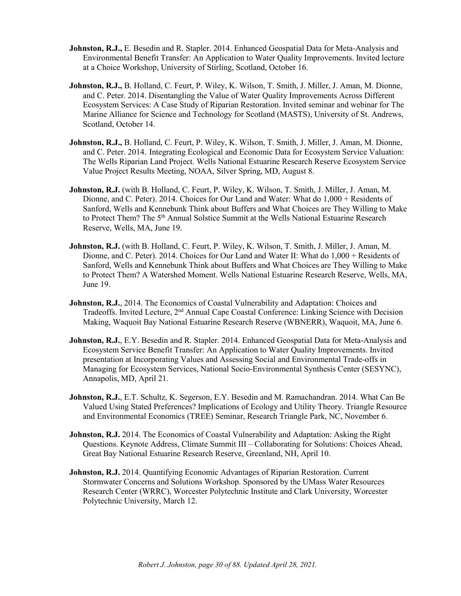- **Johnston, R.J.,** E. Besedin and R. Stapler. 2014. Enhanced Geospatial Data for Meta-Analysis and Environmental Benefit Transfer: An Application to Water Quality Improvements. Invited lecture at a Choice Workshop, University of Stirling, Scotland, October 16.
- **Johnston, R.J.,** B. Holland, C. Feurt, P. Wiley, K. Wilson, T. Smith, J. Miller, J. Aman, M. Dionne, and C. Peter. 2014. Disentangling the Value of Water Quality Improvements Across Different Ecosystem Services: A Case Study of Riparian Restoration. Invited seminar and webinar for The Marine Alliance for Science and Technology for Scotland (MASTS), University of St. Andrews, Scotland, October 14.
- **Johnston, R.J.,** B. Holland, C. Feurt, P. Wiley, K. Wilson, T. Smith, J. Miller, J. Aman, M. Dionne, and C. Peter. 2014. Integrating Ecological and Economic Data for Ecosystem Service Valuation: The Wells Riparian Land Project. Wells National Estuarine Research Reserve Ecosystem Service Value Project Results Meeting, NOAA, Silver Spring, MD, August 8.
- **Johnston, R.J.** (with B. Holland, C. Feurt, P. Wiley, K. Wilson, T. Smith, J. Miller, J. Aman, M. Dionne, and C. Peter). 2014. Choices for Our Land and Water: What do 1,000 + Residents of Sanford, Wells and Kennebunk Think about Buffers and What Choices are They Willing to Make to Protect Them? The 5<sup>th</sup> Annual Solstice Summit at the Wells National Estuarine Research Reserve, Wells, MA, June 19.
- **Johnston, R.J.** (with B. Holland, C. Feurt, P. Wiley, K. Wilson, T. Smith, J. Miller, J. Aman, M. Dionne, and C. Peter). 2014. Choices for Our Land and Water II: What do 1,000 + Residents of Sanford, Wells and Kennebunk Think about Buffers and What Choices are They Willing to Make to Protect Them? A Watershed Moment. Wells National Estuarine Research Reserve, Wells, MA, June 19.
- **Johnston, R.J.**, 2014. The Economics of Coastal Vulnerability and Adaptation: Choices and Tradeoffs. Invited Lecture, 2nd Annual Cape Coastal Conference: Linking Science with Decision Making, Waquoit Bay National Estuarine Research Reserve (WBNERR), Waquoit, MA, June 6.
- **Johnston, R.J.**, E.Y. Besedin and R. Stapler. 2014. Enhanced Geospatial Data for Meta-Analysis and Ecosystem Service Benefit Transfer: An Application to Water Quality Improvements. Invited presentation at Incorporating Values and Assessing Social and Environmental Trade-offs in Managing for Ecosystem Services, National Socio-Environmental Synthesis Center (SESYNC), Annapolis, MD, April 21.
- **Johnston, R.J.**, E.T. Schultz, K. Segerson, E.Y. Besedin and M. Ramachandran. 2014. What Can Be Valued Using Stated Preferences? Implications of Ecology and Utility Theory. Triangle Resource and Environmental Economics (TREE) Seminar, Research Triangle Park, NC, November 6.
- **Johnston, R.J.** 2014. The Economics of Coastal Vulnerability and Adaptation: Asking the Right Questions. Keynote Address, Climate Summit III – Collaborating for Solutions: Choices Ahead, Great Bay National Estuarine Research Reserve, Greenland, NH, April 10.
- **Johnston, R.J.** 2014. Quantifying Economic Advantages of Riparian Restoration. Current Stormwater Concerns and Solutions Workshop. Sponsored by the UMass Water Resources Research Center (WRRC), Worcester Polytechnic Institute and Clark University, Worcester Polytechnic University, March 12.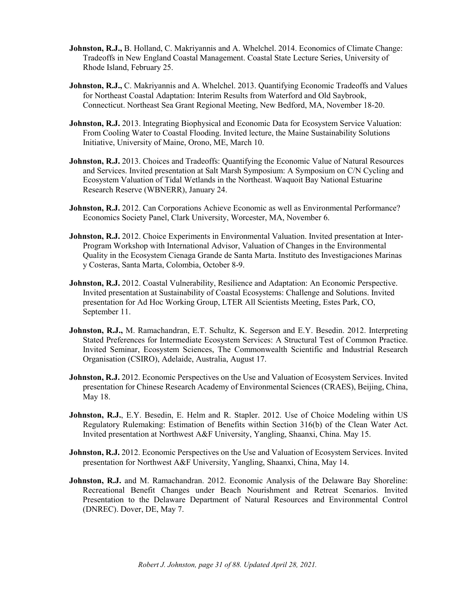- **Johnston, R.J.,** B. Holland, C. Makriyannis and A. Whelchel. 2014. Economics of Climate Change: Tradeoffs in New England Coastal Management. Coastal State Lecture Series, University of Rhode Island, February 25.
- **Johnston, R.J.,** C. Makriyannis and A. Whelchel. 2013. Quantifying Economic Tradeoffs and Values for Northeast Coastal Adaptation: Interim Results from Waterford and Old Saybrook, Connecticut. Northeast Sea Grant Regional Meeting, New Bedford, MA, November 18-20.
- **Johnston, R.J.** 2013. Integrating Biophysical and Economic Data for Ecosystem Service Valuation: From Cooling Water to Coastal Flooding. Invited lecture, the Maine Sustainability Solutions Initiative, University of Maine, Orono, ME, March 10.
- **Johnston, R.J.** 2013. Choices and Tradeoffs: Quantifying the Economic Value of Natural Resources and Services. Invited presentation at Salt Marsh Symposium: A Symposium on C/N Cycling and Ecosystem Valuation of Tidal Wetlands in the Northeast. Waquoit Bay National Estuarine Research Reserve (WBNERR), January 24.
- **Johnston, R.J.** 2012. Can Corporations Achieve Economic as well as Environmental Performance? Economics Society Panel, Clark University, Worcester, MA, November 6.
- **Johnston, R.J.** 2012. Choice Experiments in Environmental Valuation. Invited presentation at Inter-Program Workshop with International Advisor, Valuation of Changes in the Environmental Quality in the Ecosystem Cienaga Grande de Santa Marta. Instituto des Investigaciones Marinas y Costeras, Santa Marta, Colombia, October 8-9.
- **Johnston, R.J.** 2012. Coastal Vulnerability, Resilience and Adaptation: An Economic Perspective. Invited presentation at Sustainability of Coastal Ecosystems: Challenge and Solutions. Invited presentation for Ad Hoc Working Group, LTER All Scientists Meeting, Estes Park, CO, September 11.
- **Johnston, R.J.,** M. Ramachandran, E.T. Schultz, K. Segerson and E.Y. Besedin. 2012. Interpreting Stated Preferences for Intermediate Ecosystem Services: A Structural Test of Common Practice. Invited Seminar, Ecosystem Sciences, The Commonwealth Scientific and Industrial Research Organisation (CSIRO), Adelaide, Australia, August 17.
- **Johnston, R.J.** 2012. Economic Perspectives on the Use and Valuation of Ecosystem Services. Invited presentation for Chinese Research Academy of Environmental Sciences (CRAES), Beijing, China, May 18.
- **Johnston, R.J.**, E.Y. Besedin, E. Helm and R. Stapler. 2012. Use of Choice Modeling within US Regulatory Rulemaking: Estimation of Benefits within Section 316(b) of the Clean Water Act. Invited presentation at Northwest A&F University, Yangling, Shaanxi, China. May 15.
- **Johnston, R.J.** 2012. Economic Perspectives on the Use and Valuation of Ecosystem Services. Invited presentation for Northwest A&F University, Yangling, Shaanxi, China, May 14.
- Johnston, R.J. and M. Ramachandran. 2012. Economic Analysis of the Delaware Bay Shoreline: Recreational Benefit Changes under Beach Nourishment and Retreat Scenarios. Invited Presentation to the Delaware Department of Natural Resources and Environmental Control (DNREC). Dover, DE, May 7.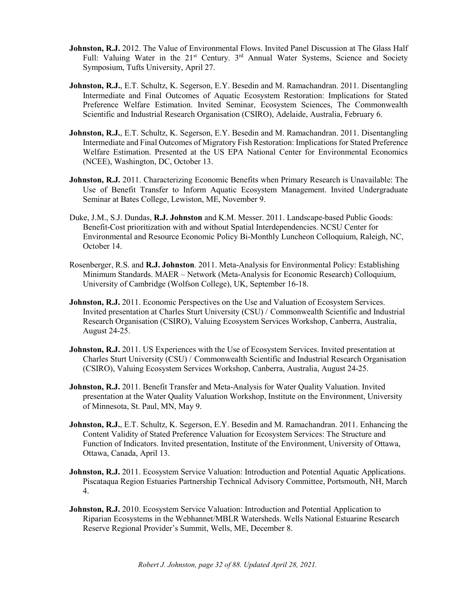- **Johnston, R.J.** 2012. The Value of Environmental Flows. Invited Panel Discussion at The Glass Half Full: Valuing Water in the 21<sup>st</sup> Century. 3<sup>rd</sup> Annual Water Systems, Science and Society Symposium, Tufts University, April 27.
- **Johnston, R.J.**, E.T. Schultz, K. Segerson, E.Y. Besedin and M. Ramachandran. 2011. Disentangling Intermediate and Final Outcomes of Aquatic Ecosystem Restoration: Implications for Stated Preference Welfare Estimation. Invited Seminar, Ecosystem Sciences, The Commonwealth Scientific and Industrial Research Organisation (CSIRO), Adelaide, Australia, February 6.
- **Johnston, R.J.**, E.T. Schultz, K. Segerson, E.Y. Besedin and M. Ramachandran. 2011. Disentangling Intermediate and Final Outcomes of Migratory Fish Restoration: Implications for Stated Preference Welfare Estimation. Presented at the US EPA National Center for Environmental Economics (NCEE), Washington, DC, October 13.
- **Johnston, R.J.** 2011. Characterizing Economic Benefits when Primary Research is Unavailable: The Use of Benefit Transfer to Inform Aquatic Ecosystem Management. Invited Undergraduate Seminar at Bates College, Lewiston, ME, November 9.
- Duke, J.M., S.J. Dundas, **R.J. Johnston** and K.M. Messer. 2011. Landscape-based Public Goods: Benefit-Cost prioritization with and without Spatial Interdependencies. NCSU Center for Environmental and Resource Economic Policy Bi-Monthly Luncheon Colloquium, Raleigh, NC, October 14.
- Rosenberger, R.S. and **R.J. Johnston**. 2011. Meta-Analysis for Environmental Policy: Establishing Minimum Standards. MAER – Network (Meta-Analysis for Economic Research) Colloquium, University of Cambridge (Wolfson College), UK, September 16-18.
- **Johnston, R.J.** 2011. Economic Perspectives on the Use and Valuation of Ecosystem Services. Invited presentation at Charles Sturt University (CSU) / Commonwealth Scientific and Industrial Research Organisation (CSIRO), Valuing Ecosystem Services Workshop, Canberra, Australia, August 24-25.
- **Johnston, R.J.** 2011. US Experiences with the Use of Ecosystem Services. Invited presentation at Charles Sturt University (CSU) / Commonwealth Scientific and Industrial Research Organisation (CSIRO), Valuing Ecosystem Services Workshop, Canberra, Australia, August 24-25.
- **Johnston, R.J.** 2011. Benefit Transfer and Meta-Analysis for Water Quality Valuation. Invited presentation at the Water Quality Valuation Workshop, Institute on the Environment, University of Minnesota, St. Paul, MN, May 9.
- **Johnston, R.J.,** E.T. Schultz, K. Segerson, E.Y. Besedin and M. Ramachandran. 2011. Enhancing the Content Validity of Stated Preference Valuation for Ecosystem Services: The Structure and Function of Indicators. Invited presentation, Institute of the Environment, University of Ottawa, Ottawa, Canada, April 13.
- **Johnston, R.J.** 2011. Ecosystem Service Valuation: Introduction and Potential Aquatic Applications. Piscataqua Region Estuaries Partnership Technical Advisory Committee, Portsmouth, NH, March 4.
- Johnston, R.J. 2010. Ecosystem Service Valuation: Introduction and Potential Application to Riparian Ecosystems in the Webhannet/MBLR Watersheds. Wells National Estuarine Research Reserve Regional Provider's Summit, Wells, ME, December 8.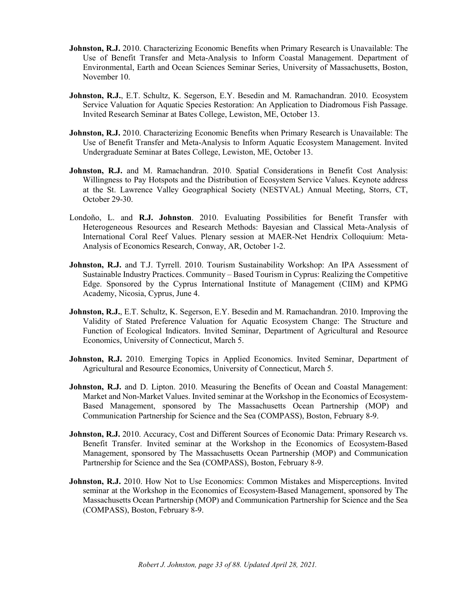- **Johnston, R.J.** 2010. Characterizing Economic Benefits when Primary Research is Unavailable: The Use of Benefit Transfer and Meta-Analysis to Inform Coastal Management. Department of Environmental, Earth and Ocean Sciences Seminar Series, University of Massachusetts, Boston, November 10.
- **Johnston, R.J.**, E.T. Schultz, K. Segerson, E.Y. Besedin and M. Ramachandran. 2010. Ecosystem Service Valuation for Aquatic Species Restoration: An Application to Diadromous Fish Passage. Invited Research Seminar at Bates College, Lewiston, ME, October 13.
- **Johnston, R.J.** 2010. Characterizing Economic Benefits when Primary Research is Unavailable: The Use of Benefit Transfer and Meta-Analysis to Inform Aquatic Ecosystem Management. Invited Undergraduate Seminar at Bates College, Lewiston, ME, October 13.
- **Johnston, R.J.** and M. Ramachandran. 2010. Spatial Considerations in Benefit Cost Analysis: Willingness to Pay Hotspots and the Distribution of Ecosystem Service Values. Keynote address at the St. Lawrence Valley Geographical Society (NESTVAL) Annual Meeting, Storrs, CT, October 29-30.
- Londoño, L. and **R.J. Johnston**. 2010. Evaluating Possibilities for Benefit Transfer with Heterogeneous Resources and Research Methods: Bayesian and Classical Meta-Analysis of International Coral Reef Values. Plenary session at MAER-Net Hendrix Colloquium: Meta-Analysis of Economics Research, Conway, AR, October 1-2.
- Johnston, R.J. and T.J. Tyrrell. 2010. Tourism Sustainability Workshop: An IPA Assessment of Sustainable Industry Practices. Community – Based Tourism in Cyprus: Realizing the Competitive Edge. Sponsored by the Cyprus International Institute of Management (CIIM) and KPMG Academy, Nicosia, Cyprus, June 4.
- **Johnston, R.J., E.T. Schultz, K. Segerson, E.Y. Besedin and M. Ramachandran. 2010. Improving the** Validity of Stated Preference Valuation for Aquatic Ecosystem Change: The Structure and Function of Ecological Indicators. Invited Seminar, Department of Agricultural and Resource Economics, University of Connecticut, March 5.
- **Johnston, R.J.** 2010. Emerging Topics in Applied Economics. Invited Seminar, Department of Agricultural and Resource Economics, University of Connecticut, March 5.
- **Johnston, R.J.** and D. Lipton. 2010. Measuring the Benefits of Ocean and Coastal Management: Market and Non-Market Values. Invited seminar at the Workshop in the Economics of Ecosystem-Based Management, sponsored by The Massachusetts Ocean Partnership (MOP) and Communication Partnership for Science and the Sea (COMPASS), Boston, February 8-9.
- Johnston, R.J. 2010. Accuracy, Cost and Different Sources of Economic Data: Primary Research vs. Benefit Transfer. Invited seminar at the Workshop in the Economics of Ecosystem-Based Management, sponsored by The Massachusetts Ocean Partnership (MOP) and Communication Partnership for Science and the Sea (COMPASS), Boston, February 8-9.
- **Johnston, R.J.** 2010. How Not to Use Economics: Common Mistakes and Misperceptions. Invited seminar at the Workshop in the Economics of Ecosystem-Based Management, sponsored by The Massachusetts Ocean Partnership (MOP) and Communication Partnership for Science and the Sea (COMPASS), Boston, February 8-9.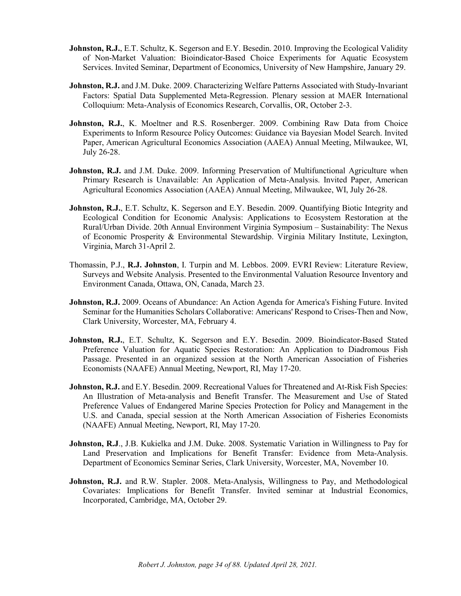- **Johnston, R.J.**, E.T. Schultz, K. Segerson and E.Y. Besedin. 2010. Improving the Ecological Validity of Non-Market Valuation: Bioindicator-Based Choice Experiments for Aquatic Ecosystem Services. Invited Seminar, Department of Economics, University of New Hampshire, January 29.
- **Johnston, R.J.** and J.M. Duke. 2009. Characterizing Welfare Patterns Associated with Study-Invariant Factors: Spatial Data Supplemented Meta-Regression. Plenary session at MAER International Colloquium: Meta-Analysis of Economics Research, Corvallis, OR, October 2-3.
- **Johnston, R.J.**, K. Moeltner and R.S. Rosenberger. 2009. Combining Raw Data from Choice Experiments to Inform Resource Policy Outcomes: Guidance via Bayesian Model Search. Invited Paper, American Agricultural Economics Association (AAEA) Annual Meeting, Milwaukee, WI, July 26-28.
- **Johnston, R.J.** and J.M. Duke. 2009. Informing Preservation of Multifunctional Agriculture when Primary Research is Unavailable: An Application of Meta-Analysis. Invited Paper, American Agricultural Economics Association (AAEA) Annual Meeting, Milwaukee, WI, July 26-28.
- **Johnston, R.J.**, E.T. Schultz, K. Segerson and E.Y. Besedin. 2009. Quantifying Biotic Integrity and Ecological Condition for Economic Analysis: Applications to Ecosystem Restoration at the Rural/Urban Divide. 20th Annual Environment Virginia Symposium – Sustainability: The Nexus of Economic Prosperity & Environmental Stewardship. Virginia Military Institute, Lexington, Virginia, March 31-April 2.
- Thomassin, P.J., **R.J. Johnston**, I. Turpin and M. Lebbos. 2009. EVRI Review: Literature Review, Surveys and Website Analysis. Presented to the Environmental Valuation Resource Inventory and Environment Canada, Ottawa, ON, Canada, March 23.
- **Johnston, R.J.** 2009. Oceans of Abundance: An Action Agenda for America's Fishing Future. Invited Seminar for the Humanities Scholars Collaborative: Americans' Respond to Crises-Then and Now, Clark University, Worcester, MA, February 4.
- Johnston, R.J., E.T. Schultz, K. Segerson and E.Y. Besedin. 2009. Bioindicator-Based Stated Preference Valuation for Aquatic Species Restoration: An Application to Diadromous Fish Passage. Presented in an organized session at the North American Association of Fisheries Economists (NAAFE) Annual Meeting, Newport, RI, May 17-20.
- **Johnston, R.J.** and E.Y. Besedin. 2009. Recreational Values for Threatened and At-Risk Fish Species: An Illustration of Meta-analysis and Benefit Transfer. The Measurement and Use of Stated Preference Values of Endangered Marine Species Protection for Policy and Management in the U.S. and Canada, special session at the North American Association of Fisheries Economists (NAAFE) Annual Meeting, Newport, RI, May 17-20.
- **Johnston, R.J**., J.B. Kukielka and J.M. Duke. 2008. Systematic Variation in Willingness to Pay for Land Preservation and Implications for Benefit Transfer: Evidence from Meta-Analysis. Department of Economics Seminar Series, Clark University, Worcester, MA, November 10.
- **Johnston, R.J.** and R.W. Stapler. 2008. Meta-Analysis, Willingness to Pay, and Methodological Covariates: Implications for Benefit Transfer. Invited seminar at Industrial Economics, Incorporated, Cambridge, MA, October 29.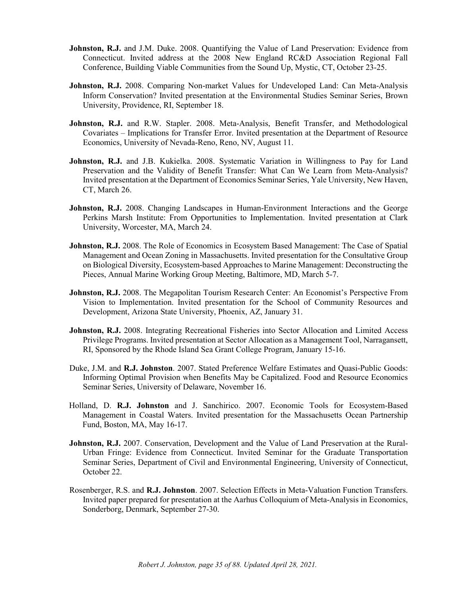- **Johnston, R.J.** and J.M. Duke. 2008. Quantifying the Value of Land Preservation: Evidence from Connecticut. Invited address at the 2008 New England RC&D Association Regional Fall Conference, Building Viable Communities from the Sound Up, Mystic, CT, October 23-25.
- **Johnston, R.J.** 2008. Comparing Non-market Values for Undeveloped Land: Can Meta-Analysis Inform Conservation? Invited presentation at the Environmental Studies Seminar Series, Brown University, Providence, RI, September 18.
- **Johnston, R.J.** and R.W. Stapler. 2008. Meta-Analysis, Benefit Transfer, and Methodological Covariates – Implications for Transfer Error. Invited presentation at the Department of Resource Economics, University of Nevada-Reno, Reno, NV, August 11.
- Johnston, R.J. and J.B. Kukielka. 2008. Systematic Variation in Willingness to Pay for Land Preservation and the Validity of Benefit Transfer: What Can We Learn from Meta-Analysis? Invited presentation at the Department of Economics Seminar Series, Yale University, New Haven, CT, March 26.
- **Johnston, R.J.** 2008. Changing Landscapes in Human-Environment Interactions and the George Perkins Marsh Institute: From Opportunities to Implementation. Invited presentation at Clark University, Worcester, MA, March 24.
- **Johnston, R.J.** 2008. The Role of Economics in Ecosystem Based Management: The Case of Spatial Management and Ocean Zoning in Massachusetts. Invited presentation for the Consultative Group on Biological Diversity, Ecosystem-based Approaches to Marine Management: Deconstructing the Pieces, Annual Marine Working Group Meeting, Baltimore, MD, March 5-7.
- **Johnston, R.J.** 2008. The Megapolitan Tourism Research Center: An Economist's Perspective From Vision to Implementation. Invited presentation for the School of Community Resources and Development, Arizona State University, Phoenix, AZ, January 31.
- **Johnston, R.J.** 2008. Integrating Recreational Fisheries into Sector Allocation and Limited Access Privilege Programs. Invited presentation at Sector Allocation as a Management Tool, Narragansett, RI, Sponsored by the Rhode Island Sea Grant College Program, January 15-16.
- Duke, J.M. and **R.J. Johnston**. 2007. Stated Preference Welfare Estimates and Quasi-Public Goods: Informing Optimal Provision when Benefits May be Capitalized. Food and Resource Economics Seminar Series, University of Delaware, November 16.
- Holland, D. **R.J. Johnston** and J. Sanchirico. 2007. Economic Tools for Ecosystem-Based Management in Coastal Waters. Invited presentation for the Massachusetts Ocean Partnership Fund, Boston, MA, May 16-17.
- **Johnston, R.J.** 2007. Conservation, Development and the Value of Land Preservation at the Rural-Urban Fringe: Evidence from Connecticut. Invited Seminar for the Graduate Transportation Seminar Series, Department of Civil and Environmental Engineering, University of Connecticut, October 22.
- Rosenberger, R.S. and **R.J. Johnston**. 2007. Selection Effects in Meta-Valuation Function Transfers. Invited paper prepared for presentation at the Aarhus Colloquium of Meta-Analysis in Economics, Sonderborg, Denmark, September 27-30.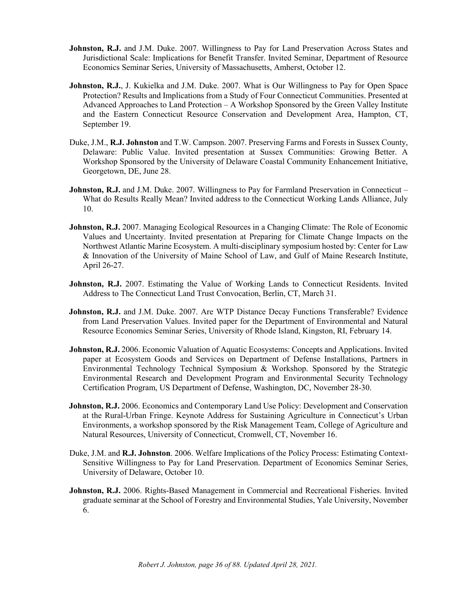- **Johnston, R.J.** and J.M. Duke. 2007. Willingness to Pay for Land Preservation Across States and Jurisdictional Scale: Implications for Benefit Transfer. Invited Seminar, Department of Resource Economics Seminar Series, University of Massachusetts, Amherst, October 12.
- **Johnston, R.J.**, J. Kukielka and J.M. Duke. 2007. What is Our Willingness to Pay for Open Space Protection? Results and Implications from a Study of Four Connecticut Communities. Presented at Advanced Approaches to Land Protection – A Workshop Sponsored by the Green Valley Institute and the Eastern Connecticut Resource Conservation and Development Area, Hampton, CT, September 19.
- Duke, J.M., **R.J. Johnston** and T.W. Campson. 2007. Preserving Farms and Forests in Sussex County, Delaware: Public Value. Invited presentation at Sussex Communities: Growing Better. A Workshop Sponsored by the University of Delaware Coastal Community Enhancement Initiative, Georgetown, DE, June 28.
- **Johnston, R.J.** and J.M. Duke. 2007. Willingness to Pay for Farmland Preservation in Connecticut What do Results Really Mean? Invited address to the Connecticut Working Lands Alliance, July 10.
- **Johnston, R.J.** 2007. Managing Ecological Resources in a Changing Climate: The Role of Economic Values and Uncertainty. Invited presentation at Preparing for Climate Change Impacts on the Northwest Atlantic Marine Ecosystem. A multi-disciplinary symposium hosted by: Center for Law & Innovation of the University of Maine School of Law, and Gulf of Maine Research Institute, April 26-27.
- **Johnston, R.J.** 2007. Estimating the Value of Working Lands to Connecticut Residents. Invited Address to The Connecticut Land Trust Convocation, Berlin, CT, March 31.
- **Johnston, R.J.** and J.M. Duke. 2007. Are WTP Distance Decay Functions Transferable? Evidence from Land Preservation Values. Invited paper for the Department of Environmental and Natural Resource Economics Seminar Series, University of Rhode Island, Kingston, RI, February 14.
- **Johnston, R.J.** 2006. Economic Valuation of Aquatic Ecosystems: Concepts and Applications. Invited paper at Ecosystem Goods and Services on Department of Defense Installations, Partners in Environmental Technology Technical Symposium & Workshop. Sponsored by the Strategic Environmental Research and Development Program and Environmental Security Technology Certification Program, US Department of Defense, Washington, DC, November 28-30.
- **Johnston, R.J.** 2006. Economics and Contemporary Land Use Policy: Development and Conservation at the Rural-Urban Fringe. Keynote Address for Sustaining Agriculture in Connecticut's Urban Environments, a workshop sponsored by the Risk Management Team, College of Agriculture and Natural Resources, University of Connecticut, Cromwell, CT, November 16.
- Duke, J.M. and **R.J. Johnston**. 2006. Welfare Implications of the Policy Process: Estimating Context-Sensitive Willingness to Pay for Land Preservation. Department of Economics Seminar Series, University of Delaware, October 10.
- **Johnston, R.J.** 2006. Rights-Based Management in Commercial and Recreational Fisheries. Invited graduate seminar at the School of Forestry and Environmental Studies, Yale University, November 6.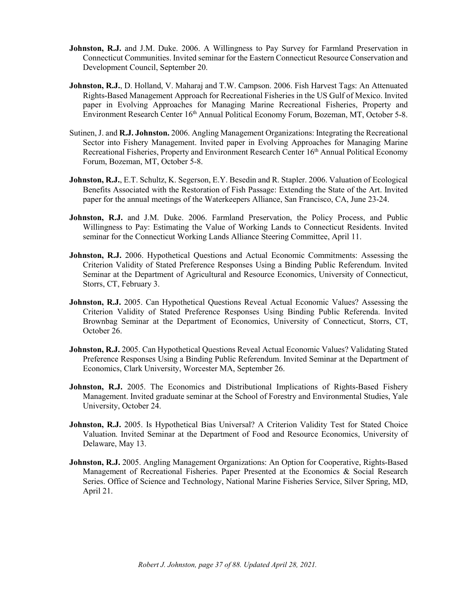- **Johnston, R.J.** and J.M. Duke. 2006. A Willingness to Pay Survey for Farmland Preservation in Connecticut Communities. Invited seminar for the Eastern Connecticut Resource Conservation and Development Council, September 20.
- **Johnston, R.J.**, D. Holland, V. Maharaj and T.W. Campson. 2006. Fish Harvest Tags: An Attenuated Rights-Based Management Approach for Recreational Fisheries in the US Gulf of Mexico. Invited paper in Evolving Approaches for Managing Marine Recreational Fisheries, Property and Environment Research Center 16<sup>th</sup> Annual Political Economy Forum, Bozeman, MT, October 5-8.
- Sutinen, J. and **R.J. Johnston.** 2006. Angling Management Organizations: Integrating the Recreational Sector into Fishery Management. Invited paper in Evolving Approaches for Managing Marine Recreational Fisheries, Property and Environment Research Center 16<sup>th</sup> Annual Political Economy Forum, Bozeman, MT, October 5-8.
- **Johnston, R.J.,** E.T. Schultz, K. Segerson, E.Y. Besedin and R. Stapler. 2006. Valuation of Ecological Benefits Associated with the Restoration of Fish Passage: Extending the State of the Art. Invited paper for the annual meetings of the Waterkeepers Alliance, San Francisco, CA, June 23-24.
- **Johnston, R.J.** and J.M. Duke. 2006. Farmland Preservation, the Policy Process, and Public Willingness to Pay: Estimating the Value of Working Lands to Connecticut Residents. Invited seminar for the Connecticut Working Lands Alliance Steering Committee, April 11.
- **Johnston, R.J.** 2006. Hypothetical Questions and Actual Economic Commitments: Assessing the Criterion Validity of Stated Preference Responses Using a Binding Public Referendum. Invited Seminar at the Department of Agricultural and Resource Economics, University of Connecticut, Storrs, CT, February 3.
- **Johnston, R.J.** 2005. Can Hypothetical Questions Reveal Actual Economic Values? Assessing the Criterion Validity of Stated Preference Responses Using Binding Public Referenda. Invited Brownbag Seminar at the Department of Economics, University of Connecticut, Storrs, CT, October 26.
- **Johnston, R.J.** 2005. Can Hypothetical Questions Reveal Actual Economic Values? Validating Stated Preference Responses Using a Binding Public Referendum. Invited Seminar at the Department of Economics, Clark University, Worcester MA, September 26.
- **Johnston, R.J.** 2005. The Economics and Distributional Implications of Rights-Based Fishery Management. Invited graduate seminar at the School of Forestry and Environmental Studies, Yale University, October 24.
- **Johnston, R.J.** 2005. Is Hypothetical Bias Universal? A Criterion Validity Test for Stated Choice Valuation. Invited Seminar at the Department of Food and Resource Economics, University of Delaware, May 13.
- **Johnston, R.J.** 2005. Angling Management Organizations: An Option for Cooperative, Rights-Based Management of Recreational Fisheries. Paper Presented at the Economics & Social Research Series. Office of Science and Technology, National Marine Fisheries Service, Silver Spring, MD, April 21.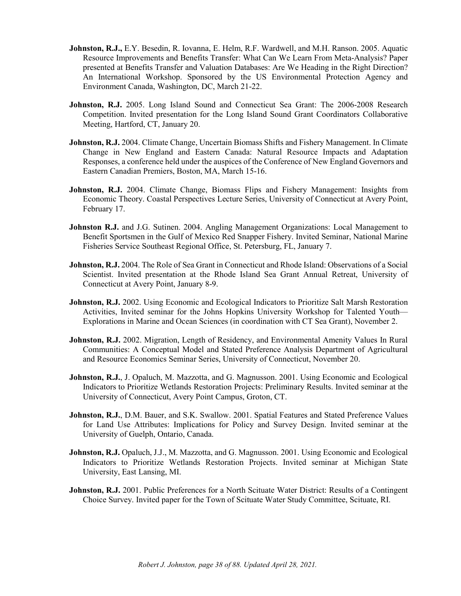- **Johnston, R.J.,** E.Y. Besedin, R. Iovanna, E. Helm, R.F. Wardwell, and M.H. Ranson. 2005. Aquatic Resource Improvements and Benefits Transfer: What Can We Learn From Meta-Analysis? Paper presented at Benefits Transfer and Valuation Databases: Are We Heading in the Right Direction? An International Workshop. Sponsored by the US Environmental Protection Agency and Environment Canada, Washington, DC, March 21-22.
- **Johnston, R.J.** 2005. Long Island Sound and Connecticut Sea Grant: The 2006-2008 Research Competition. Invited presentation for the Long Island Sound Grant Coordinators Collaborative Meeting, Hartford, CT, January 20.
- **Johnston, R.J.** 2004. Climate Change, Uncertain Biomass Shifts and Fishery Management. In Climate Change in New England and Eastern Canada: Natural Resource Impacts and Adaptation Responses, a conference held under the auspices of the Conference of New England Governors and Eastern Canadian Premiers, Boston, MA, March 15-16.
- Johnston, R.J. 2004. Climate Change, Biomass Flips and Fishery Management: Insights from Economic Theory. Coastal Perspectives Lecture Series, University of Connecticut at Avery Point, February 17.
- **Johnston R.J.** and J.G. Sutinen. 2004. Angling Management Organizations: Local Management to Benefit Sportsmen in the Gulf of Mexico Red Snapper Fishery. Invited Seminar, National Marine Fisheries Service Southeast Regional Office, St. Petersburg, FL, January 7.
- **Johnston, R.J.** 2004. The Role of Sea Grant in Connecticut and Rhode Island: Observations of a Social Scientist. Invited presentation at the Rhode Island Sea Grant Annual Retreat, University of Connecticut at Avery Point, January 8-9.
- **Johnston, R.J.** 2002. Using Economic and Ecological Indicators to Prioritize Salt Marsh Restoration Activities, Invited seminar for the Johns Hopkins University Workshop for Talented Youth— Explorations in Marine and Ocean Sciences (in coordination with CT Sea Grant), November 2.
- **Johnston, R.J.** 2002. Migration, Length of Residency, and Environmental Amenity Values In Rural Communities: A Conceptual Model and Stated Preference Analysis Department of Agricultural and Resource Economics Seminar Series, University of Connecticut, November 20.
- Johnston, R.J., J. Opaluch, M. Mazzotta, and G. Magnusson. 2001. Using Economic and Ecological Indicators to Prioritize Wetlands Restoration Projects: Preliminary Results. Invited seminar at the University of Connecticut, Avery Point Campus, Groton, CT.
- **Johnston, R.J.**, D.M. Bauer, and S.K. Swallow. 2001. Spatial Features and Stated Preference Values for Land Use Attributes: Implications for Policy and Survey Design. Invited seminar at the University of Guelph, Ontario, Canada.
- **Johnston, R.J.** Opaluch, J.J., M. Mazzotta, and G. Magnusson. 2001. Using Economic and Ecological Indicators to Prioritize Wetlands Restoration Projects. Invited seminar at Michigan State University, East Lansing, MI.
- **Johnston, R.J.** 2001. Public Preferences for a North Scituate Water District: Results of a Contingent Choice Survey. Invited paper for the Town of Scituate Water Study Committee, Scituate, RI.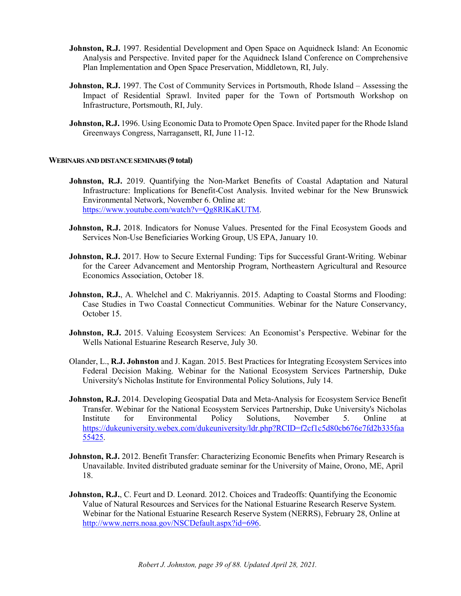- **Johnston, R.J.** 1997. Residential Development and Open Space on Aquidneck Island: An Economic Analysis and Perspective. Invited paper for the Aquidneck Island Conference on Comprehensive Plan Implementation and Open Space Preservation, Middletown, RI, July.
- **Johnston, R.J.** 1997. The Cost of Community Services in Portsmouth, Rhode Island Assessing the Impact of Residential Sprawl. Invited paper for the Town of Portsmouth Workshop on Infrastructure, Portsmouth, RI, July.
- **Johnston, R.J.** 1996. Using Economic Data to Promote Open Space. Invited paper for the Rhode Island Greenways Congress, Narragansett, RI, June 11-12.

## **WEBINARS AND DISTANCESEMINARS(9 total)**

- **Johnston, R.J.** 2019. Quantifying the Non-Market Benefits of Coastal Adaptation and Natural Infrastructure: Implications for Benefit-Cost Analysis. Invited webinar for the New Brunswick Environmental Network, November 6. Online at: [https://www.youtube.com/watch?v=Qg8RlKaKUTM.](https://www.youtube.com/watch?v=Qg8RlKaKUTM)
- **Johnston, R.J.** 2018. Indicators for Nonuse Values. Presented for the Final Ecosystem Goods and Services Non-Use Beneficiaries Working Group, US EPA, January 10.
- **Johnston, R.J.** 2017. How to Secure External Funding: Tips for Successful Grant-Writing. Webinar for the Career Advancement and Mentorship Program, Northeastern Agricultural and Resource Economics Association, October 18.
- **Johnston, R.J., A.** Whelchel and C. Makriyannis. 2015. Adapting to Coastal Storms and Flooding: Case Studies in Two Coastal Connecticut Communities. Webinar for the Nature Conservancy, October 15.
- **Johnston, R.J.** 2015. Valuing Ecosystem Services: An Economist's Perspective. Webinar for the Wells National Estuarine Research Reserve, July 30.
- Olander, L., **R.J. Johnston** and J. Kagan. 2015. Best Practices for Integrating Ecosystem Services into Federal Decision Making. Webinar for the National Ecosystem Services Partnership, Duke University's Nicholas Institute for Environmental Policy Solutions, July 14.
- **Johnston, R.J.** 2014. Developing Geospatial Data and Meta-Analysis for Ecosystem Service Benefit Transfer. Webinar for the National Ecosystem Services Partnership, Duke University's Nicholas Institute for Environmental Policy Solutions, November 5. Online at [https://dukeuniversity.webex.com/dukeuniversity/ldr.php?RCID=f2cf1c5d80cb676e7fd2b335faa](https://dukeuniversity.webex.com/dukeuniversity/ldr.php?RCID=f2cf1c5d80cb676e7fd2b335faa55425) [55425.](https://dukeuniversity.webex.com/dukeuniversity/ldr.php?RCID=f2cf1c5d80cb676e7fd2b335faa55425)
- **Johnston, R.J.** 2012. Benefit Transfer: Characterizing Economic Benefits when Primary Research is Unavailable. Invited distributed graduate seminar for the University of Maine, Orono, ME, April 18.
- **Johnston, R.J.,** C. Feurt and D. Leonard. 2012. Choices and Tradeoffs: Quantifying the Economic Value of Natural Resources and Services for the National Estuarine Research Reserve System. Webinar for the National Estuarine Research Reserve System (NERRS), February 28, Online at [http://www.nerrs.noaa.gov/NSCDefault.aspx?id=696.](http://www.nerrs.noaa.gov/NSCDefault.aspx?id=696)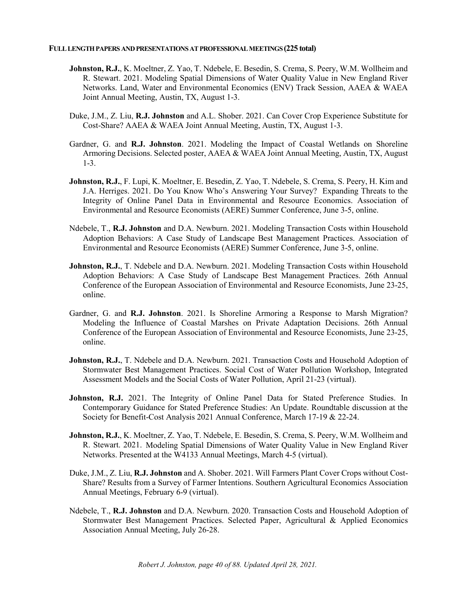#### **FULL LENGTHPAPERS ANDPRESENTATIONSAT PROFESSIONALMEETINGS(225 total)**

- **Johnston, R.J.**, K. Moeltner, Z. Yao, T. Ndebele, E. Besedin, S. Crema, S. Peery, W.M. Wollheim and R. Stewart. 2021. Modeling Spatial Dimensions of Water Quality Value in New England River Networks. Land, Water and Environmental Economics (ENV) Track Session, AAEA & WAEA Joint Annual Meeting, Austin, TX, August 1-3.
- Duke, J.M., Z. Liu, **R.J. Johnston** and A.L. Shober. 2021. Can Cover Crop Experience Substitute for Cost-Share? AAEA & WAEA Joint Annual Meeting, Austin, TX, August 1-3.
- Gardner, G. and **R.J. Johnston**. 2021. Modeling the Impact of Coastal Wetlands on Shoreline Armoring Decisions. Selected poster, AAEA & WAEA Joint Annual Meeting, Austin, TX, August 1-3.
- **Johnston, R.J.**, F. Lupi, K. Moeltner, E. Besedin, Z. Yao, T. Ndebele, S. Crema, S. Peery, H. Kim and J.A. Herriges. 2021. Do You Know Who's Answering Your Survey? Expanding Threats to the Integrity of Online Panel Data in Environmental and Resource Economics. Association of Environmental and Resource Economists (AERE) Summer Conference, June 3-5, online.
- Ndebele, T., **R.J. Johnston** and D.A. Newburn. 2021. Modeling Transaction Costs within Household Adoption Behaviors: A Case Study of Landscape Best Management Practices. Association of Environmental and Resource Economists (AERE) Summer Conference, June 3-5, online.
- **Johnston, R.J., T. Ndebele and D.A. Newburn. 2021. Modeling Transaction Costs within Household** Adoption Behaviors: A Case Study of Landscape Best Management Practices. 26th Annual Conference of the European Association of Environmental and Resource Economists, June 23-25, online.
- Gardner, G. and **R.J. Johnston**. 2021. Is Shoreline Armoring a Response to Marsh Migration? Modeling the Influence of Coastal Marshes on Private Adaptation Decisions. 26th Annual Conference of the European Association of Environmental and Resource Economists, June 23-25, online.
- **Johnston, R.J.**, T. Ndebele and D.A. Newburn. 2021. Transaction Costs and Household Adoption of Stormwater Best Management Practices. Social Cost of Water Pollution Workshop, Integrated Assessment Models and the Social Costs of Water Pollution, April 21-23 (virtual).
- **Johnston, R.J.** 2021. The Integrity of Online Panel Data for Stated Preference Studies. In Contemporary Guidance for Stated Preference Studies: An Update. Roundtable discussion at the Society for Benefit-Cost Analysis 2021 Annual Conference, March 17-19 & 22-24.
- **Johnston, R.J.**, K. Moeltner, Z. Yao, T. Ndebele, E. Besedin, S. Crema, S. Peery, W.M. Wollheim and R. Stewart. 2021. Modeling Spatial Dimensions of Water Quality Value in New England River Networks. Presented at the W4133 Annual Meetings, March 4-5 (virtual).
- Duke, J.M., Z. Liu, **R.J. Johnston** and A. Shober. 2021. Will Farmers Plant Cover Crops without Cost-Share? Results from a Survey of Farmer Intentions. Southern Agricultural Economics Association Annual Meetings, February 6-9 (virtual).
- Ndebele, T., **R.J. Johnston** and D.A. Newburn. 2020. Transaction Costs and Household Adoption of Stormwater Best Management Practices. Selected Paper, Agricultural & Applied Economics Association Annual Meeting, July 26-28.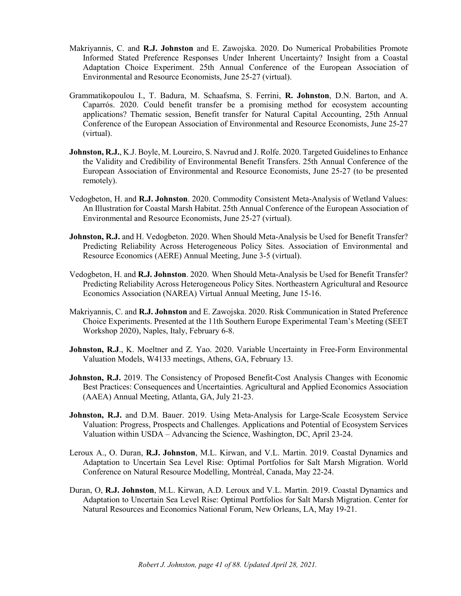- Makriyannis, C. and **R.J. Johnston** and E. Zawojska. 2020. Do Numerical Probabilities Promote Informed Stated Preference Responses Under Inherent Uncertainty? Insight from a Coastal Adaptation Choice Experiment. 25th Annual Conference of the European Association of Environmental and Resource Economists, June 25-27 (virtual).
- Grammatikopoulou I., T. Badura, M. Schaafsma, S. Ferrini, **R. Johnston**, D.N. Barton, and A. Caparrós. 2020. Could benefit transfer be a promising method for ecosystem accounting applications? Thematic session, Benefit transfer for Natural Capital Accounting, 25th Annual Conference of the European Association of Environmental and Resource Economists, June 25-27 (virtual).
- **Johnston, R.J.**, K.J. Boyle, M. Loureiro, S. Navrud and J. Rolfe. 2020. Targeted Guidelines to Enhance the Validity and Credibility of Environmental Benefit Transfers. 25th Annual Conference of the European Association of Environmental and Resource Economists, June 25-27 (to be presented remotely).
- Vedogbeton, H. and **R.J. Johnston**. 2020. Commodity Consistent Meta-Analysis of Wetland Values: An Illustration for Coastal Marsh Habitat. 25th Annual Conference of the European Association of Environmental and Resource Economists, June 25-27 (virtual).
- **Johnston, R.J.** and H. Vedogbeton. 2020. When Should Meta-Analysis be Used for Benefit Transfer? Predicting Reliability Across Heterogeneous Policy Sites. Association of Environmental and Resource Economics (AERE) Annual Meeting, June 3-5 (virtual).
- Vedogbeton, H. and **R.J. Johnston**. 2020. When Should Meta-Analysis be Used for Benefit Transfer? Predicting Reliability Across Heterogeneous Policy Sites. Northeastern Agricultural and Resource Economics Association (NAREA) Virtual Annual Meeting, June 15-16.
- Makriyannis, C. and **R.J. Johnston** and E. Zawojska. 2020. Risk Communication in Stated Preference Choice Experiments. Presented at the 11th Southern Europe Experimental Team's Meeting (SEET Workshop 2020), Naples, Italy, February 6-8.
- **Johnston, R.J.**, K. Moeltner and Z. Yao. 2020. Variable Uncertainty in Free-Form Environmental Valuation Models, W4133 meetings, Athens, GA, February 13.
- **Johnston, R.J.** 2019. The Consistency of Proposed Benefit-Cost Analysis Changes with Economic Best Practices: Consequences and Uncertainties. Agricultural and Applied Economics Association (AAEA) Annual Meeting, Atlanta, GA, July 21-23.
- **Johnston, R.J.** and D.M. Bauer. 2019. Using Meta-Analysis for Large-Scale Ecosystem Service Valuation: Progress, Prospects and Challenges. Applications and Potential of Ecosystem Services Valuation within USDA – Advancing the Science, Washington, DC, April 23-24.
- Leroux A., O. Duran, **R.J. Johnston**, M.L. Kirwan, and V.L. Martin. 2019. Coastal Dynamics and Adaptation to Uncertain Sea Level Rise: Optimal Portfolios for Salt Marsh Migration. World Conference on Natural Resource Modelling, Montréal, Canada, May 22-24.
- Duran, O, **R.J. Johnston**, M.L. Kirwan, A.D. Leroux and V.L. Martin. 2019. Coastal Dynamics and Adaptation to Uncertain Sea Level Rise: Optimal Portfolios for Salt Marsh Migration. Center for Natural Resources and Economics National Forum, New Orleans, LA, May 19-21.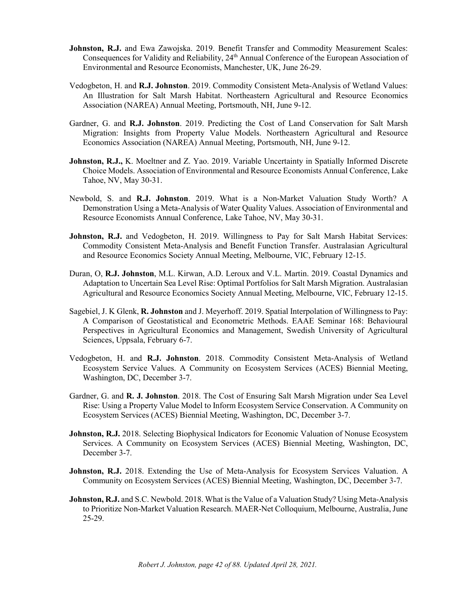- **Johnston, R.J.** and Ewa Zawojska. 2019. Benefit Transfer and Commodity Measurement Scales: Consequences for Validity and Reliability, 24<sup>th</sup> Annual Conference of the European Association of Environmental and Resource Economists, Manchester, UK, June 26-29.
- Vedogbeton, H. and **R.J. Johnston**. 2019. Commodity Consistent Meta-Analysis of Wetland Values: An Illustration for Salt Marsh Habitat. Northeastern Agricultural and Resource Economics Association (NAREA) Annual Meeting, Portsmouth, NH, June 9-12.
- Gardner, G. and **R.J. Johnston**. 2019. Predicting the Cost of Land Conservation for Salt Marsh Migration: Insights from Property Value Models. Northeastern Agricultural and Resource Economics Association (NAREA) Annual Meeting, Portsmouth, NH, June 9-12.
- **Johnston, R.J.,** K. Moeltner and Z. Yao. 2019. Variable Uncertainty in Spatially Informed Discrete Choice Models. Association of Environmental and Resource Economists Annual Conference, Lake Tahoe, NV, May 30-31.
- Newbold, S. and **R.J. Johnston**. 2019. What is a Non-Market Valuation Study Worth? A Demonstration Using a Meta-Analysis of Water Quality Values. Association of Environmental and Resource Economists Annual Conference, Lake Tahoe, NV, May 30-31.
- **Johnston, R.J.** and Vedogbeton, H. 2019. Willingness to Pay for Salt Marsh Habitat Services: Commodity Consistent Meta-Analysis and Benefit Function Transfer. Australasian Agricultural and Resource Economics Society Annual Meeting, Melbourne, VIC, February 12-15.
- Duran, O, **R.J. Johnston**, M.L. Kirwan, A.D. Leroux and V.L. Martin. 2019. Coastal Dynamics and Adaptation to Uncertain Sea Level Rise: Optimal Portfolios for Salt Marsh Migration. Australasian Agricultural and Resource Economics Society Annual Meeting, Melbourne, VIC, February 12-15.
- Sagebiel, J. K Glenk, **R. Johnston** and J. Meyerhoff. 2019. Spatial Interpolation of Willingness to Pay: A Comparison of Geostatistical and Econometric Methods. EAAE Seminar 168: Behavioural Perspectives in Agricultural Economics and Management, Swedish University of Agricultural Sciences, Uppsala, February 6-7.
- Vedogbeton, H. and **R.J. Johnston**. 2018. Commodity Consistent Meta-Analysis of Wetland Ecosystem Service Values. A Community on Ecosystem Services (ACES) Biennial Meeting, Washington, DC, December 3-7.
- Gardner, G. and **R. J. Johnston**. 2018. The Cost of Ensuring Salt Marsh Migration under Sea Level Rise: Using a Property Value Model to Inform Ecosystem Service Conservation. A Community on Ecosystem Services (ACES) Biennial Meeting, Washington, DC, December 3-7.
- **Johnston, R.J.** 2018. Selecting Biophysical Indicators for Economic Valuation of Nonuse Ecosystem Services. A Community on Ecosystem Services (ACES) Biennial Meeting, Washington, DC, December 3-7.
- Johnston, R.J. 2018. Extending the Use of Meta-Analysis for Ecosystem Services Valuation. A Community on Ecosystem Services (ACES) Biennial Meeting, Washington, DC, December 3-7.
- **Johnston, R.J.** and S.C. Newbold. 2018. What is the Value of a Valuation Study? Using Meta-Analysis to Prioritize Non-Market Valuation Research. MAER-Net Colloquium, Melbourne, Australia,June 25-29.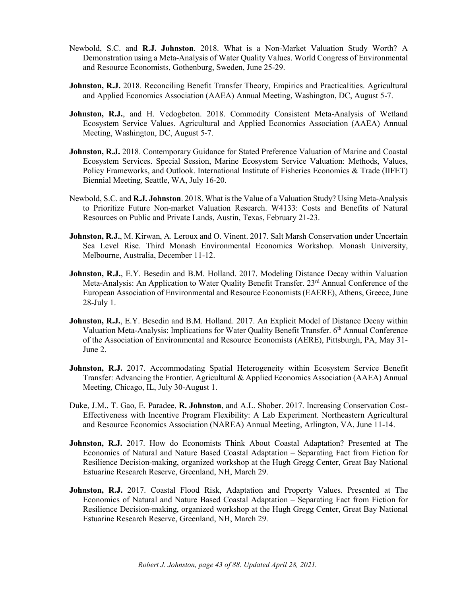- Newbold, S.C. and **R.J. Johnston**. 2018. What is a Non-Market Valuation Study Worth? A Demonstration using a Meta-Analysis of Water Quality Values. World Congress of Environmental and Resource Economists, Gothenburg, Sweden, June 25-29.
- **Johnston, R.J.** 2018. Reconciling Benefit Transfer Theory, Empirics and Practicalities. Agricultural and Applied Economics Association (AAEA) Annual Meeting, Washington, DC, August 5-7.
- Johnston, R.J., and H. Vedogbeton. 2018. Commodity Consistent Meta-Analysis of Wetland Ecosystem Service Values. Agricultural and Applied Economics Association (AAEA) Annual Meeting, Washington, DC, August 5-7.
- **Johnston, R.J.** 2018. Contemporary Guidance for Stated Preference Valuation of Marine and Coastal Ecosystem Services. Special Session, Marine Ecosystem Service Valuation: Methods, Values, Policy Frameworks, and Outlook. International Institute of Fisheries Economics & Trade (IIFET) Biennial Meeting, Seattle, WA, July 16-20.
- Newbold, S.C. and **R.J. Johnston**. 2018. What is the Value of a Valuation Study? Using Meta-Analysis to Prioritize Future Non-market Valuation Research. W4133: Costs and Benefits of Natural Resources on Public and Private Lands, Austin, Texas, February 21-23.
- Johnston, R.J., M. Kirwan, A. Leroux and O. Vinent. 2017. Salt Marsh Conservation under Uncertain Sea Level Rise. Third Monash Environmental Economics Workshop. Monash University, Melbourne, Australia, December 11-12.
- **Johnston, R.J.**, E.Y. Besedin and B.M. Holland. 2017. Modeling Distance Decay within Valuation Meta-Analysis: An Application to Water Quality Benefit Transfer. 23<sup>rd</sup> Annual Conference of the European Association of Environmental and Resource Economists (EAERE), Athens, Greece, June 28-July 1.
- **Johnston, R.J.**, E.Y. Besedin and B.M. Holland. 2017. An Explicit Model of Distance Decay within Valuation Meta-Analysis: Implications for Water Quality Benefit Transfer. 6<sup>th</sup> Annual Conference of the Association of Environmental and Resource Economists (AERE), Pittsburgh, PA, May 31- June 2.
- Johnston, R.J. 2017. Accommodating Spatial Heterogeneity within Ecosystem Service Benefit Transfer: Advancing the Frontier. Agricultural & Applied Economics Association (AAEA) Annual Meeting, Chicago, IL, July 30-August 1.
- Duke, J.M., T. Gao, E. Paradee, **R. Johnston**, and A.L. Shober. 2017. Increasing Conservation Cost-Effectiveness with Incentive Program Flexibility: A Lab Experiment. Northeastern Agricultural and Resource Economics Association (NAREA) Annual Meeting, Arlington, VA, June 11-14.
- **Johnston, R.J.** 2017. How do Economists Think About Coastal Adaptation? Presented at The Economics of Natural and Nature Based Coastal Adaptation – Separating Fact from Fiction for Resilience Decision-making, organized workshop at the Hugh Gregg Center, Great Bay National Estuarine Research Reserve, Greenland, NH, March 29.
- **Johnston, R.J.** 2017. Coastal Flood Risk, Adaptation and Property Values. Presented at The Economics of Natural and Nature Based Coastal Adaptation – Separating Fact from Fiction for Resilience Decision-making, organized workshop at the Hugh Gregg Center, Great Bay National Estuarine Research Reserve, Greenland, NH, March 29.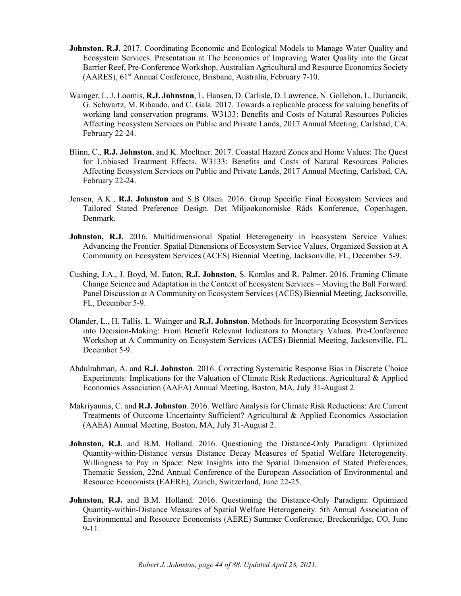- **Johnston, R.J.** 2017. Coordinating Economic and Ecological Models to Manage Water Quality and Ecosystem Services. Presentation at The Economics of Improving Water Quality into the Great Barrier Reef, Pre-Conference Workshop, Australian Agricultural and Resource Economics Society (AARES), 61<sup>st</sup> Annual Conference, Brisbane, Australia, February 7-10.
- Wainger, L. J. Loomis, **R.J. Johnston**, L. Hansen, D. Carlisle, D. Lawrence, N. Gollehon, L. Duriancik, G. Schwartz, M. Ribaudo, and C. Gala. 2017. Towards a replicable process for valuing benefits of working land conservation programs. W3133: Benefits and Costs of Natural Resources Policies Affecting Ecosystem Services on Public and Private Lands, 2017 Annual Meeting, Carlsbad, CA, February 22-24.
- Blinn, C., **R.J. Johnston**, and K. Moeltner. 2017. Coastal Hazard Zones and Home Values: The Quest for Unbiased Treatment Effects. W3133: Benefits and Costs of Natural Resources Policies Affecting Ecosystem Services on Public and Private Lands, 2017 Annual Meeting, Carlsbad, CA, February 22-24.
- Jensen, A.K., **R.J. Johnston** and S.B Olsen. 2016. Group Specific Final Ecosystem Services and Tailored Stated Preference Design. Det Miljøøkonomiske Råds Konference, Copenhagen, Denmark.
- **Johnston, R.J.** 2016. Multidimensional Spatial Heterogeneity in Ecosystem Service Values: Advancing the Frontier. Spatial Dimensions of Ecosystem Service Values, Organized Session at A Community on Ecosystem Services (ACES) Biennial Meeting, Jacksonville, FL, December 5-9.
- Cushing, J.A., J. Boyd, M. Eaton, **R.J. Johnston**, S. Komlos and R. Palmer. 2016. Framing Climate Change Science and Adaptation in the Context of Ecosystem Services – Moving the Ball Forward. Panel Discussion at A Community on Ecosystem Services (ACES) Biennial Meeting, Jacksonville, FL, December 5-9.
- Olander, L., H. Tallis, L. Wainger and **R.J. Johnston**. Methods for Incorporating Ecosystem Services into Decision-Making: From Benefit Relevant Indicators to Monetary Values. Pre-Conference Workshop at A Community on Ecosystem Services (ACES) Biennial Meeting, Jacksonville, FL, December 5-9.
- Abdulrahman, A. and **R.J. Johnston**. 2016. Correcting Systematic Response Bias in Discrete Choice Experiments: Implications for the Valuation of Climate Risk Reductions. Agricultural & Applied Economics Association (AAEA) Annual Meeting, Boston, MA, July 31-August 2.
- Makriyannis, C. and **R.J. Johnston**. 2016. Welfare Analysis for Climate Risk Reductions: Are Current Treatments of Outcome Uncertainty Sufficient? Agricultural & Applied Economics Association (AAEA) Annual Meeting, Boston, MA, July 31-August 2.
- **Johnston, R.J.** and B.M. Holland. 2016. Questioning the Distance-Only Paradigm: Optimized Quantity-within-Distance versus Distance Decay Measures of Spatial Welfare Heterogeneity. Willingness to Pay in Space: New Insights into the Spatial Dimension of Stated Preferences, Thematic Session, 22nd Annual Conference of the European Association of Environmental and Resource Economists (EAERE), Zurich, Switzerland, June 22-25.
- **Johnston, R.J.** and B.M. Holland. 2016. Questioning the Distance-Only Paradigm: Optimized Quantity-within-Distance Measures of Spatial Welfare Heterogeneity. 5th Annual Association of Environmental and Resource Economists (AERE) Summer Conference, Breckenridge, CO, June 9-11.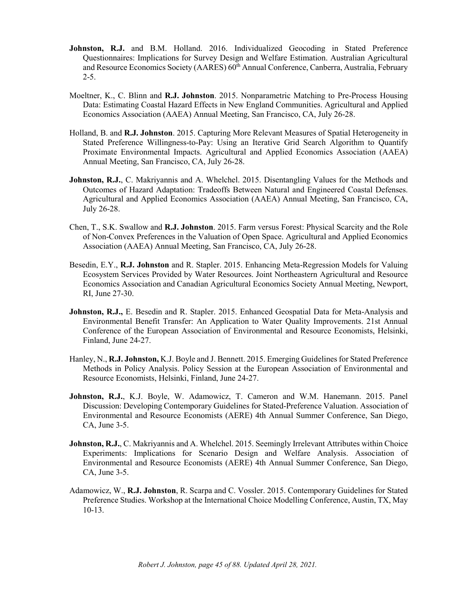- Johnston, R.J. and B.M. Holland. 2016. Individualized Geocoding in Stated Preference Questionnaires: Implications for Survey Design and Welfare Estimation. Australian Agricultural and Resource Economics Society (AARES) 60<sup>th</sup> Annual Conference, Canberra, Australia, February  $2 - 5$ .
- Moeltner, K., C. Blinn and **R.J. Johnston**. 2015. Nonparametric Matching to Pre-Process Housing Data: Estimating Coastal Hazard Effects in New England Communities. Agricultural and Applied Economics Association (AAEA) Annual Meeting, San Francisco, CA, July 26-28.
- Holland, B. and **R.J. Johnston**. 2015. Capturing More Relevant Measures of Spatial Heterogeneity in Stated Preference Willingness-to-Pay: Using an Iterative Grid Search Algorithm to Quantify Proximate Environmental Impacts. Agricultural and Applied Economics Association (AAEA) Annual Meeting, San Francisco, CA, July 26-28.
- **Johnston, R.J.**, C. Makriyannis and A. Whelchel. 2015. Disentangling Values for the Methods and Outcomes of Hazard Adaptation: Tradeoffs Between Natural and Engineered Coastal Defenses. Agricultural and Applied Economics Association (AAEA) Annual Meeting, San Francisco, CA, July 26-28.
- Chen, T., S.K. Swallow and **R.J. Johnston**. 2015. Farm versus Forest: Physical Scarcity and the Role of Non-Convex Preferences in the Valuation of Open Space. Agricultural and Applied Economics Association (AAEA) Annual Meeting, San Francisco, CA, July 26-28.
- Besedin, E.Y., **R.J. Johnston** and R. Stapler. 2015. Enhancing Meta-Regression Models for Valuing Ecosystem Services Provided by Water Resources. Joint Northeastern Agricultural and Resource Economics Association and Canadian Agricultural Economics Society Annual Meeting, Newport, RI, June 27-30.
- **Johnston, R.J.,** E. Besedin and R. Stapler. 2015. Enhanced Geospatial Data for Meta-Analysis and Environmental Benefit Transfer: An Application to Water Quality Improvements. 21st Annual Conference of the European Association of Environmental and Resource Economists, Helsinki, Finland, June 24-27.
- Hanley, N., **R.J. Johnston,** K.J. Boyle and J. Bennett. 2015. Emerging Guidelines for Stated Preference Methods in Policy Analysis. Policy Session at the European Association of Environmental and Resource Economists, Helsinki, Finland, June 24-27.
- **Johnston, R.J.**, K.J. Boyle, W. Adamowicz, T. Cameron and W.M. Hanemann. 2015. Panel Discussion: Developing Contemporary Guidelines for Stated-Preference Valuation. Association of Environmental and Resource Economists (AERE) 4th Annual Summer Conference, San Diego, CA, June 3-5.
- **Johnston, R.J.**, C. Makriyannis and A. Whelchel. 2015. Seemingly Irrelevant Attributes within Choice Experiments: Implications for Scenario Design and Welfare Analysis. Association of Environmental and Resource Economists (AERE) 4th Annual Summer Conference, San Diego, CA, June 3-5.
- Adamowicz, W., **R.J. Johnston**, R. Scarpa and C. Vossler. 2015. Contemporary Guidelines for Stated Preference Studies. Workshop at the International Choice Modelling Conference, Austin, TX, May 10-13.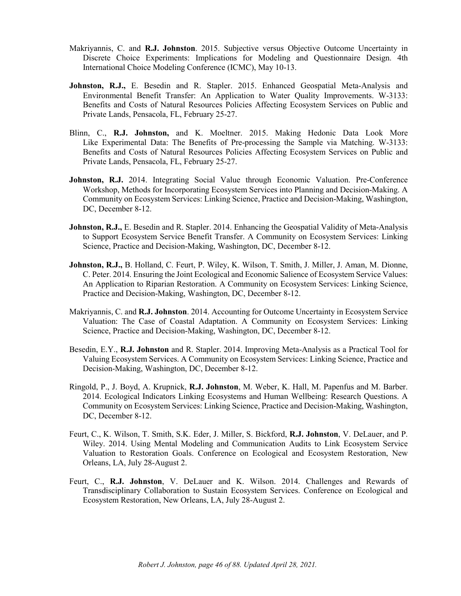- Makriyannis, C. and **R.J. Johnston**. 2015. Subjective versus Objective Outcome Uncertainty in Discrete Choice Experiments: Implications for Modeling and Questionnaire Design. 4th International Choice Modeling Conference (ICMC), May 10-13.
- **Johnston, R.J.,** E. Besedin and R. Stapler. 2015. Enhanced Geospatial Meta-Analysis and Environmental Benefit Transfer: An Application to Water Quality Improvements. W-3133: Benefits and Costs of Natural Resources Policies Affecting Ecosystem Services on Public and Private Lands, Pensacola, FL, February 25-27.
- Blinn, C., **R.J. Johnston,** and K. Moeltner. 2015. Making Hedonic Data Look More Like Experimental Data: The Benefits of Pre-processing the Sample via Matching. W-3133: Benefits and Costs of Natural Resources Policies Affecting Ecosystem Services on Public and Private Lands, Pensacola, FL, February 25-27.
- **Johnston, R.J.** 2014. Integrating Social Value through Economic Valuation. Pre-Conference Workshop, Methods for Incorporating Ecosystem Services into Planning and Decision-Making. A Community on Ecosystem Services: Linking Science, Practice and Decision-Making, Washington, DC, December 8-12.
- **Johnston, R.J.,** E. Besedin and R. Stapler. 2014. Enhancing the Geospatial Validity of Meta-Analysis to Support Ecosystem Service Benefit Transfer. A Community on Ecosystem Services: Linking Science, Practice and Decision-Making, Washington, DC, December 8-12.
- **Johnston, R.J.,** B. Holland, C. Feurt, P. Wiley, K. Wilson, T. Smith, J. Miller, J. Aman, M. Dionne, C. Peter. 2014. Ensuring the Joint Ecological and Economic Salience of Ecosystem Service Values: An Application to Riparian Restoration. A Community on Ecosystem Services: Linking Science, Practice and Decision-Making, Washington, DC, December 8-12.
- Makriyannis, C. and **R.J. Johnston**. 2014. Accounting for Outcome Uncertainty in Ecosystem Service Valuation: The Case of Coastal Adaptation. A Community on Ecosystem Services: Linking Science, Practice and Decision-Making, Washington, DC, December 8-12.
- Besedin, E.Y., **R.J. Johnston** and R. Stapler. 2014. Improving Meta-Analysis as a Practical Tool for Valuing Ecosystem Services. A Community on Ecosystem Services: Linking Science, Practice and Decision-Making, Washington, DC, December 8-12.
- Ringold, P., J. Boyd, A. Krupnick, **R.J. Johnston**, M. Weber, K. Hall, M. Papenfus and M. Barber. 2014. Ecological Indicators Linking Ecosystems and Human Wellbeing: Research Questions. A Community on Ecosystem Services: Linking Science, Practice and Decision-Making, Washington, DC, December 8-12.
- Feurt, C., K. Wilson, T. Smith, S.K. Eder, J. Miller, S. Bickford, **R.J. Johnston**, V. DeLauer, and P. Wiley. 2014. Using Mental Modeling and Communication Audits to Link Ecosystem Service Valuation to Restoration Goals. Conference on Ecological and Ecosystem Restoration, New Orleans, LA, July 28-August 2.
- Feurt, C., **R.J. Johnston**, V. DeLauer and K. Wilson. 2014. Challenges and Rewards of Transdisciplinary Collaboration to Sustain Ecosystem Services. Conference on Ecological and Ecosystem Restoration, New Orleans, LA, July 28-August 2.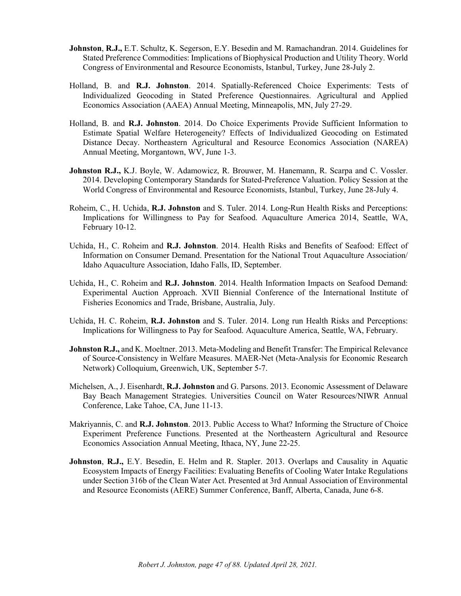- **Johnston**, **R.J.,** E.T. Schultz, K. Segerson, E.Y. Besedin and M. Ramachandran. 2014. Guidelines for Stated Preference Commodities: Implications of Biophysical Production and Utility Theory. World Congress of Environmental and Resource Economists, Istanbul, Turkey, June 28-July 2.
- Holland, B. and **R.J. Johnston**. 2014. Spatially-Referenced Choice Experiments: Tests of Individualized Geocoding in Stated Preference Questionnaires. Agricultural and Applied Economics Association (AAEA) Annual Meeting, Minneapolis, MN, July 27-29.
- Holland, B. and **R.J. Johnston**. 2014. Do Choice Experiments Provide Sufficient Information to Estimate Spatial Welfare Heterogeneity? Effects of Individualized Geocoding on Estimated Distance Decay. Northeastern Agricultural and Resource Economics Association (NAREA) Annual Meeting, Morgantown, WV, June 1-3.
- **Johnston R.J.,** K.J. Boyle, W. Adamowicz, R. Brouwer, M. Hanemann, R. Scarpa and C. Vossler. 2014. Developing Contemporary Standards for Stated-Preference Valuation. Policy Session at the World Congress of Environmental and Resource Economists, Istanbul, Turkey, June 28-July 4.
- Roheim, C., H. Uchida, **R.J. Johnston** and S. Tuler. 2014. Long-Run Health Risks and Perceptions: Implications for Willingness to Pay for Seafood. Aquaculture America 2014, Seattle, WA, February 10-12.
- Uchida, H., C. Roheim and **R.J. Johnston**. 2014. Health Risks and Benefits of Seafood: Effect of Information on Consumer Demand. Presentation for the National Trout Aquaculture Association/ Idaho Aquaculture Association, Idaho Falls, ID, September.
- Uchida, H., C. Roheim and **R.J. Johnston**. 2014. Health Information Impacts on Seafood Demand: Experimental Auction Approach. XVII Biennial Conference of the International Institute of Fisheries Economics and Trade, Brisbane, Australia, July.
- Uchida, H. C. Roheim, **R.J. Johnston** and S. Tuler. 2014. Long run Health Risks and Perceptions: Implications for Willingness to Pay for Seafood. Aquaculture America, Seattle, WA, February.
- **Johnston R.J.,** and K. Moeltner. 2013. Meta-Modeling and Benefit Transfer: The Empirical Relevance of Source-Consistency in Welfare Measures. MAER-Net (Meta-Analysis for Economic Research Network) Colloquium, Greenwich, UK, September 5-7.
- Michelsen, A., J. Eisenhardt, **R.J. Johnston** and G. Parsons. 2013. Economic Assessment of Delaware Bay Beach Management Strategies. Universities Council on Water Resources/NIWR Annual Conference, Lake Tahoe, CA, June 11-13.
- Makriyannis, C. and **R.J. Johnston**. 2013. Public Access to What? Informing the Structure of Choice Experiment Preference Functions. Presented at the Northeastern Agricultural and Resource Economics Association Annual Meeting, Ithaca, NY, June 22-25.
- **Johnston**, **R.J.,** E.Y. Besedin, E. Helm and R. Stapler. 2013. Overlaps and Causality in Aquatic Ecosystem Impacts of Energy Facilities: Evaluating Benefits of Cooling Water Intake Regulations under Section 316b of the Clean Water Act. Presented at 3rd Annual Association of Environmental and Resource Economists (AERE) Summer Conference, Banff, Alberta, Canada, June 6-8.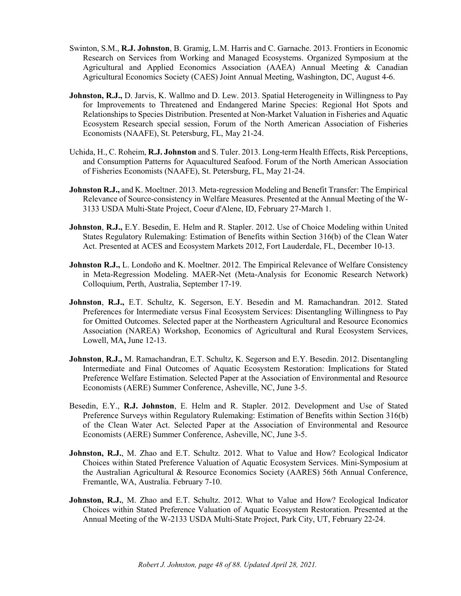- Swinton, S.M., **R.J. Johnston**, B. Gramig, L.M. Harris and C. Garnache. 2013. Frontiers in Economic Research on Services from Working and Managed Ecosystems. Organized Symposium at the Agricultural and Applied Economics Association (AAEA) Annual Meeting & Canadian Agricultural Economics Society (CAES) Joint Annual Meeting, Washington, DC, August 4-6.
- **Johnston, R.J.,** D. Jarvis, K. Wallmo and D. Lew. 2013. Spatial Heterogeneity in Willingness to Pay for Improvements to Threatened and Endangered Marine Species: Regional Hot Spots and Relationships to Species Distribution. Presented at Non-Market Valuation in Fisheries and Aquatic Ecosystem Research special session, Forum of the North American Association of Fisheries Economists (NAAFE), St. Petersburg, FL, May 21-24.
- Uchida, H., C. Roheim, **R.J. Johnston** and S. Tuler. 2013. Long-term Health Effects, Risk Perceptions, and Consumption Patterns for Aquacultured Seafood. Forum of the North American Association of Fisheries Economists (NAAFE), St. Petersburg, FL, May 21-24.
- **Johnston R.J.,** and K. Moeltner. 2013. Meta-regression Modeling and Benefit Transfer: The Empirical Relevance of Source-consistency in Welfare Measures. Presented at the Annual Meeting of the W-3133 USDA Multi-State Project, Coeur d'Alene, ID, February 27-March 1.
- **Johnston**, **R.J.,** E.Y. Besedin, E. Helm and R. Stapler. 2012. Use of Choice Modeling within United States Regulatory Rulemaking: Estimation of Benefits within Section 316(b) of the Clean Water Act. Presented at ACES and Ecosystem Markets 2012, Fort Lauderdale, FL, December 10-13.
- **Johnston R.J.,** L. Londoño and K. Moeltner. 2012. The Empirical Relevance of Welfare Consistency in Meta-Regression Modeling. MAER-Net (Meta-Analysis for Economic Research Network) Colloquium, Perth, Australia, September 17-19.
- **Johnston**, **R.J.,** E.T. Schultz, K. Segerson, E.Y. Besedin and M. Ramachandran. 2012. Stated Preferences for Intermediate versus Final Ecosystem Services: Disentangling Willingness to Pay for Omitted Outcomes. Selected paper at the Northeastern Agricultural and Resource Economics Association (NAREA) Workshop, Economics of Agricultural and Rural Ecosystem Services, Lowell, MA**,** June 12-13.
- **Johnston**, **R.J.,** M. Ramachandran, E.T. Schultz, K. Segerson and E.Y. Besedin. 2012. Disentangling Intermediate and Final Outcomes of Aquatic Ecosystem Restoration: Implications for Stated Preference Welfare Estimation. Selected Paper at the Association of Environmental and Resource Economists (AERE) Summer Conference, Asheville, NC, June 3-5.
- Besedin, E.Y., **R.J. Johnston**, E. Helm and R. Stapler. 2012. Development and Use of Stated Preference Surveys within Regulatory Rulemaking: Estimation of Benefits within Section 316(b) of the Clean Water Act. Selected Paper at the Association of Environmental and Resource Economists (AERE) Summer Conference, Asheville, NC, June 3-5.
- **Johnston, R.J.**, M. Zhao and E.T. Schultz. 2012. What to Value and How? Ecological Indicator Choices within Stated Preference Valuation of Aquatic Ecosystem Services. Mini-Symposium at the Australian Agricultural & Resource Economics Society (AARES) 56th Annual Conference, Fremantle, WA, Australia. February 7-10.
- Johnston, R.J., M. Zhao and E.T. Schultz. 2012. What to Value and How? Ecological Indicator Choices within Stated Preference Valuation of Aquatic Ecosystem Restoration. Presented at the Annual Meeting of the W-2133 USDA Multi-State Project, Park City, UT, February 22-24.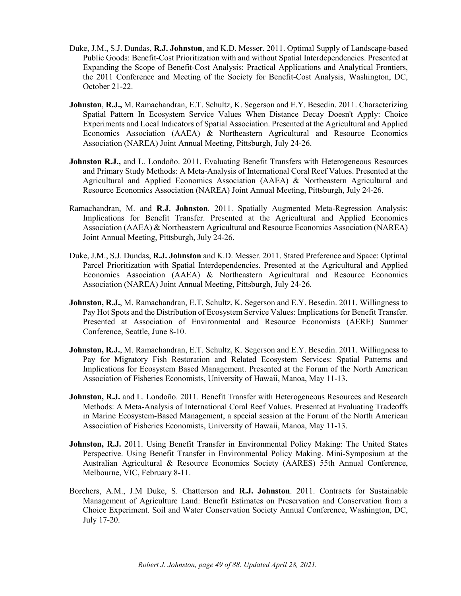- Duke, J.M., S.J. Dundas, **R.J. Johnston**, and K.D. Messer. 2011. Optimal Supply of Landscape-based Public Goods: Benefit-Cost Prioritization with and without Spatial Interdependencies. Presented at Expanding the Scope of Benefit-Cost Analysis: Practical Applications and Analytical Frontiers, the 2011 Conference and Meeting of the Society for Benefit-Cost Analysis, Washington, DC, October 21-22.
- **Johnston**, **R.J.,** M. Ramachandran, E.T. Schultz, K. Segerson and E.Y. Besedin. 2011. Characterizing Spatial Pattern In Ecosystem Service Values When Distance Decay Doesn't Apply: Choice Experiments and Local Indicators of Spatial Association. Presented at the Agricultural and Applied Economics Association (AAEA) & Northeastern Agricultural and Resource Economics Association (NAREA) Joint Annual Meeting, Pittsburgh, July 24-26.
- Johnston R.J., and L. Londoño. 2011. Evaluating Benefit Transfers with Heterogeneous Resources and Primary Study Methods: A Meta-Analysis of International Coral Reef Values. Presented at the Agricultural and Applied Economics Association (AAEA) & Northeastern Agricultural and Resource Economics Association (NAREA) Joint Annual Meeting, Pittsburgh, July 24-26.
- Ramachandran, M. and **R.J. Johnston**. 2011. Spatially Augmented Meta-Regression Analysis: Implications for Benefit Transfer. Presented at the Agricultural and Applied Economics Association (AAEA) & Northeastern Agricultural and Resource Economics Association (NAREA) Joint Annual Meeting, Pittsburgh, July 24-26.
- Duke, J.M., S.J. Dundas, **R.J. Johnston** and K.D. Messer. 2011. Stated Preference and Space: Optimal Parcel Prioritization with Spatial Interdependencies. Presented at the Agricultural and Applied Economics Association (AAEA) & Northeastern Agricultural and Resource Economics Association (NAREA) Joint Annual Meeting, Pittsburgh, July 24-26.
- **Johnston, R.J., M. Ramachandran, E.T. Schultz, K. Segerson and E.Y. Besedin. 2011. Willingness to** Pay Hot Spots and the Distribution of Ecosystem Service Values: Implications for Benefit Transfer. Presented at Association of Environmental and Resource Economists (AERE) Summer Conference, Seattle, June 8-10.
- **Johnston, R.J., M. Ramachandran, E.T. Schultz, K. Segerson and E.Y. Besedin. 2011. Willingness to** Pay for Migratory Fish Restoration and Related Ecosystem Services: Spatial Patterns and Implications for Ecosystem Based Management. Presented at the Forum of the North American Association of Fisheries Economists, University of Hawaii, Manoa, May 11-13.
- **Johnston, R.J.** and L. Londoño. 2011. Benefit Transfer with Heterogeneous Resources and Research Methods: A Meta-Analysis of International Coral Reef Values. Presented at Evaluating Tradeoffs in Marine Ecosystem-Based Management, a special session at the Forum of the North American Association of Fisheries Economists, University of Hawaii, Manoa, May 11-13.
- **Johnston, R.J.** 2011. Using Benefit Transfer in Environmental Policy Making: The United States Perspective. Using Benefit Transfer in Environmental Policy Making. Mini-Symposium at the Australian Agricultural & Resource Economics Society (AARES) 55th Annual Conference, Melbourne, VIC, February 8-11.
- Borchers, A.M., J.M Duke, S. Chatterson and **R.J. Johnston**. 2011. Contracts for Sustainable Management of Agriculture Land: Benefit Estimates on Preservation and Conservation from a Choice Experiment. Soil and Water Conservation Society Annual Conference, Washington, DC, July 17-20.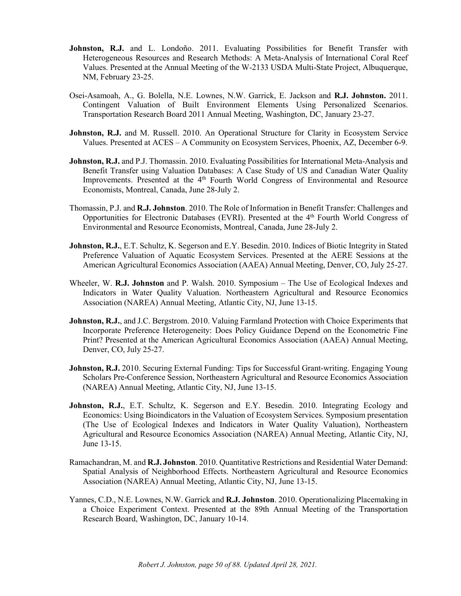- Johnston, R.J. and L. Londoño. 2011. Evaluating Possibilities for Benefit Transfer with Heterogeneous Resources and Research Methods: A Meta-Analysis of International Coral Reef Values. Presented at the Annual Meeting of the W-2133 USDA Multi-State Project, Albuquerque, NM, February 23-25.
- Osei-Asamoah, A., G. Bolella, N.E. Lownes, N.W. Garrick, E. Jackson and **R.J. Johnston.** 2011. Contingent Valuation of Built Environment Elements Using Personalized Scenarios. Transportation Research Board 2011 Annual Meeting, Washington, DC, January 23-27.
- **Johnston, R.J.** and M. Russell. 2010. An Operational Structure for Clarity in Ecosystem Service Values. Presented at ACES – A Community on Ecosystem Services, Phoenix, AZ, December 6-9.
- **Johnston, R.J.** and P.J. Thomassin. 2010. Evaluating Possibilities for International Meta-Analysis and Benefit Transfer using Valuation Databases: A Case Study of US and Canadian Water Quality Improvements. Presented at the 4<sup>th</sup> Fourth World Congress of Environmental and Resource Economists, Montreal, Canada, June 28-July 2.
- Thomassin, P.J. and **R.J. Johnston**. 2010. The Role of Information in Benefit Transfer: Challenges and Opportunities for Electronic Databases (EVRI). Presented at the 4<sup>th</sup> Fourth World Congress of Environmental and Resource Economists, Montreal, Canada, June 28-July 2.
- **Johnston, R.J.,** E.T. Schultz, K. Segerson and E.Y. Besedin. 2010. Indices of Biotic Integrity in Stated Preference Valuation of Aquatic Ecosystem Services. Presented at the AERE Sessions at the American Agricultural Economics Association (AAEA) Annual Meeting, Denver, CO, July 25-27.
- Wheeler, W. **R.J. Johnston** and P. Walsh. 2010. Symposium The Use of Ecological Indexes and Indicators in Water Quality Valuation. Northeastern Agricultural and Resource Economics Association (NAREA) Annual Meeting, Atlantic City, NJ, June 13-15.
- **Johnston, R.J.**, and J.C. Bergstrom. 2010. Valuing Farmland Protection with Choice Experiments that Incorporate Preference Heterogeneity: Does Policy Guidance Depend on the Econometric Fine Print? Presented at the American Agricultural Economics Association (AAEA) Annual Meeting, Denver, CO, July 25-27.
- **Johnston, R.J.** 2010. Securing External Funding: Tips for Successful Grant-writing. Engaging Young Scholars Pre-Conference Session, Northeastern Agricultural and Resource Economics Association (NAREA) Annual Meeting, Atlantic City, NJ, June 13-15.
- Johnston, R.J., E.T. Schultz, K. Segerson and E.Y. Besedin. 2010. Integrating Ecology and Economics: Using Bioindicators in the Valuation of Ecosystem Services. Symposium presentation (The Use of Ecological Indexes and Indicators in Water Quality Valuation), Northeastern Agricultural and Resource Economics Association (NAREA) Annual Meeting, Atlantic City, NJ, June 13-15.
- Ramachandran, M. and **R.J. Johnston**. 2010. Quantitative Restrictions and Residential Water Demand: Spatial Analysis of Neighborhood Effects. Northeastern Agricultural and Resource Economics Association (NAREA) Annual Meeting, Atlantic City, NJ, June 13-15.
- Yannes, C.D., N.E. Lownes, N.W. Garrick and **R.J. Johnston**. 2010. Operationalizing Placemaking in a Choice Experiment Context. Presented at the 89th Annual Meeting of the Transportation Research Board, Washington, DC, January 10-14.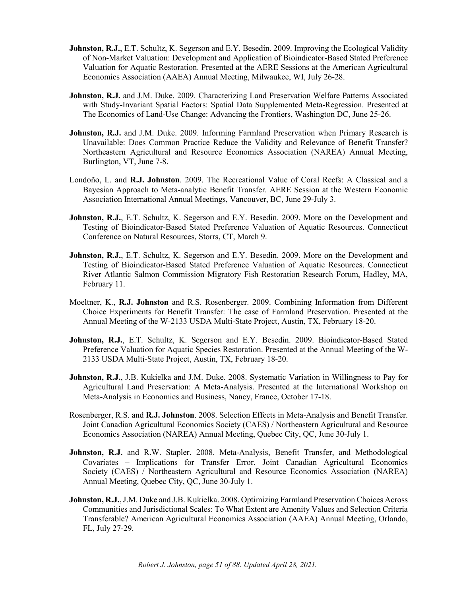- **Johnston, R.J.**, E.T. Schultz, K. Segerson and E.Y. Besedin. 2009. Improving the Ecological Validity of Non-Market Valuation: Development and Application of Bioindicator-Based Stated Preference Valuation for Aquatic Restoration. Presented at the AERE Sessions at the American Agricultural Economics Association (AAEA) Annual Meeting, Milwaukee, WI, July 26-28.
- **Johnston, R.J.** and J.M. Duke. 2009. Characterizing Land Preservation Welfare Patterns Associated with Study-Invariant Spatial Factors: Spatial Data Supplemented Meta-Regression. Presented at The Economics of Land-Use Change: Advancing the Frontiers, Washington DC, June 25-26.
- **Johnston, R.J.** and J.M. Duke. 2009. Informing Farmland Preservation when Primary Research is Unavailable: Does Common Practice Reduce the Validity and Relevance of Benefit Transfer? Northeastern Agricultural and Resource Economics Association (NAREA) Annual Meeting, Burlington, VT, June 7-8.
- Londoño, L. and **R.J. Johnston**. 2009. The Recreational Value of Coral Reefs: A Classical and a Bayesian Approach to Meta-analytic Benefit Transfer. AERE Session at the Western Economic Association International Annual Meetings, Vancouver, BC, June 29-July 3.
- **Johnston, R.J.**, E.T. Schultz, K. Segerson and E.Y. Besedin. 2009. More on the Development and Testing of Bioindicator-Based Stated Preference Valuation of Aquatic Resources. Connecticut Conference on Natural Resources, Storrs, CT, March 9.
- **Johnston, R.J.**, E.T. Schultz, K. Segerson and E.Y. Besedin. 2009. More on the Development and Testing of Bioindicator-Based Stated Preference Valuation of Aquatic Resources. Connecticut River Atlantic Salmon Commission Migratory Fish Restoration Research Forum, Hadley, MA, February 11.
- Moeltner, K., **R.J. Johnston** and R.S. Rosenberger. 2009. Combining Information from Different Choice Experiments for Benefit Transfer: The case of Farmland Preservation. Presented at the Annual Meeting of the W-2133 USDA Multi-State Project, Austin, TX, February 18-20.
- Johnston, R.J., E.T. Schultz, K. Segerson and E.Y. Besedin. 2009. Bioindicator-Based Stated Preference Valuation for Aquatic Species Restoration. Presented at the Annual Meeting of the W-2133 USDA Multi-State Project, Austin, TX, February 18-20.
- **Johnston, R.J.**, J.B. Kukielka and J.M. Duke. 2008. Systematic Variation in Willingness to Pay for Agricultural Land Preservation: A Meta-Analysis. Presented at the International Workshop on Meta-Analysis in Economics and Business, Nancy, France, October 17-18.
- Rosenberger, R.S. and **R.J. Johnston**. 2008. Selection Effects in Meta-Analysis and Benefit Transfer. Joint Canadian Agricultural Economics Society (CAES) / Northeastern Agricultural and Resource Economics Association (NAREA) Annual Meeting, Quebec City, QC, June 30-July 1.
- **Johnston, R.J.** and R.W. Stapler. 2008. Meta-Analysis, Benefit Transfer, and Methodological Covariates – Implications for Transfer Error. Joint Canadian Agricultural Economics Society (CAES) / Northeastern Agricultural and Resource Economics Association (NAREA) Annual Meeting, Quebec City, QC, June 30-July 1.
- **Johnston, R.J.**, J.M. Duke and J.B. Kukielka. 2008. Optimizing Farmland Preservation Choices Across Communities and Jurisdictional Scales: To What Extent are Amenity Values and Selection Criteria Transferable? American Agricultural Economics Association (AAEA) Annual Meeting, Orlando, FL, July 27-29.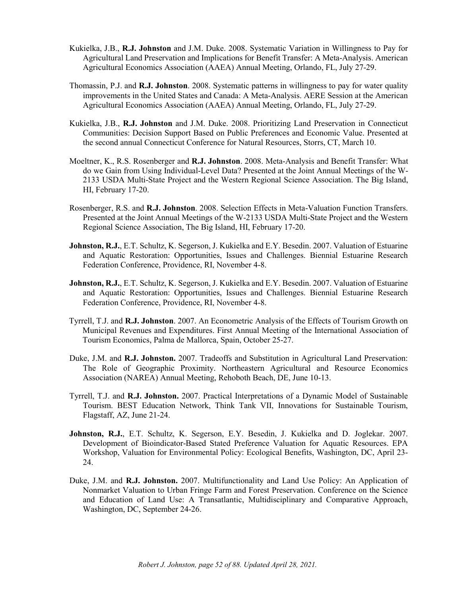- Kukielka, J.B., **R.J. Johnston** and J.M. Duke. 2008. Systematic Variation in Willingness to Pay for Agricultural Land Preservation and Implications for Benefit Transfer: A Meta-Analysis. American Agricultural Economics Association (AAEA) Annual Meeting, Orlando, FL, July 27-29.
- Thomassin, P.J. and **R.J. Johnston**. 2008. Systematic patterns in willingness to pay for water quality improvements in the United States and Canada: A Meta-Analysis. AERE Session at the American Agricultural Economics Association (AAEA) Annual Meeting, Orlando, FL, July 27-29.
- Kukielka, J.B., **R.J. Johnston** and J.M. Duke. 2008. Prioritizing Land Preservation in Connecticut Communities: Decision Support Based on Public Preferences and Economic Value. Presented at the second annual Connecticut Conference for Natural Resources, Storrs, CT, March 10.
- Moeltner, K., R.S. Rosenberger and **R.J. Johnston**. 2008. Meta-Analysis and Benefit Transfer: What do we Gain from Using Individual-Level Data? Presented at the Joint Annual Meetings of the W-2133 USDA Multi-State Project and the Western Regional Science Association. The Big Island, HI, February 17-20.
- Rosenberger, R.S. and **R.J. Johnston**. 2008. Selection Effects in Meta-Valuation Function Transfers. Presented at the Joint Annual Meetings of the W-2133 USDA Multi-State Project and the Western Regional Science Association, The Big Island, HI, February 17-20.
- **Johnston, R.J.,** E.T. Schultz, K. Segerson, J. Kukielka and E.Y. Besedin. 2007. Valuation of Estuarine and Aquatic Restoration: Opportunities, Issues and Challenges. Biennial Estuarine Research Federation Conference, Providence, RI, November 4-8.
- **Johnston, R.J.,** E.T. Schultz, K. Segerson, J. Kukielka and E.Y. Besedin. 2007. Valuation of Estuarine and Aquatic Restoration: Opportunities, Issues and Challenges. Biennial Estuarine Research Federation Conference, Providence, RI, November 4-8.
- Tyrrell, T.J. and **R.J. Johnston**. 2007. An Econometric Analysis of the Effects of Tourism Growth on Municipal Revenues and Expenditures. First Annual Meeting of the International Association of Tourism Economics, Palma de Mallorca, Spain, October 25-27.
- Duke, J.M. and **R.J. Johnston.** 2007. Tradeoffs and Substitution in Agricultural Land Preservation: The Role of Geographic Proximity. Northeastern Agricultural and Resource Economics Association (NAREA) Annual Meeting, Rehoboth Beach, DE, June 10-13.
- Tyrrell, T.J. and **R.J. Johnston.** 2007. Practical Interpretations of a Dynamic Model of Sustainable Tourism. BEST Education Network, Think Tank VII, Innovations for Sustainable Tourism, Flagstaff, AZ, June 21-24.
- **Johnston, R.J.**, E.T. Schultz, K. Segerson, E.Y. Besedin, J. Kukielka and D. Joglekar. 2007. Development of Bioindicator-Based Stated Preference Valuation for Aquatic Resources. EPA Workshop, Valuation for Environmental Policy: Ecological Benefits, Washington, DC, April 23- 24.
- Duke, J.M. and **R.J. Johnston.** 2007. Multifunctionality and Land Use Policy: An Application of Nonmarket Valuation to Urban Fringe Farm and Forest Preservation. Conference on the Science and Education of Land Use: A Transatlantic, Multidisciplinary and Comparative Approach, Washington, DC, September 24-26.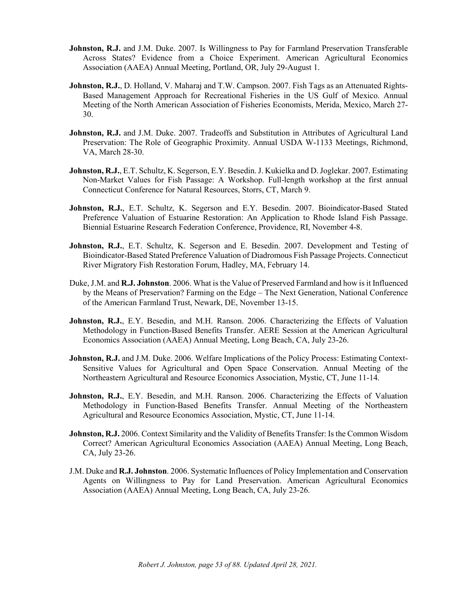- **Johnston, R.J.** and J.M. Duke. 2007. Is Willingness to Pay for Farmland Preservation Transferable Across States? Evidence from a Choice Experiment. American Agricultural Economics Association (AAEA) Annual Meeting, Portland, OR, July 29-August 1.
- **Johnston, R.J.**, D. Holland, V. Maharaj and T.W. Campson. 2007. Fish Tags as an Attenuated Rights-Based Management Approach for Recreational Fisheries in the US Gulf of Mexico. Annual Meeting of the North American Association of Fisheries Economists, Merida, Mexico, March 27- 30.
- **Johnston, R.J.** and J.M. Duke. 2007. Tradeoffs and Substitution in Attributes of Agricultural Land Preservation: The Role of Geographic Proximity. Annual USDA W-1133 Meetings, Richmond, VA, March 28-30.
- **Johnston, R.J.**, E.T. Schultz, K. Segerson, E.Y. Besedin. J. Kukielka and D. Joglekar. 2007. Estimating Non-Market Values for Fish Passage: A Workshop. Full-length workshop at the first annual Connecticut Conference for Natural Resources, Storrs, CT, March 9.
- Johnston, R.J., E.T. Schultz, K. Segerson and E.Y. Besedin. 2007. Bioindicator-Based Stated Preference Valuation of Estuarine Restoration: An Application to Rhode Island Fish Passage. Biennial Estuarine Research Federation Conference, Providence, RI, November 4-8.
- Johnston, R.J., E.T. Schultz, K. Segerson and E. Besedin. 2007. Development and Testing of Bioindicator-Based Stated Preference Valuation of Diadromous Fish Passage Projects. Connecticut River Migratory Fish Restoration Forum, Hadley, MA, February 14.
- Duke, J.M. and **R.J. Johnston**. 2006. What is the Value of Preserved Farmland and how is it Influenced by the Means of Preservation? Farming on the Edge – The Next Generation, National Conference of the American Farmland Trust, Newark, DE, November 13-15.
- **Johnston, R.J.**, E.Y. Besedin, and M.H. Ranson. 2006. Characterizing the Effects of Valuation Methodology in Function-Based Benefits Transfer. AERE Session at the American Agricultural Economics Association (AAEA) Annual Meeting, Long Beach, CA, July 23-26.
- **Johnston, R.J.** and J.M. Duke. 2006. Welfare Implications of the Policy Process: Estimating Context-Sensitive Values for Agricultural and Open Space Conservation. Annual Meeting of the Northeastern Agricultural and Resource Economics Association, Mystic, CT, June 11-14.
- **Johnston, R.J.**, E.Y. Besedin, and M.H. Ranson. 2006. Characterizing the Effects of Valuation Methodology in Function-Based Benefits Transfer. Annual Meeting of the Northeastern Agricultural and Resource Economics Association, Mystic, CT, June 11-14.
- **Johnston, R.J.** 2006. Context Similarity and the Validity of Benefits Transfer: Is the Common Wisdom Correct? American Agricultural Economics Association (AAEA) Annual Meeting, Long Beach, CA, July 23-26.
- J.M. Duke and **R.J. Johnston**. 2006. Systematic Influences of Policy Implementation and Conservation Agents on Willingness to Pay for Land Preservation. American Agricultural Economics Association (AAEA) Annual Meeting, Long Beach, CA, July 23-26.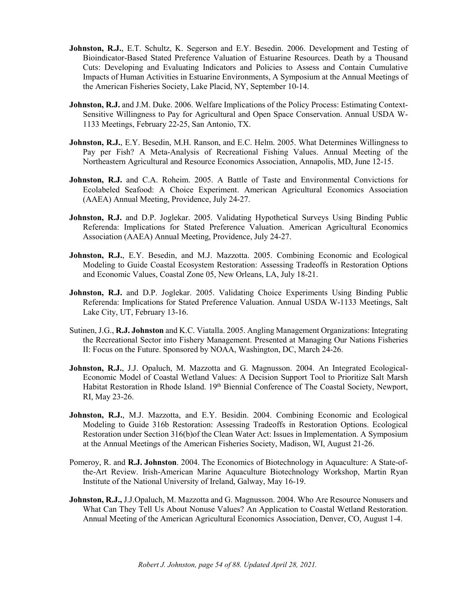- Johnston, R.J., E.T. Schultz, K. Segerson and E.Y. Besedin. 2006. Development and Testing of Bioindicator-Based Stated Preference Valuation of Estuarine Resources. Death by a Thousand Cuts: Developing and Evaluating Indicators and Policies to Assess and Contain Cumulative Impacts of Human Activities in Estuarine Environments, A Symposium at the Annual Meetings of the American Fisheries Society, Lake Placid, NY, September 10-14.
- **Johnston, R.J.** and J.M. Duke. 2006. Welfare Implications of the Policy Process: Estimating Context-Sensitive Willingness to Pay for Agricultural and Open Space Conservation. Annual USDA W-1133 Meetings, February 22-25, San Antonio, TX.
- **Johnston, R.J.**, E.Y. Besedin, M.H. Ranson, and E.C. Helm. 2005. What Determines Willingness to Pay per Fish? A Meta-Analysis of Recreational Fishing Values. Annual Meeting of the Northeastern Agricultural and Resource Economics Association, Annapolis, MD, June 12-15.
- **Johnston, R.J.** and C.A. Roheim. 2005. A Battle of Taste and Environmental Convictions for Ecolabeled Seafood: A Choice Experiment. American Agricultural Economics Association (AAEA) Annual Meeting, Providence, July 24-27.
- **Johnston, R.J.** and D.P. Joglekar. 2005. Validating Hypothetical Surveys Using Binding Public Referenda: Implications for Stated Preference Valuation. American Agricultural Economics Association (AAEA) Annual Meeting, Providence, July 24-27.
- Johnston, R.J., E.Y. Besedin, and M.J. Mazzotta. 2005. Combining Economic and Ecological Modeling to Guide Coastal Ecosystem Restoration: Assessing Tradeoffs in Restoration Options and Economic Values, Coastal Zone 05, New Orleans, LA, July 18-21.
- **Johnston, R.J.** and D.P. Joglekar. 2005. Validating Choice Experiments Using Binding Public Referenda: Implications for Stated Preference Valuation. Annual USDA W-1133 Meetings, Salt Lake City, UT, February 13-16.
- Sutinen, J.G., **R.J. Johnston** and K.C. Viatalla. 2005. Angling Management Organizations: Integrating the Recreational Sector into Fishery Management. Presented at Managing Our Nations Fisheries II: Focus on the Future. Sponsored by NOAA, Washington, DC, March 24-26.
- Johnston, R.J., J.J. Opaluch, M. Mazzotta and G. Magnusson. 2004. An Integrated Ecological-Economic Model of Coastal Wetland Values: A Decision Support Tool to Prioritize Salt Marsh Habitat Restoration in Rhode Island. 19th Biennial Conference of The Coastal Society, Newport, RI, May 23-26.
- **Johnston, R.J.**, M.J. Mazzotta, and E.Y. Besidin. 2004. Combining Economic and Ecological Modeling to Guide 316b Restoration: Assessing Tradeoffs in Restoration Options. Ecological Restoration under Section 316(b)of the Clean Water Act: Issues in Implementation. A Symposium at the Annual Meetings of the American Fisheries Society, Madison, WI, August 21-26.
- Pomeroy, R. and **R.J. Johnston**. 2004. The Economics of Biotechnology in Aquaculture: A State-ofthe-Art Review. Irish-American Marine Aquaculture Biotechnology Workshop, Martin Ryan Institute of the National University of Ireland, Galway, May 16-19.
- **Johnston, R.J.,** J.J.Opaluch, M. Mazzotta and G. Magnusson. 2004. Who Are Resource Nonusers and What Can They Tell Us About Nonuse Values? An Application to Coastal Wetland Restoration. Annual Meeting of the American Agricultural Economics Association, Denver, CO, August 1-4.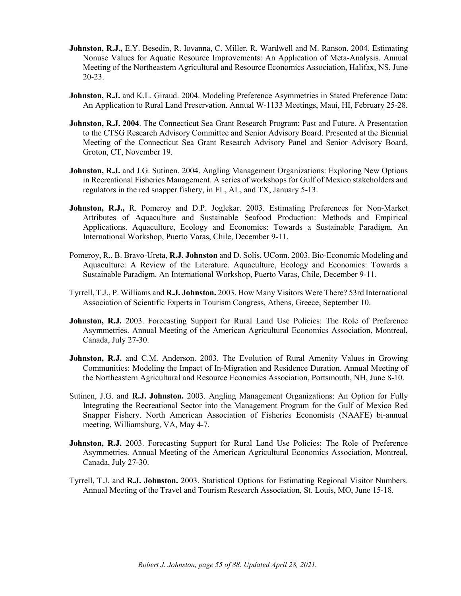- **Johnston, R.J.,** E.Y. Besedin, R. Iovanna, C. Miller, R. Wardwell and M. Ranson. 2004. Estimating Nonuse Values for Aquatic Resource Improvements: An Application of Meta-Analysis. Annual Meeting of the Northeastern Agricultural and Resource Economics Association, Halifax, NS, June 20-23.
- **Johnston, R.J.** and K.L. Giraud. 2004. Modeling Preference Asymmetries in Stated Preference Data: An Application to Rural Land Preservation. Annual W-1133 Meetings, Maui, HI, February 25-28.
- **Johnston, R.J. 2004**. The Connecticut Sea Grant Research Program: Past and Future. A Presentation to the CTSG Research Advisory Committee and Senior Advisory Board. Presented at the Biennial Meeting of the Connecticut Sea Grant Research Advisory Panel and Senior Advisory Board, Groton, CT, November 19.
- **Johnston, R.J.** and J.G. Sutinen. 2004. Angling Management Organizations: Exploring New Options in Recreational Fisheries Management. A series of workshops for Gulf of Mexico stakeholders and regulators in the red snapper fishery, in FL, AL, and TX, January 5-13.
- **Johnston, R.J.,** R. Pomeroy and D.P. Joglekar. 2003. Estimating Preferences for Non-Market Attributes of Aquaculture and Sustainable Seafood Production: Methods and Empirical Applications. Aquaculture, Ecology and Economics: Towards a Sustainable Paradigm. An International Workshop, Puerto Varas, Chile, December 9-11.
- Pomeroy, R., B. Bravo-Ureta, **R.J. Johnston** and D. Solís, UConn. 2003. Bio-Economic Modeling and Aquaculture: A Review of the Literature. Aquaculture, Ecology and Economics: Towards a Sustainable Paradigm. An International Workshop, Puerto Varas, Chile, December 9-11.
- Tyrrell, T.J., P. Williams and **R.J. Johnston.** 2003. How Many Visitors Were There? 53rd International Association of Scientific Experts in Tourism Congress, Athens, Greece, September 10.
- **Johnston, R.J.** 2003. Forecasting Support for Rural Land Use Policies: The Role of Preference Asymmetries. Annual Meeting of the American Agricultural Economics Association, Montreal, Canada, July 27-30.
- **Johnston, R.J.** and C.M. Anderson. 2003. The Evolution of Rural Amenity Values in Growing Communities: Modeling the Impact of In-Migration and Residence Duration. Annual Meeting of the Northeastern Agricultural and Resource Economics Association, Portsmouth, NH, June 8-10.
- Sutinen, J.G. and **R.J. Johnston.** 2003. Angling Management Organizations: An Option for Fully Integrating the Recreational Sector into the Management Program for the Gulf of Mexico Red Snapper Fishery. North American Association of Fisheries Economists (NAAFE) bi-annual meeting, Williamsburg, VA, May 4-7.
- Johnston, R.J. 2003. Forecasting Support for Rural Land Use Policies: The Role of Preference Asymmetries. Annual Meeting of the American Agricultural Economics Association, Montreal, Canada, July 27-30.
- Tyrrell, T.J. and **R.J. Johnston.** 2003. Statistical Options for Estimating Regional Visitor Numbers. Annual Meeting of the Travel and Tourism Research Association, St. Louis, MO, June 15-18.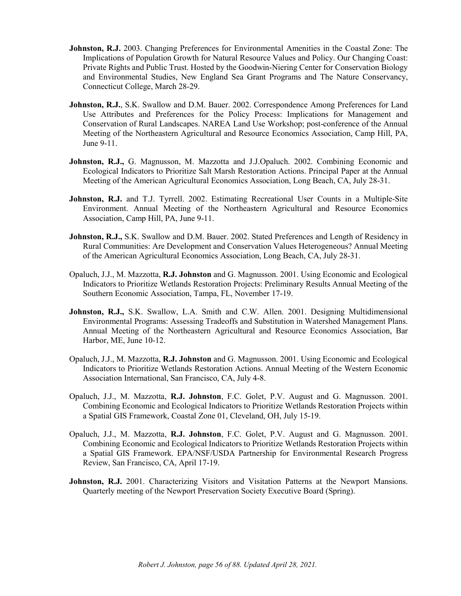- **Johnston, R.J.** 2003. Changing Preferences for Environmental Amenities in the Coastal Zone: The Implications of Population Growth for Natural Resource Values and Policy. Our Changing Coast: Private Rights and Public Trust. Hosted by the Goodwin-Niering Center for Conservation Biology and Environmental Studies, New England Sea Grant Programs and The Nature Conservancy, Connecticut College, March 28-29.
- **Johnston, R.J., S.K.** Swallow and D.M. Bauer. 2002. Correspondence Among Preferences for Land Use Attributes and Preferences for the Policy Process: Implications for Management and Conservation of Rural Landscapes. NAREA Land Use Workshop; post-conference of the Annual Meeting of the Northeastern Agricultural and Resource Economics Association, Camp Hill, PA, June 9-11.
- **Johnston, R.J.,** G. Magnusson, M. Mazzotta and J.J.Opaluch. 2002. Combining Economic and Ecological Indicators to Prioritize Salt Marsh Restoration Actions. Principal Paper at the Annual Meeting of the American Agricultural Economics Association, Long Beach, CA, July 28-31.
- **Johnston, R.J.** and T.J. Tyrrell. 2002. Estimating Recreational User Counts in a Multiple-Site Environment. Annual Meeting of the Northeastern Agricultural and Resource Economics Association, Camp Hill, PA, June 9-11.
- **Johnston, R.J.,** S.K. Swallow and D.M. Bauer. 2002. Stated Preferences and Length of Residency in Rural Communities: Are Development and Conservation Values Heterogeneous? Annual Meeting of the American Agricultural Economics Association, Long Beach, CA, July 28-31.
- Opaluch, J.J., M. Mazzotta, **R.J. Johnston** and G. Magnusson. 2001. Using Economic and Ecological Indicators to Prioritize Wetlands Restoration Projects: Preliminary Results Annual Meeting of the Southern Economic Association, Tampa, FL, November 17-19.
- **Johnston, R.J.,** S.K. Swallow, L.A. Smith and C.W. Allen. 2001. Designing Multidimensional Environmental Programs: Assessing Tradeoffs and Substitution in Watershed Management Plans. Annual Meeting of the Northeastern Agricultural and Resource Economics Association, Bar Harbor, ME, June 10-12.
- Opaluch, J.J., M. Mazzotta, **R.J. Johnston** and G. Magnusson. 2001. Using Economic and Ecological Indicators to Prioritize Wetlands Restoration Actions. Annual Meeting of the Western Economic Association International, San Francisco, CA, July 4-8.
- Opaluch, J.J., M. Mazzotta, **R.J. Johnston**, F.C. Golet, P.V. August and G. Magnusson. 2001. Combining Economic and Ecological Indicators to Prioritize Wetlands Restoration Projects within a Spatial GIS Framework, Coastal Zone 01, Cleveland, OH, July 15-19.
- Opaluch, J.J., M. Mazzotta, **R.J. Johnston**, F.C. Golet, P.V. August and G. Magnusson. 2001. Combining Economic and Ecological Indicators to Prioritize Wetlands Restoration Projects within a Spatial GIS Framework. EPA/NSF/USDA Partnership for Environmental Research Progress Review, San Francisco, CA, April 17-19.
- **Johnston, R.J.** 2001. Characterizing Visitors and Visitation Patterns at the Newport Mansions. Quarterly meeting of the Newport Preservation Society Executive Board (Spring).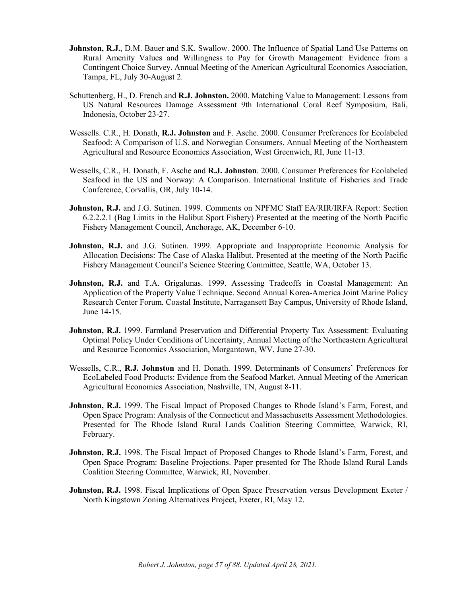- **Johnston, R.J.**, D.M. Bauer and S.K. Swallow. 2000. The Influence of Spatial Land Use Patterns on Rural Amenity Values and Willingness to Pay for Growth Management: Evidence from a Contingent Choice Survey. Annual Meeting of the American Agricultural Economics Association, Tampa, FL, July 30-August 2.
- Schuttenberg, H., D. French and **R.J. Johnston.** 2000. Matching Value to Management: Lessons from US Natural Resources Damage Assessment 9th International Coral Reef Symposium, Bali, Indonesia, October 23-27.
- Wessells. C.R., H. Donath, **R.J. Johnston** and F. Asche. 2000. Consumer Preferences for Ecolabeled Seafood: A Comparison of U.S. and Norwegian Consumers. Annual Meeting of the Northeastern Agricultural and Resource Economics Association, West Greenwich, RI, June 11-13.
- Wessells, C.R., H. Donath, F. Asche and **R.J. Johnston**. 2000. Consumer Preferences for Ecolabeled Seafood in the US and Norway: A Comparison. International Institute of Fisheries and Trade Conference, Corvallis, OR, July 10-14.
- **Johnston, R.J.** and J.G. Sutinen. 1999. Comments on NPFMC Staff EA/RIR/IRFA Report: Section 6.2.2.2.1 (Bag Limits in the Halibut Sport Fishery) Presented at the meeting of the North Pacific Fishery Management Council, Anchorage, AK, December 6-10.
- **Johnston, R.J.** and J.G. Sutinen. 1999. Appropriate and Inappropriate Economic Analysis for Allocation Decisions: The Case of Alaska Halibut. Presented at the meeting of the North Pacific Fishery Management Council's Science Steering Committee, Seattle, WA, October 13.
- **Johnston, R.J.** and T.A. Grigalunas. 1999. Assessing Tradeoffs in Coastal Management: An Application of the Property Value Technique. Second Annual Korea-America Joint Marine Policy Research Center Forum. Coastal Institute, Narragansett Bay Campus, University of Rhode Island, June 14-15.
- **Johnston, R.J.** 1999. Farmland Preservation and Differential Property Tax Assessment: Evaluating Optimal Policy Under Conditions of Uncertainty, Annual Meeting of the Northeastern Agricultural and Resource Economics Association, Morgantown, WV, June 27-30.
- Wessells, C.R., **R.J. Johnston** and H. Donath. 1999. Determinants of Consumers' Preferences for EcoLabeled Food Products: Evidence from the Seafood Market. Annual Meeting of the American Agricultural Economics Association, Nashville, TN, August 8-11.
- **Johnston, R.J.** 1999. The Fiscal Impact of Proposed Changes to Rhode Island's Farm, Forest, and Open Space Program: Analysis of the Connecticut and Massachusetts Assessment Methodologies. Presented for The Rhode Island Rural Lands Coalition Steering Committee, Warwick, RI, February.
- **Johnston, R.J.** 1998. The Fiscal Impact of Proposed Changes to Rhode Island's Farm, Forest, and Open Space Program: Baseline Projections. Paper presented for The Rhode Island Rural Lands Coalition Steering Committee, Warwick, RI, November.
- **Johnston, R.J.** 1998. Fiscal Implications of Open Space Preservation versus Development Exeter / North Kingstown Zoning Alternatives Project, Exeter, RI, May 12.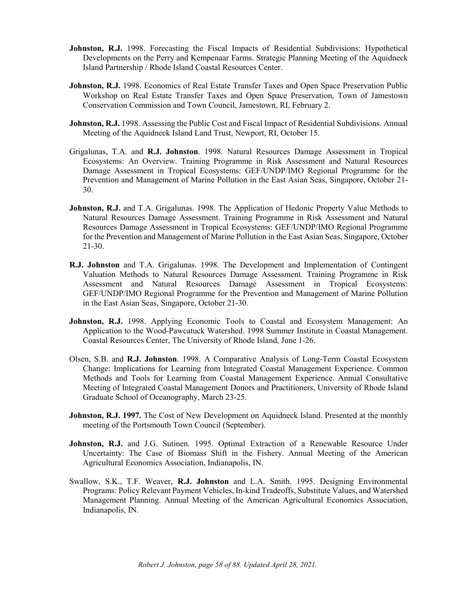- **Johnston, R.J.** 1998. Forecasting the Fiscal Impacts of Residential Subdivisions: Hypothetical Developments on the Perry and Kempenaar Farms. Strategic Planning Meeting of the Aquidneck Island Partnership / Rhode Island Coastal Resources Center.
- **Johnston, R.J.** 1998. Economics of Real Estate Transfer Taxes and Open Space Preservation Public Workshop on Real Estate Transfer Taxes and Open Space Preservation, Town of Jamestown Conservation Commission and Town Council, Jamestown, RI, February 2.
- **Johnston, R.J.** 1998. Assessing the Public Cost and Fiscal Impact of Residential Subdivisions. Annual Meeting of the Aquidneck Island Land Trust, Newport, RI, October 15.
- Grigalunas, T.A. and **R.J. Johnston**. 1998. Natural Resources Damage Assessment in Tropical Ecosystems: An Overview. Training Programme in Risk Assessment and Natural Resources Damage Assessment in Tropical Ecosystems: GEF/UNDP/IMO Regional Programme for the Prevention and Management of Marine Pollution in the East Asian Seas, Singapore, October 21- 30.
- **Johnston, R.J.** and T.A. Grigalunas. 1998. The Application of Hedonic Property Value Methods to Natural Resources Damage Assessment. Training Programme in Risk Assessment and Natural Resources Damage Assessment in Tropical Ecosystems: GEF/UNDP/IMO Regional Programme for the Prevention and Management of Marine Pollution in the East Asian Seas, Singapore, October 21-30.
- **R.J. Johnston** and T.A. Grigalunas. 1998. The Development and Implementation of Contingent Valuation Methods to Natural Resources Damage Assessment. Training Programme in Risk Assessment and Natural Resources Damage Assessment in Tropical Ecosystems: GEF/UNDP/IMO Regional Programme for the Prevention and Management of Marine Pollution in the East Asian Seas, Singapore, October 21-30.
- Johnston, R.J. 1998. Applying Economic Tools to Coastal and Ecosystem Management: An Application to the Wood-Pawcatuck Watershed. 1998 Summer Institute in Coastal Management. Coastal Resources Center, The University of Rhode Island, June 1-26.
- Olsen, S.B. and **R.J. Johnston**. 1998. A Comparative Analysis of Long-Term Coastal Ecosystem Change: Implications for Learning from Integrated Coastal Management Experience. Common Methods and Tools for Learning from Coastal Management Experience. Annual Consultative Meeting of Integrated Coastal Management Donors and Practitioners, University of Rhode Island Graduate School of Oceanography, March 23-25.
- **Johnston, R.J. 1997.** The Cost of New Development on Aquidneck Island. Presented at the monthly meeting of the Portsmouth Town Council (September).
- **Johnston, R.J.** and J.G. Sutinen. 1995. Optimal Extraction of a Renewable Resource Under Uncertainty: The Case of Biomass Shift in the Fishery. Annual Meeting of the American Agricultural Economics Association, Indianapolis, IN.
- Swallow, S.K., T.F. Weaver, **R.J. Johnston** and L.A. Smith. 1995. Designing Environmental Programs: Policy Relevant Payment Vehicles, In-kind Tradeoffs, Substitute Values, and Watershed Management Planning. Annual Meeting of the American Agricultural Economics Association, Indianapolis, IN.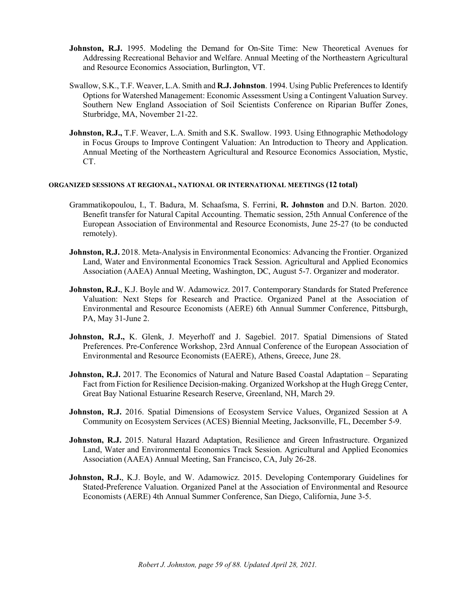- **Johnston, R.J.** 1995. Modeling the Demand for On-Site Time: New Theoretical Avenues for Addressing Recreational Behavior and Welfare. Annual Meeting of the Northeastern Agricultural and Resource Economics Association, Burlington, VT.
- Swallow, S.K., T.F. Weaver, L.A. Smith and **R.J. Johnston**. 1994. Using Public Preferences to Identify Options for Watershed Management: Economic Assessment Using a Contingent Valuation Survey. Southern New England Association of Soil Scientists Conference on Riparian Buffer Zones, Sturbridge, MA, November 21-22.
- **Johnston, R.J.,** T.F. Weaver, L.A. Smith and S.K. Swallow. 1993. Using Ethnographic Methodology in Focus Groups to Improve Contingent Valuation: An Introduction to Theory and Application. Annual Meeting of the Northeastern Agricultural and Resource Economics Association, Mystic, CT.

### **ORGANIZED SESSIONS AT REGIONAL, NATIONAL OR INTERNATIONAL MEETINGS (12 total)**

- Grammatikopoulou, I., T. Badura, M. Schaafsma, S. Ferrini, **R. Johnston** and D.N. Barton. 2020. Benefit transfer for Natural Capital Accounting. Thematic session, 25th Annual Conference of the European Association of Environmental and Resource Economists, June 25-27 (to be conducted remotely).
- **Johnston, R.J.** 2018. Meta-Analysis in Environmental Economics: Advancing the Frontier. Organized Land, Water and Environmental Economics Track Session. Agricultural and Applied Economics Association (AAEA) Annual Meeting, Washington, DC, August 5-7. Organizer and moderator.
- Johnston, R.J., K.J. Boyle and W. Adamowicz. 2017. Contemporary Standards for Stated Preference Valuation: Next Steps for Research and Practice. Organized Panel at the Association of Environmental and Resource Economists (AERE) 6th Annual Summer Conference, Pittsburgh, PA, May 31-June 2.
- **Johnston, R.J.,** K. Glenk, J. Meyerhoff and J. Sagebiel. 2017. Spatial Dimensions of Stated Preferences. Pre-Conference Workshop, 23rd Annual Conference of the European Association of Environmental and Resource Economists (EAERE), Athens, Greece, June 28.
- **Johnston, R.J.** 2017. The Economics of Natural and Nature Based Coastal Adaptation Separating Fact from Fiction for Resilience Decision-making. Organized Workshop at the Hugh Gregg Center, Great Bay National Estuarine Research Reserve, Greenland, NH, March 29.
- **Johnston, R.J.** 2016. Spatial Dimensions of Ecosystem Service Values, Organized Session at A Community on Ecosystem Services (ACES) Biennial Meeting, Jacksonville, FL, December 5-9.
- **Johnston, R.J.** 2015. Natural Hazard Adaptation, Resilience and Green Infrastructure. Organized Land, Water and Environmental Economics Track Session. Agricultural and Applied Economics Association (AAEA) Annual Meeting, San Francisco, CA, July 26-28.
- **Johnston, R.J.**, K.J. Boyle, and W. Adamowicz. 2015. Developing Contemporary Guidelines for Stated-Preference Valuation. Organized Panel at the Association of Environmental and Resource Economists (AERE) 4th Annual Summer Conference, San Diego, California, June 3-5.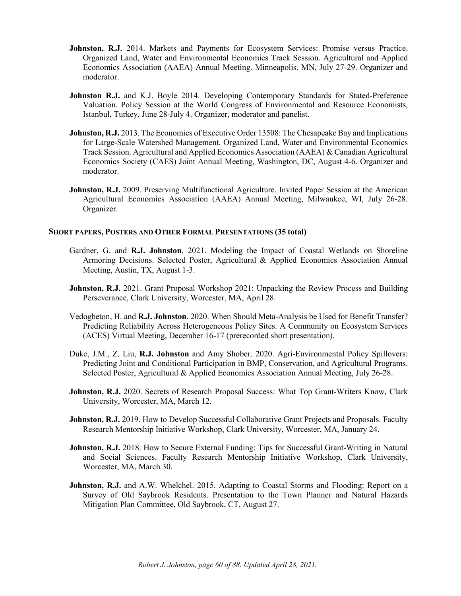- **Johnston, R.J.** 2014. Markets and Payments for Ecosystem Services: Promise versus Practice. Organized Land, Water and Environmental Economics Track Session. Agricultural and Applied Economics Association (AAEA) Annual Meeting. Minneapolis, MN, July 27-29. Organizer and moderator.
- Johnston R.J. and K.J. Boyle 2014. Developing Contemporary Standards for Stated-Preference Valuation. Policy Session at the World Congress of Environmental and Resource Economists, Istanbul, Turkey, June 28-July 4. Organizer, moderator and panelist.
- **Johnston, R.J.** 2013. The Economics of Executive Order 13508: The Chesapeake Bay and Implications for Large-Scale Watershed Management. Organized Land, Water and Environmental Economics Track Session. Agricultural and Applied Economics Association (AAEA) & Canadian Agricultural Economics Society (CAES) Joint Annual Meeting, Washington, DC, August 4-6. Organizer and moderator.
- **Johnston, R.J.** 2009. Preserving Multifunctional Agriculture. Invited Paper Session at the American Agricultural Economics Association (AAEA) Annual Meeting, Milwaukee, WI, July 26-28. Organizer.

## **SHORT PAPERS, POSTERS AND OTHER FORMAL PRESENTATIONS (35 total)**

- Gardner, G. and **R.J. Johnston**. 2021. Modeling the Impact of Coastal Wetlands on Shoreline Armoring Decisions. Selected Poster, Agricultural & Applied Economics Association Annual Meeting, Austin, TX, August 1-3.
- **Johnston, R.J.** 2021. Grant Proposal Workshop 2021: Unpacking the Review Process and Building Perseverance, Clark University, Worcester, MA, April 28.
- Vedogbeton, H. and **R.J. Johnston**. 2020. When Should Meta-Analysis be Used for Benefit Transfer? Predicting Reliability Across Heterogeneous Policy Sites. A Community on Ecosystem Services (ACES) Virtual Meeting, December 16-17 (prerecorded short presentation).
- Duke, J.M., Z. Liu, **R.J. Johnston** and Amy Shober. 2020. Agri-Environmental Policy Spillovers: Predicting Joint and Conditional Participation in BMP, Conservation, and Agricultural Programs. Selected Poster, Agricultural & Applied Economics Association Annual Meeting, July 26-28.
- **Johnston, R.J.** 2020. Secrets of Research Proposal Success: What Top Grant-Writers Know, Clark University, Worcester, MA, March 12.
- **Johnston, R.J.** 2019. How to Develop Successful Collaborative Grant Projects and Proposals. Faculty Research Mentorship Initiative Workshop, Clark University, Worcester, MA, January 24.
- **Johnston, R.J.** 2018. How to Secure External Funding: Tips for Successful Grant-Writing in Natural and Social Sciences. Faculty Research Mentorship Initiative Workshop, Clark University, Worcester, MA, March 30.
- **Johnston, R.J.** and A.W. Whelchel. 2015. Adapting to Coastal Storms and Flooding: Report on a Survey of Old Saybrook Residents. Presentation to the Town Planner and Natural Hazards Mitigation Plan Committee, Old Saybrook, CT, August 27.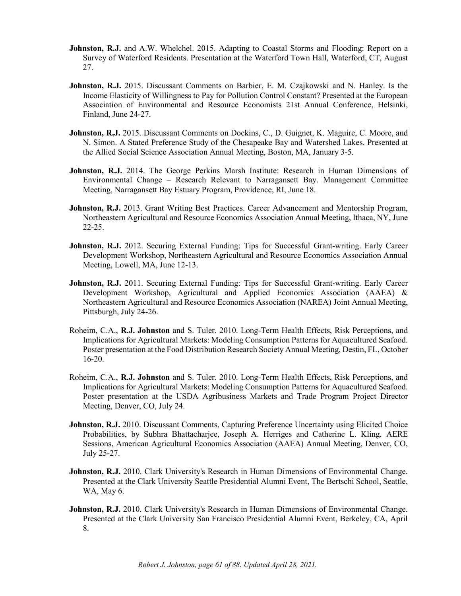- **Johnston, R.J.** and A.W. Whelchel. 2015. Adapting to Coastal Storms and Flooding: Report on a Survey of Waterford Residents. Presentation at the Waterford Town Hall, Waterford, CT, August 27.
- **Johnston, R.J.** 2015. Discussant Comments on Barbier, E. M. Czajkowski and N. Hanley. Is the Income Elasticity of Willingness to Pay for Pollution Control Constant? Presented at the European Association of Environmental and Resource Economists 21st Annual Conference, Helsinki, Finland, June 24-27.
- Johnston, R.J. 2015. Discussant Comments on Dockins, C., D. Guignet, K. Maguire, C. Moore, and N. Simon. A Stated Preference Study of the Chesapeake Bay and Watershed Lakes. Presented at the Allied Social Science Association Annual Meeting, Boston, MA, January 3-5.
- **Johnston, R.J.** 2014. The George Perkins Marsh Institute: Research in Human Dimensions of Environmental Change – Research Relevant to Narragansett Bay. Management Committee Meeting, Narragansett Bay Estuary Program, Providence, RI, June 18.
- **Johnston, R.J.** 2013. Grant Writing Best Practices. Career Advancement and Mentorship Program, Northeastern Agricultural and Resource Economics Association Annual Meeting, Ithaca, NY, June 22-25.
- **Johnston, R.J.** 2012. Securing External Funding: Tips for Successful Grant-writing. Early Career Development Workshop, Northeastern Agricultural and Resource Economics Association Annual Meeting, Lowell, MA, June 12-13.
- **Johnston, R.J.** 2011. Securing External Funding: Tips for Successful Grant-writing. Early Career Development Workshop, Agricultural and Applied Economics Association (AAEA) & Northeastern Agricultural and Resource Economics Association (NAREA) Joint Annual Meeting, Pittsburgh, July 24-26.
- Roheim, C.A., **R.J. Johnston** and S. Tuler. 2010. Long-Term Health Effects, Risk Perceptions, and Implications for Agricultural Markets: Modeling Consumption Patterns for Aquacultured Seafood. Poster presentation at the Food Distribution Research Society Annual Meeting, Destin, FL, October 16-20.
- Roheim, C.A., **R.J. Johnston** and S. Tuler. 2010. Long-Term Health Effects, Risk Perceptions, and Implications for Agricultural Markets: Modeling Consumption Patterns for Aquacultured Seafood. Poster presentation at the USDA Agribusiness Markets and Trade Program Project Director Meeting, Denver, CO, July 24.
- **Johnston, R.J.** 2010. Discussant Comments, Capturing Preference Uncertainty using Elicited Choice Probabilities, by Subhra Bhattacharjee, Joseph A. Herriges and Catherine L. Kling. AERE Sessions, American Agricultural Economics Association (AAEA) Annual Meeting, Denver, CO, July 25-27.
- **Johnston, R.J.** 2010. Clark University's Research in Human Dimensions of Environmental Change. Presented at the Clark University Seattle Presidential Alumni Event, The Bertschi School, Seattle, WA, May 6.
- **Johnston, R.J.** 2010. Clark University's Research in Human Dimensions of Environmental Change. Presented at the Clark University San Francisco Presidential Alumni Event, Berkeley, CA, April 8.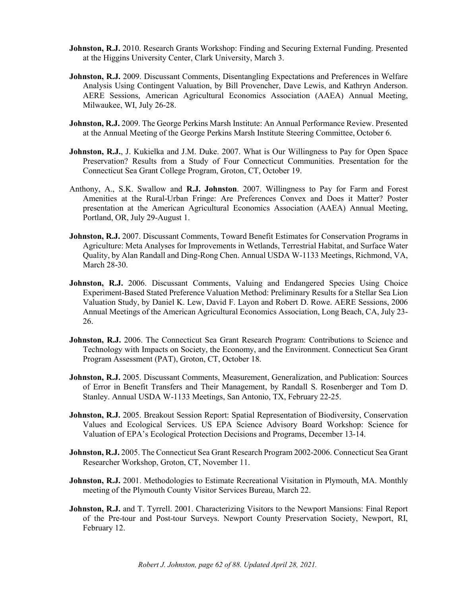- **Johnston, R.J.** 2010. Research Grants Workshop: Finding and Securing External Funding. Presented at the Higgins University Center, Clark University, March 3.
- **Johnston, R.J.** 2009. Discussant Comments, Disentangling Expectations and Preferences in Welfare Analysis Using Contingent Valuation, by Bill Provencher, Dave Lewis, and Kathryn Anderson. AERE Sessions, American Agricultural Economics Association (AAEA) Annual Meeting, Milwaukee, WI, July 26-28.
- **Johnston, R.J.** 2009. The George Perkins Marsh Institute: An Annual Performance Review. Presented at the Annual Meeting of the George Perkins Marsh Institute Steering Committee, October 6.
- **Johnston, R.J.**, J. Kukielka and J.M. Duke. 2007. What is Our Willingness to Pay for Open Space Preservation? Results from a Study of Four Connecticut Communities. Presentation for the Connecticut Sea Grant College Program, Groton, CT, October 19.
- Anthony, A., S.K. Swallow and **R.J. Johnston**. 2007. Willingness to Pay for Farm and Forest Amenities at the Rural-Urban Fringe: Are Preferences Convex and Does it Matter? Poster presentation at the American Agricultural Economics Association (AAEA) Annual Meeting, Portland, OR, July 29-August 1.
- **Johnston, R.J.** 2007. Discussant Comments, Toward Benefit Estimates for Conservation Programs in Agriculture: Meta Analyses for Improvements in Wetlands, Terrestrial Habitat, and Surface Water Quality, by Alan Randall and Ding-Rong Chen. Annual USDA W-1133 Meetings, Richmond, VA, March 28-30.
- **Johnston, R.J.** 2006. Discussant Comments, Valuing and Endangered Species Using Choice Experiment-Based Stated Preference Valuation Method: Preliminary Results for a Stellar Sea Lion Valuation Study, by Daniel K. Lew, David F. Layon and Robert D. Rowe. AERE Sessions, 2006 Annual Meetings of the American Agricultural Economics Association, Long Beach, CA, July 23- 26.
- **Johnston, R.J.** 2006. The Connecticut Sea Grant Research Program: Contributions to Science and Technology with Impacts on Society, the Economy, and the Environment. Connecticut Sea Grant Program Assessment (PAT), Groton, CT, October 18.
- **Johnston, R.J.** 2005. Discussant Comments, Measurement, Generalization, and Publication: Sources of Error in Benefit Transfers and Their Management, by Randall S. Rosenberger and Tom D. Stanley. Annual USDA W-1133 Meetings, San Antonio, TX, February 22-25.
- **Johnston, R.J.** 2005. Breakout Session Report: Spatial Representation of Biodiversity, Conservation Values and Ecological Services. US EPA Science Advisory Board Workshop: Science for Valuation of EPA's Ecological Protection Decisions and Programs, December 13-14.
- **Johnston, R.J.** 2005. The Connecticut Sea Grant Research Program 2002-2006. Connecticut Sea Grant Researcher Workshop, Groton, CT, November 11.
- **Johnston, R.J.** 2001. Methodologies to Estimate Recreational Visitation in Plymouth, MA. Monthly meeting of the Plymouth County Visitor Services Bureau, March 22.
- Johnston, R.J. and T. Tyrrell. 2001. Characterizing Visitors to the Newport Mansions: Final Report of the Pre-tour and Post-tour Surveys. Newport County Preservation Society, Newport, RI, February 12.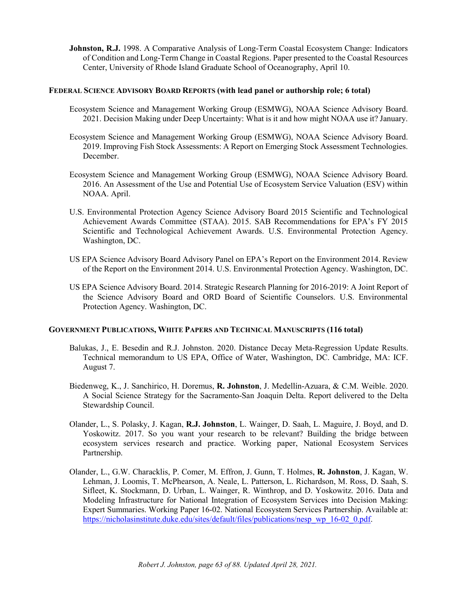**Johnston, R.J.** 1998. A Comparative Analysis of Long-Term Coastal Ecosystem Change: Indicators of Condition and Long-Term Change in Coastal Regions. Paper presented to the Coastal Resources Center, University of Rhode Island Graduate School of Oceanography, April 10.

## **FEDERAL SCIENCE ADVISORY BOARD REPORTS (with lead panel or authorship role; 6 total)**

- Ecosystem Science and Management Working Group (ESMWG), NOAA Science Advisory Board. 2021. Decision Making under Deep Uncertainty: What is it and how might NOAA use it? January.
- Ecosystem Science and Management Working Group (ESMWG), NOAA Science Advisory Board. 2019. Improving Fish Stock Assessments: A Report on Emerging Stock Assessment Technologies. December.
- Ecosystem Science and Management Working Group (ESMWG), NOAA Science Advisory Board. 2016. An Assessment of the Use and Potential Use of Ecosystem Service Valuation (ESV) within NOAA. April.
- U.S. Environmental Protection Agency Science Advisory Board 2015 Scientific and Technological Achievement Awards Committee (STAA). 2015. SAB Recommendations for EPA's FY 2015 Scientific and Technological Achievement Awards. U.S. Environmental Protection Agency. Washington, DC.
- US EPA Science Advisory Board Advisory Panel on EPA's Report on the Environment 2014. Review of the Report on the Environment 2014. U.S. Environmental Protection Agency. Washington, DC.
- US EPA Science Advisory Board. 2014. Strategic Research Planning for 2016-2019: A Joint Report of the Science Advisory Board and ORD Board of Scientific Counselors. U.S. Environmental Protection Agency. Washington, DC.

# **GOVERNMENT PUBLICATIONS, WHITE PAPERS AND TECHNICAL MANUSCRIPTS (116 total)**

- Balukas, J., E. Besedin and R.J. Johnston. 2020. Distance Decay Meta-Regression Update Results. Technical memorandum to US EPA, Office of Water, Washington, DC. Cambridge, MA: ICF. August 7.
- Biedenweg, K., J. Sanchirico, H. Doremus, **R. Johnston**, J. Medellín-Azuara, & C.M. Weible. 2020. A Social Science Strategy for the Sacramento-San Joaquin Delta. Report delivered to the Delta Stewardship Council.
- Olander, L., S. Polasky, J. Kagan, **R.J. Johnston**, L. Wainger, D. Saah, L. Maguire, J. Boyd, and D. Yoskowitz. 2017. So you want your research to be relevant? Building the bridge between ecosystem services research and practice. Working paper, National Ecosystem Services Partnership.
- Olander, L., G.W. Characklis, P. Comer, M. Effron, J. Gunn, T. Holmes, **R. Johnston**, J. Kagan, W. Lehman, J. Loomis, T. McPhearson, A. Neale, L. Patterson, L. Richardson, M. Ross, D. Saah, S. Sifleet, K. Stockmann, D. Urban, L. Wainger, R. Winthrop, and D. Yoskowitz. 2016. Data and Modeling Infrastructure for National Integration of Ecosystem Services into Decision Making: Expert Summaries. Working Paper 16-02. National Ecosystem Services Partnership. Available at: [https://nicholasinstitute.duke.edu/sites/default/files/publications/nesp\\_wp\\_16-02\\_0.pdf.](https://nicholasinstitute.duke.edu/sites/default/files/publications/nesp_wp_16-02_0.pdf)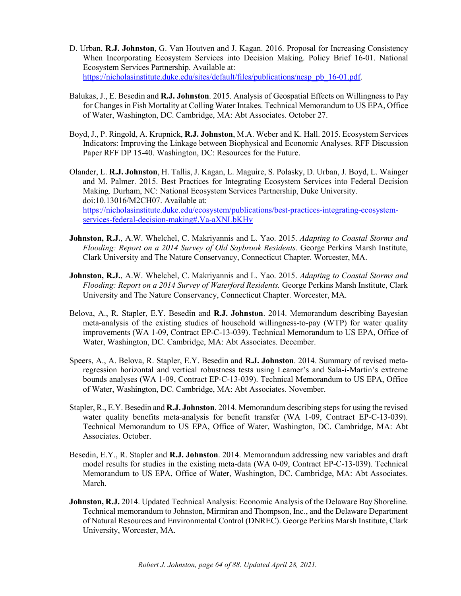- D. Urban, **R.J. Johnston**, G. Van Houtven and J. Kagan. 2016. Proposal for Increasing Consistency When Incorporating Ecosystem Services into Decision Making. Policy Brief 16-01. National Ecosystem Services Partnership. Available at: [https://nicholasinstitute.duke.edu/sites/default/files/publications/nesp\\_pb\\_16-01.pdf.](https://nicholasinstitute.duke.edu/sites/default/files/publications/nesp_pb_16-01.pdf)
- Balukas, J., E. Besedin and **R.J. Johnston**. 2015. Analysis of Geospatial Effects on Willingness to Pay for Changes in Fish Mortality at Colling Water Intakes. Technical Memorandum to US EPA, Office of Water, Washington, DC. Cambridge, MA: Abt Associates. October 27.
- Boyd, J., P. Ringold, A. Krupnick, **R.J. Johnston**, M.A. Weber and K. Hall. 2015. Ecosystem Services Indicators: Improving the Linkage between Biophysical and Economic Analyses. RFF Discussion Paper RFF DP 15-40. Washington, DC: Resources for the Future.
- Olander, L. **R.J. Johnston**, H. Tallis, J. Kagan, L. Maguire, S. Polasky, D. Urban, J. Boyd, L. Wainger and M. Palmer. 2015. Best Practices for Integrating Ecosystem Services into Federal Decision Making. Durham, NC: National Ecosystem Services Partnership, Duke University. doi:10.13016/M2CH07. Available at: [https://nicholasinstitute.duke.edu/ecosystem/publications/best-practices-integrating-ecosystem](https://nicholasinstitute.duke.edu/ecosystem/publications/best-practices-integrating-ecosystem-services-federal-decision-making#.Va-aXNLbKHv)[services-federal-decision-making#.Va-aXNLbKHv](https://nicholasinstitute.duke.edu/ecosystem/publications/best-practices-integrating-ecosystem-services-federal-decision-making#.Va-aXNLbKHv)
- **Johnston, R.J.**, A.W. Whelchel, C. Makriyannis and L. Yao. 2015. *Adapting to Coastal Storms and Flooding: Report on a 2014 Survey of Old Saybrook Residents.* George Perkins Marsh Institute, Clark University and The Nature Conservancy, Connecticut Chapter. Worcester, MA.
- **Johnston, R.J.**, A.W. Whelchel, C. Makriyannis and L. Yao. 2015. *Adapting to Coastal Storms and Flooding: Report on a 2014 Survey of Waterford Residents.* George Perkins Marsh Institute, Clark University and The Nature Conservancy, Connecticut Chapter. Worcester, MA.
- Belova, A., R. Stapler, E.Y. Besedin and **R.J. Johnston**. 2014. Memorandum describing Bayesian meta-analysis of the existing studies of household willingness-to-pay (WTP) for water quality improvements (WA 1-09, Contract EP-C-13-039). Technical Memorandum to US EPA, Office of Water, Washington, DC. Cambridge, MA: Abt Associates. December.
- Speers, A., A. Belova, R. Stapler, E.Y. Besedin and **R.J. Johnston**. 2014. Summary of revised metaregression horizontal and vertical robustness tests using Leamer's and Sala-i-Martin's extreme bounds analyses (WA 1-09, Contract EP-C-13-039). Technical Memorandum to US EPA, Office of Water, Washington, DC. Cambridge, MA: Abt Associates. November.
- Stapler, R., E.Y. Besedin and **R.J. Johnston**. 2014. Memorandum describing steps for using the revised water quality benefits meta-analysis for benefit transfer (WA 1-09, Contract EP-C-13-039). Technical Memorandum to US EPA, Office of Water, Washington, DC. Cambridge, MA: Abt Associates. October.
- Besedin, E.Y., R. Stapler and **R.J. Johnston**. 2014. Memorandum addressing new variables and draft model results for studies in the existing meta-data (WA 0-09, Contract EP-C-13-039). Technical Memorandum to US EPA, Office of Water, Washington, DC. Cambridge, MA: Abt Associates. March.
- **Johnston, R.J.** 2014. Updated Technical Analysis: Economic Analysis of the Delaware Bay Shoreline. Technical memorandum to Johnston, Mirmiran and Thompson, Inc., and the Delaware Department of Natural Resources and Environmental Control (DNREC). George Perkins Marsh Institute, Clark University, Worcester, MA.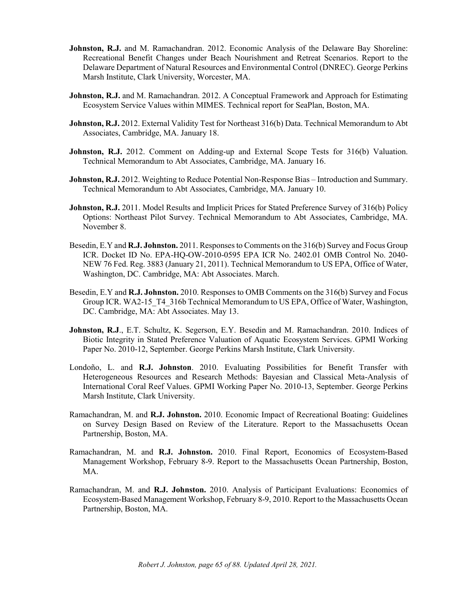- **Johnston, R.J.** and M. Ramachandran. 2012. Economic Analysis of the Delaware Bay Shoreline: Recreational Benefit Changes under Beach Nourishment and Retreat Scenarios. Report to the Delaware Department of Natural Resources and Environmental Control (DNREC). George Perkins Marsh Institute, Clark University, Worcester, MA.
- **Johnston, R.J.** and M. Ramachandran. 2012. A Conceptual Framework and Approach for Estimating Ecosystem Service Values within MIMES. Technical report for SeaPlan, Boston, MA.
- **Johnston, R.J.** 2012. External Validity Test for Northeast 316(b) Data. Technical Memorandum to Abt Associates, Cambridge, MA. January 18.
- **Johnston, R.J.** 2012. Comment on Adding-up and External Scope Tests for 316(b) Valuation. Technical Memorandum to Abt Associates, Cambridge, MA. January 16.
- **Johnston, R.J.** 2012. Weighting to Reduce Potential Non-Response Bias Introduction and Summary. Technical Memorandum to Abt Associates, Cambridge, MA. January 10.
- **Johnston, R.J.** 2011. Model Results and Implicit Prices for Stated Preference Survey of 316(b) Policy Options: Northeast Pilot Survey. Technical Memorandum to Abt Associates, Cambridge, MA. November 8.
- Besedin, E.Y and **R.J. Johnston.** 2011. Responses to Comments on the 316(b) Survey and Focus Group ICR. Docket ID No. EPA-HQ-OW-2010-0595 EPA ICR No. 2402.01 OMB Control No. 2040- NEW 76 Fed. Reg. 3883 (January 21, 2011). Technical Memorandum to US EPA, Office of Water, Washington, DC. Cambridge, MA: Abt Associates. March.
- Besedin, E.Y and **R.J. Johnston.** 2010. Responses to OMB Comments on the 316(b) Survey and Focus Group ICR. WA2-15\_T4\_316b Technical Memorandum to US EPA, Office of Water, Washington, DC. Cambridge, MA: Abt Associates. May 13.
- **Johnston, R.J.**, E.T. Schultz, K. Segerson, E.Y. Besedin and M. Ramachandran. 2010. Indices of Biotic Integrity in Stated Preference Valuation of Aquatic Ecosystem Services. GPMI Working Paper No. 2010-12, September. George Perkins Marsh Institute, Clark University.
- Londoño, L. and **R.J. Johnston**. 2010. Evaluating Possibilities for Benefit Transfer with Heterogeneous Resources and Research Methods: Bayesian and Classical Meta-Analysis of International Coral Reef Values. GPMI Working Paper No. 2010-13, September. George Perkins Marsh Institute, Clark University.
- Ramachandran, M. and **R.J. Johnston.** 2010. Economic Impact of Recreational Boating: Guidelines on Survey Design Based on Review of the Literature. Report to the Massachusetts Ocean Partnership, Boston, MA.
- Ramachandran, M. and **R.J. Johnston.** 2010. Final Report, Economics of Ecosystem-Based Management Workshop, February 8-9. Report to the Massachusetts Ocean Partnership, Boston, MA.
- Ramachandran, M. and **R.J. Johnston.** 2010. Analysis of Participant Evaluations: Economics of Ecosystem-Based Management Workshop, February 8-9, 2010. Report to the Massachusetts Ocean Partnership, Boston, MA.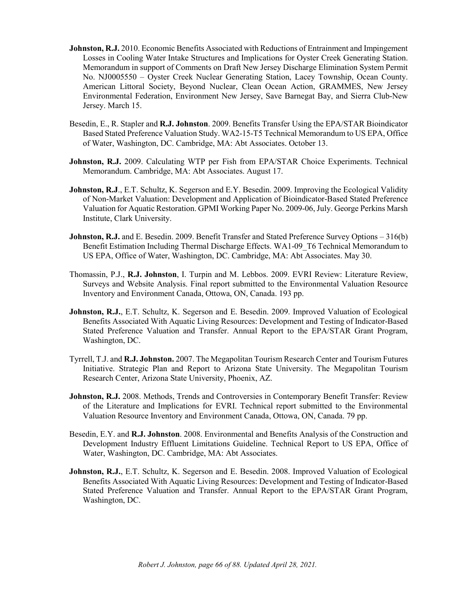- **Johnston, R.J.** 2010. Economic Benefits Associated with Reductions of Entrainment and Impingement Losses in Cooling Water Intake Structures and Implications for Oyster Creek Generating Station. Memorandum in support of Comments on Draft New Jersey Discharge Elimination System Permit No. NJ0005550 – Oyster Creek Nuclear Generating Station, Lacey Township, Ocean County. American Littoral Society, Beyond Nuclear, Clean Ocean Action, GRAMMES, New Jersey Environmental Federation, Environment New Jersey, Save Barnegat Bay, and Sierra Club-New Jersey. March 15.
- Besedin, E., R. Stapler and **R.J. Johnston**. 2009. Benefits Transfer Using the EPA/STAR Bioindicator Based Stated Preference Valuation Study. WA2-15-T5 Technical Memorandum to US EPA, Office of Water, Washington, DC. Cambridge, MA: Abt Associates. October 13.
- **Johnston, R.J.** 2009. Calculating WTP per Fish from EPA/STAR Choice Experiments. Technical Memorandum. Cambridge, MA: Abt Associates. August 17.
- **Johnston, R.J.**, E.T. Schultz, K. Segerson and E.Y. Besedin. 2009. Improving the Ecological Validity of Non-Market Valuation: Development and Application of Bioindicator-Based Stated Preference Valuation for Aquatic Restoration. GPMI Working Paper No. 2009-06, July. George Perkins Marsh Institute, Clark University.
- **Johnston, R.J.** and E. Besedin. 2009. Benefit Transfer and Stated Preference Survey Options 316(b) Benefit Estimation Including Thermal Discharge Effects. WA1-09\_T6 Technical Memorandum to US EPA, Office of Water, Washington, DC. Cambridge, MA: Abt Associates. May 30.
- Thomassin, P.J., **R.J. Johnston**, I. Turpin and M. Lebbos. 2009. EVRI Review: Literature Review, Surveys and Website Analysis. Final report submitted to the Environmental Valuation Resource Inventory and Environment Canada, Ottowa, ON, Canada. 193 pp.
- **Johnston, R.J.**, E.T. Schultz, K. Segerson and E. Besedin. 2009. Improved Valuation of Ecological Benefits Associated With Aquatic Living Resources: Development and Testing of Indicator-Based Stated Preference Valuation and Transfer. Annual Report to the EPA/STAR Grant Program, Washington, DC.
- Tyrrell, T.J. and **R.J. Johnston.** 2007. The Megapolitan Tourism Research Center and Tourism Futures Initiative. Strategic Plan and Report to Arizona State University. The Megapolitan Tourism Research Center, Arizona State University, Phoenix, AZ.
- **Johnston, R.J.** 2008. Methods, Trends and Controversies in Contemporary Benefit Transfer: Review of the Literature and Implications for EVRI. Technical report submitted to the Environmental Valuation Resource Inventory and Environment Canada, Ottowa, ON, Canada. 79 pp.
- Besedin, E.Y. and **R.J. Johnston**. 2008. Environmental and Benefits Analysis of the Construction and Development Industry Effluent Limitations Guideline. Technical Report to US EPA, Office of Water, Washington, DC. Cambridge, MA: Abt Associates.
- **Johnston, R.J.**, E.T. Schultz, K. Segerson and E. Besedin. 2008. Improved Valuation of Ecological Benefits Associated With Aquatic Living Resources: Development and Testing of Indicator-Based Stated Preference Valuation and Transfer. Annual Report to the EPA/STAR Grant Program, Washington, DC.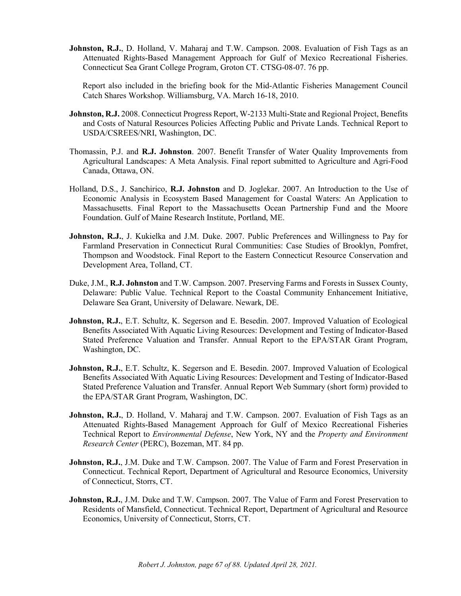**Johnston, R.J.**, D. Holland, V. Maharaj and T.W. Campson. 2008. Evaluation of Fish Tags as an Attenuated Rights-Based Management Approach for Gulf of Mexico Recreational Fisheries. Connecticut Sea Grant College Program, Groton CT. CTSG-08-07. 76 pp.

Report also included in the briefing book for the Mid-Atlantic Fisheries Management Council Catch Shares Workshop. Williamsburg, VA. March 16-18, 2010.

- **Johnston, R.J.** 2008. Connecticut Progress Report, W-2133 Multi-State and Regional Project, Benefits and Costs of Natural Resources Policies Affecting Public and Private Lands. Technical Report to USDA/CSREES/NRI, Washington, DC.
- Thomassin, P.J. and **R.J. Johnston**. 2007. Benefit Transfer of Water Quality Improvements from Agricultural Landscapes: A Meta Analysis. Final report submitted to Agriculture and Agri-Food Canada, Ottawa, ON.
- Holland, D.S., J. Sanchirico, **R.J. Johnston** and D. Joglekar. 2007. An Introduction to the Use of Economic Analysis in Ecosystem Based Management for Coastal Waters: An Application to Massachusetts. Final Report to the Massachusetts Ocean Partnership Fund and the Moore Foundation. Gulf of Maine Research Institute, Portland, ME.
- **Johnston, R.J.**, J. Kukielka and J.M. Duke. 2007. Public Preferences and Willingness to Pay for Farmland Preservation in Connecticut Rural Communities: Case Studies of Brooklyn, Pomfret, Thompson and Woodstock. Final Report to the Eastern Connecticut Resource Conservation and Development Area, Tolland, CT.
- Duke, J.M., **R.J. Johnston** and T.W. Campson. 2007. Preserving Farms and Forests in Sussex County, Delaware: Public Value. Technical Report to the Coastal Community Enhancement Initiative, Delaware Sea Grant, University of Delaware. Newark, DE.
- **Johnston, R.J.**, E.T. Schultz, K. Segerson and E. Besedin. 2007. Improved Valuation of Ecological Benefits Associated With Aquatic Living Resources: Development and Testing of Indicator-Based Stated Preference Valuation and Transfer. Annual Report to the EPA/STAR Grant Program, Washington, DC.
- **Johnston, R.J.**, E.T. Schultz, K. Segerson and E. Besedin. 2007. Improved Valuation of Ecological Benefits Associated With Aquatic Living Resources: Development and Testing of Indicator-Based Stated Preference Valuation and Transfer. Annual Report Web Summary (short form) provided to the EPA/STAR Grant Program, Washington, DC.
- **Johnston, R.J.**, D. Holland, V. Maharaj and T.W. Campson. 2007. Evaluation of Fish Tags as an Attenuated Rights-Based Management Approach for Gulf of Mexico Recreational Fisheries Technical Report to *Environmental Defense*, New York, NY and the *Property and Environment Research Center* (PERC), Bozeman, MT. 84 pp.
- **Johnston, R.J.,** J.M. Duke and T.W. Campson. 2007. The Value of Farm and Forest Preservation in Connecticut. Technical Report, Department of Agricultural and Resource Economics, University of Connecticut, Storrs, CT.
- **Johnston, R.J.**, J.M. Duke and T.W. Campson. 2007. The Value of Farm and Forest Preservation to Residents of Mansfield, Connecticut. Technical Report, Department of Agricultural and Resource Economics, University of Connecticut, Storrs, CT.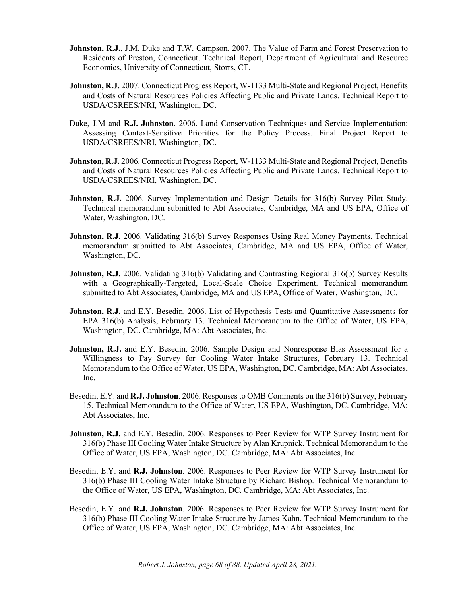- **Johnston, R.J.,** J.M. Duke and T.W. Campson. 2007. The Value of Farm and Forest Preservation to Residents of Preston, Connecticut. Technical Report, Department of Agricultural and Resource Economics, University of Connecticut, Storrs, CT.
- **Johnston, R.J.** 2007. Connecticut Progress Report, W-1133 Multi-State and Regional Project, Benefits and Costs of Natural Resources Policies Affecting Public and Private Lands. Technical Report to USDA/CSREES/NRI, Washington, DC.
- Duke, J.M and **R.J. Johnston**. 2006. Land Conservation Techniques and Service Implementation: Assessing Context-Sensitive Priorities for the Policy Process. Final Project Report to USDA/CSREES/NRI, Washington, DC.
- **Johnston, R.J.** 2006. Connecticut Progress Report, W-1133 Multi-State and Regional Project, Benefits and Costs of Natural Resources Policies Affecting Public and Private Lands. Technical Report to USDA/CSREES/NRI, Washington, DC.
- Johnston, R.J. 2006. Survey Implementation and Design Details for 316(b) Survey Pilot Study. Technical memorandum submitted to Abt Associates, Cambridge, MA and US EPA, Office of Water, Washington, DC.
- **Johnston, R.J.** 2006. Validating 316(b) Survey Responses Using Real Money Payments. Technical memorandum submitted to Abt Associates, Cambridge, MA and US EPA, Office of Water, Washington, DC.
- **Johnston, R.J.** 2006. Validating 316(b) Validating and Contrasting Regional 316(b) Survey Results with a Geographically-Targeted, Local-Scale Choice Experiment. Technical memorandum submitted to Abt Associates, Cambridge, MA and US EPA, Office of Water, Washington, DC.
- **Johnston, R.J.** and E.Y. Besedin. 2006. List of Hypothesis Tests and Quantitative Assessments for EPA 316(b) Analysis, February 13. Technical Memorandum to the Office of Water, US EPA, Washington, DC. Cambridge, MA: Abt Associates, Inc.
- **Johnston, R.J.** and E.Y. Besedin. 2006. Sample Design and Nonresponse Bias Assessment for a Willingness to Pay Survey for Cooling Water Intake Structures, February 13. Technical Memorandum to the Office of Water, US EPA, Washington, DC. Cambridge, MA: Abt Associates, Inc.
- Besedin, E.Y. and **R.J. Johnston**. 2006. Responses to OMB Comments on the 316(b) Survey, February 15. Technical Memorandum to the Office of Water, US EPA, Washington, DC. Cambridge, MA: Abt Associates, Inc.
- **Johnston, R.J.** and E.Y. Besedin. 2006. Responses to Peer Review for WTP Survey Instrument for 316(b) Phase III Cooling Water Intake Structure by Alan Krupnick. Technical Memorandum to the Office of Water, US EPA, Washington, DC. Cambridge, MA: Abt Associates, Inc.
- Besedin, E.Y. and **R.J. Johnston**. 2006. Responses to Peer Review for WTP Survey Instrument for 316(b) Phase III Cooling Water Intake Structure by Richard Bishop. Technical Memorandum to the Office of Water, US EPA, Washington, DC. Cambridge, MA: Abt Associates, Inc.
- Besedin, E.Y. and **R.J. Johnston**. 2006. Responses to Peer Review for WTP Survey Instrument for 316(b) Phase III Cooling Water Intake Structure by James Kahn. Technical Memorandum to the Office of Water, US EPA, Washington, DC. Cambridge, MA: Abt Associates, Inc.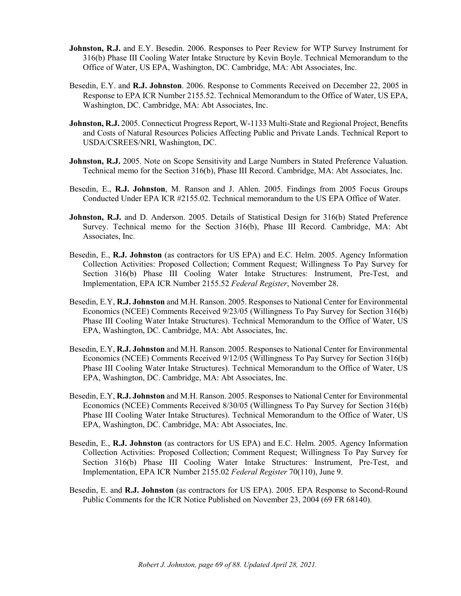- **Johnston, R.J.** and E.Y. Besedin. 2006. Responses to Peer Review for WTP Survey Instrument for 316(b) Phase III Cooling Water Intake Structure by Kevin Boyle. Technical Memorandum to the Office of Water, US EPA, Washington, DC. Cambridge, MA: Abt Associates, Inc.
- Besedin, E.Y. and **R.J. Johnston**. 2006. Response to Comments Received on December 22, 2005 in Response to EPA ICR Number 2155.52. Technical Memorandum to the Office of Water, US EPA, Washington, DC. Cambridge, MA: Abt Associates, Inc.
- **Johnston, R.J.** 2005. Connecticut Progress Report, W-1133 Multi-State and Regional Project, Benefits and Costs of Natural Resources Policies Affecting Public and Private Lands. Technical Report to USDA/CSREES/NRI, Washington, DC.
- Johnston, R.J. 2005. Note on Scope Sensitivity and Large Numbers in Stated Preference Valuation. Technical memo for the Section 316(b), Phase III Record. Cambridge, MA: Abt Associates, Inc.
- Besedin, E., **R.J. Johnston**, M. Ranson and J. Ahlen. 2005. Findings from 2005 Focus Groups Conducted Under EPA ICR #2155.02. Technical memorandum to the US EPA Office of Water.
- **Johnston, R.J.** and D. Anderson. 2005. Details of Statistical Design for 316(b) Stated Preference Survey. Technical memo for the Section 316(b), Phase III Record. Cambridge, MA: Abt Associates, Inc.
- Besedin, E., **R.J. Johnston** (as contractors for US EPA) and E.C. Helm. 2005. Agency Information Collection Activities: Proposed Collection; Comment Request; Willingness To Pay Survey for Section 316(b) Phase III Cooling Water Intake Structures: Instrument, Pre-Test, and Implementation, EPA ICR Number 2155.52 *Federal Register*, November 28.
- Besedin, E.Y, **R.J. Johnston** and M.H. Ranson. 2005. Responses to National Center for Environmental Economics (NCEE) Comments Received 9/23/05 (Willingness To Pay Survey for Section 316(b) Phase III Cooling Water Intake Structures). Technical Memorandum to the Office of Water, US EPA, Washington, DC. Cambridge, MA: Abt Associates, Inc.
- Besedin, E.Y, **R.J. Johnston** and M.H. Ranson. 2005. Responses to National Center for Environmental Economics (NCEE) Comments Received 9/12/05 (Willingness To Pay Survey for Section 316(b) Phase III Cooling Water Intake Structures). Technical Memorandum to the Office of Water, US EPA, Washington, DC. Cambridge, MA: Abt Associates, Inc.
- Besedin, E.Y, **R.J. Johnston** and M.H. Ranson. 2005. Responses to National Center for Environmental Economics (NCEE) Comments Received 8/30/05 (Willingness To Pay Survey for Section 316(b) Phase III Cooling Water Intake Structures). Technical Memorandum to the Office of Water, US EPA, Washington, DC. Cambridge, MA: Abt Associates, Inc.
- Besedin, E., **R.J. Johnston** (as contractors for US EPA) and E.C. Helm. 2005. Agency Information Collection Activities: Proposed Collection; Comment Request; Willingness To Pay Survey for Section 316(b) Phase III Cooling Water Intake Structures: Instrument, Pre-Test, and Implementation, EPA ICR Number 2155.02 *Federal Register* 70(110), June 9.
- Besedin, E. and **R.J. Johnston** (as contractors for US EPA). 2005. EPA Response to Second-Round Public Comments for the ICR Notice Published on November 23, 2004 (69 FR 68140).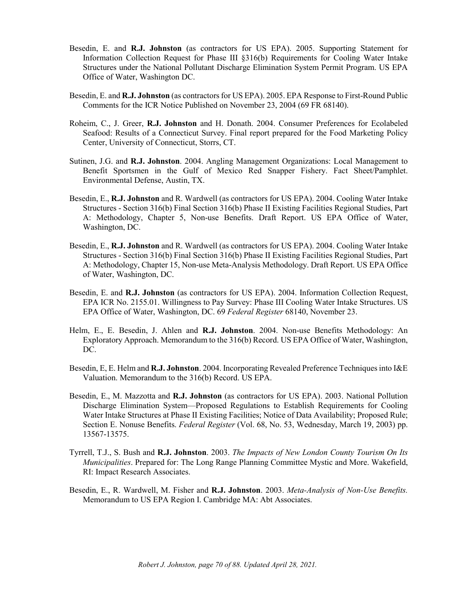- Besedin, E. and **R.J. Johnston** (as contractors for US EPA). 2005. Supporting Statement for Information Collection Request for Phase III §316(b) Requirements for Cooling Water Intake Structures under the National Pollutant Discharge Elimination System Permit Program. US EPA Office of Water, Washington DC.
- Besedin, E. and **R.J. Johnston** (as contractors for US EPA). 2005. EPA Response to First-Round Public Comments for the ICR Notice Published on November 23, 2004 (69 FR 68140).
- Roheim, C., J. Greer, **R.J. Johnston** and H. Donath. 2004. Consumer Preferences for Ecolabeled Seafood: Results of a Connecticut Survey. Final report prepared for the Food Marketing Policy Center, University of Connecticut, Storrs, CT.
- Sutinen, J.G. and **R.J. Johnston**. 2004. Angling Management Organizations: Local Management to Benefit Sportsmen in the Gulf of Mexico Red Snapper Fishery. Fact Sheet/Pamphlet. Environmental Defense, Austin, TX.
- Besedin, E., **R.J. Johnston** and R. Wardwell (as contractors for US EPA). 2004. Cooling Water Intake Structures - Section 316(b) Final Section 316(b) Phase II Existing Facilities Regional Studies, Part A: Methodology, Chapter 5, Non-use Benefits. Draft Report. US EPA Office of Water, Washington, DC.
- Besedin, E., **R.J. Johnston** and R. Wardwell (as contractors for US EPA). 2004. Cooling Water Intake Structures - Section 316(b) Final Section 316(b) Phase II Existing Facilities Regional Studies, Part A: Methodology, Chapter 15, Non-use Meta-Analysis Methodology. Draft Report. US EPA Office of Water, Washington, DC.
- Besedin, E. and **R.J. Johnston** (as contractors for US EPA). 2004. Information Collection Request, EPA ICR No. 2155.01. Willingness to Pay Survey: Phase III Cooling Water Intake Structures. US EPA Office of Water, Washington, DC. 69 *Federal Register* 68140, November 23.
- Helm, E., E. Besedin, J. Ahlen and **R.J. Johnston**. 2004. Non-use Benefits Methodology: An Exploratory Approach. Memorandum to the 316(b) Record. US EPA Office of Water, Washington, DC.
- Besedin, E, E. Helm and **R.J. Johnston**. 2004. Incorporating Revealed Preference Techniques into I&E Valuation. Memorandum to the 316(b) Record. US EPA.
- Besedin, E., M. Mazzotta and **R.J. Johnston** (as contractors for US EPA). 2003. National Pollution Discharge Elimination System—Proposed Regulations to Establish Requirements for Cooling Water Intake Structures at Phase II Existing Facilities; Notice of Data Availability; Proposed Rule; Section E. Nonuse Benefits. *Federal Register* (Vol. 68, No. 53, Wednesday, March 19, 2003) pp. 13567-13575.
- Tyrrell, T.J., S. Bush and **R.J. Johnston**. 2003. *The Impacts of New London County Tourism On Its Municipalities*. Prepared for: The Long Range Planning Committee Mystic and More. Wakefield, RI: Impact Research Associates.
- Besedin, E., R. Wardwell, M. Fisher and **R.J. Johnston**. 2003. *Meta-Analysis of Non-Use Benefits.* Memorandum to US EPA Region I. Cambridge MA: Abt Associates.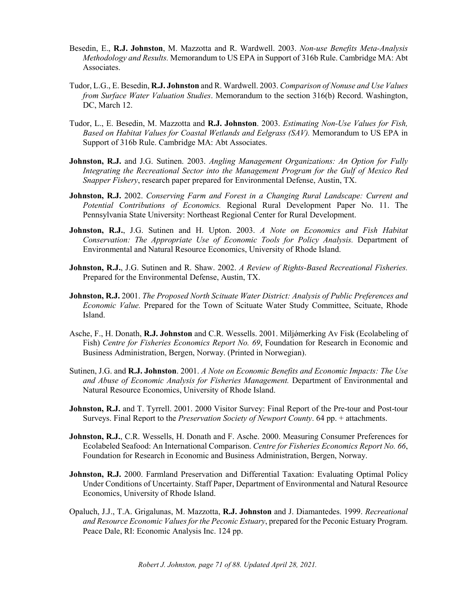- Besedin, E., **R.J. Johnston**, M. Mazzotta and R. Wardwell. 2003. *Non-use Benefits Meta-Analysis Methodology and Results.* Memorandum to US EPA in Support of 316b Rule. Cambridge MA: Abt Associates.
- Tudor, L.G., E. Besedin, **R.J. Johnston** and R. Wardwell. 2003. *Comparison of Nonuse and Use Values from Surface Water Valuation Studies*. Memorandum to the section 316(b) Record. Washington, DC, March 12.
- Tudor, L., E. Besedin, M. Mazzotta and **R.J. Johnston**. 2003. *Estimating Non-Use Values for Fish, Based on Habitat Values for Coastal Wetlands and Eelgrass (SAV).* Memorandum to US EPA in Support of 316b Rule. Cambridge MA: Abt Associates.
- **Johnston, R.J.** and J.G. Sutinen. 2003. *Angling Management Organizations: An Option for Fully Integrating the Recreational Sector into the Management Program for the Gulf of Mexico Red Snapper Fishery*, research paper prepared for Environmental Defense, Austin, TX.
- **Johnston, R.J.** 2002. *Conserving Farm and Forest in a Changing Rural Landscape: Current and Potential Contributions of Economics.* Regional Rural Development Paper No. 11. The Pennsylvania State University: Northeast Regional Center for Rural Development.
- **Johnston, R.J.**, J.G. Sutinen and H. Upton. 2003. *A Note on Economics and Fish Habitat Conservation: The Appropriate Use of Economic Tools for Policy Analysis.* Department of Environmental and Natural Resource Economics, University of Rhode Island.
- **Johnston, R.J.**, J.G. Sutinen and R. Shaw. 2002. *A Review of Rights-Based Recreational Fisheries.* Prepared for the Environmental Defense, Austin, TX.
- **Johnston, R.J.** 2001. *The Proposed North Scituate Water District: Analysis of Public Preferences and Economic Value.* Prepared for the Town of Scituate Water Study Committee, Scituate, Rhode Island.
- Asche, F., H. Donath, **R.J. Johnston** and C.R. Wessells. 2001. Miljǿmerking Av Fisk (Ecolabeling of Fish) *Centre for Fisheries Economics Report No. 69*, Foundation for Research in Economic and Business Administration, Bergen, Norway. (Printed in Norwegian).
- Sutinen, J.G. and **R.J. Johnston**. 2001. *A Note on Economic Benefits and Economic Impacts: The Use and Abuse of Economic Analysis for Fisheries Management.* Department of Environmental and Natural Resource Economics, University of Rhode Island.
- **Johnston, R.J.** and T. Tyrrell. 2001. 2000 Visitor Survey: Final Report of the Pre-tour and Post-tour Surveys. Final Report to the *Preservation Society of Newport County*. 64 pp. + attachments.
- **Johnston, R.J.,** C.R. Wessells, H. Donath and F. Asche. 2000. Measuring Consumer Preferences for Ecolabeled Seafood: An International Comparison. *Centre for Fisheries Economics Report No. 66*, Foundation for Research in Economic and Business Administration, Bergen, Norway.
- **Johnston, R.J.** 2000. Farmland Preservation and Differential Taxation: Evaluating Optimal Policy Under Conditions of Uncertainty. Staff Paper, Department of Environmental and Natural Resource Economics, University of Rhode Island.
- Opaluch, J.J., T.A. Grigalunas, M. Mazzotta, **R.J. Johnston** and J. Diamantedes. 1999. *Recreational and Resource Economic Values for the Peconic Estuary*, prepared for the Peconic Estuary Program. Peace Dale, RI: Economic Analysis Inc. 124 pp.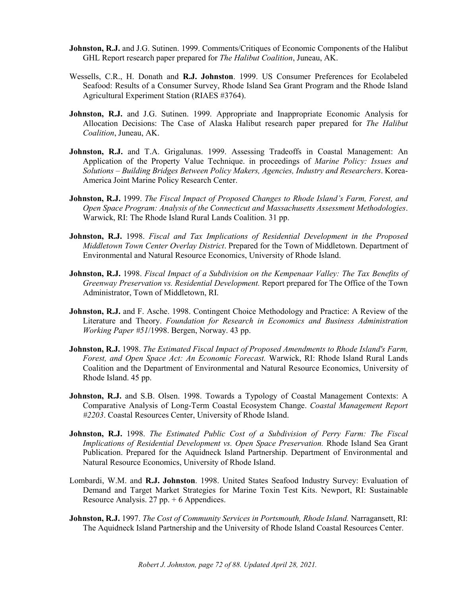- **Johnston, R.J.** and J.G. Sutinen. 1999. Comments/Critiques of Economic Components of the Halibut GHL Report research paper prepared for *The Halibut Coalition*, Juneau, AK.
- Wessells, C.R., H. Donath and **R.J. Johnston**. 1999. US Consumer Preferences for Ecolabeled Seafood: Results of a Consumer Survey, Rhode Island Sea Grant Program and the Rhode Island Agricultural Experiment Station (RIAES #3764).
- **Johnston, R.J.** and J.G. Sutinen. 1999. Appropriate and Inappropriate Economic Analysis for Allocation Decisions: The Case of Alaska Halibut research paper prepared for *The Halibut Coalition*, Juneau, AK.
- Johnston, R.J. and T.A. Grigalunas. 1999. Assessing Tradeoffs in Coastal Management: An Application of the Property Value Technique. in proceedings of *Marine Policy: Issues and Solutions* – *Building Bridges Between Policy Makers, Agencies, Industry and Researchers*. Korea-America Joint Marine Policy Research Center.
- **Johnston, R.J.** 1999. *The Fiscal Impact of Proposed Changes to Rhode Island's Farm, Forest, and Open Space Program: Analysis of the Connecticut and Massachusetts Assessment Methodologies*. Warwick, RI: The Rhode Island Rural Lands Coalition. 31 pp.
- **Johnston, R.J.** 1998. *Fiscal and Tax Implications of Residential Development in the Proposed Middletown Town Center Overlay District*. Prepared for the Town of Middletown. Department of Environmental and Natural Resource Economics, University of Rhode Island.
- **Johnston, R.J.** 1998. *Fiscal Impact of a Subdivision on the Kempenaar Valley: The Tax Benefits of Greenway Preservation vs. Residential Development.* Report prepared for The Office of the Town Administrator, Town of Middletown, RI.
- **Johnston, R.J.** and F. Asche. 1998. Contingent Choice Methodology and Practice: A Review of the Literature and Theory. *Foundation for Research in Economics and Business Administration Working Paper #51*/1998. Bergen, Norway. 43 pp.
- **Johnston, R.J.** 1998. *The Estimated Fiscal Impact of Proposed Amendments to Rhode Island's Farm, Forest, and Open Space Act: An Economic Forecast.* Warwick, RI: Rhode Island Rural Lands Coalition and the Department of Environmental and Natural Resource Economics, University of Rhode Island. 45 pp.
- **Johnston, R.J.** and S.B. Olsen. 1998. Towards a Typology of Coastal Management Contexts: A Comparative Analysis of Long-Term Coastal Ecosystem Change. *Coastal Management Report #2203*. Coastal Resources Center, University of Rhode Island.
- **Johnston, R.J.** 1998. *The Estimated Public Cost of a Subdivision of Perry Farm: The Fiscal Implications of Residential Development vs. Open Space Preservation.* Rhode Island Sea Grant Publication. Prepared for the Aquidneck Island Partnership. Department of Environmental and Natural Resource Economics, University of Rhode Island.
- Lombardi, W.M. and **R.J. Johnston**. 1998. United States Seafood Industry Survey: Evaluation of Demand and Target Market Strategies for Marine Toxin Test Kits. Newport, RI: Sustainable Resource Analysis.  $27$  pp.  $+ 6$  Appendices.
- **Johnston, R.J.** 1997. *The Cost of Community Services in Portsmouth, Rhode Island.* Narragansett, RI: The Aquidneck Island Partnership and the University of Rhode Island Coastal Resources Center.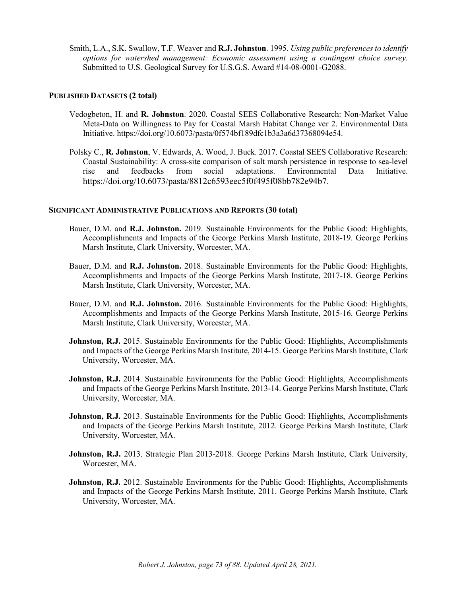Smith, L.A., S.K. Swallow, T.F. Weaver and **R.J. Johnston**. 1995. *Using public preferences to identify options for watershed management: Economic assessment using a contingent choice survey.* Submitted to U.S. Geological Survey for U.S.G.S. Award #14-08-0001-G2088.

### **PUBLISHED DATASETS (2 total)**

- Vedogbeton, H. and **R. Johnston**. 2020. Coastal SEES Collaborative Research: Non-Market Value Meta-Data on Willingness to Pay for Coastal Marsh Habitat Change ver 2. Environmental Data Initiative. https://doi.org/10.6073/pasta/0f574bf189dfc1b3a3a6d37368094e54.
- Polsky C., **R. Johnston**, V. Edwards, A. Wood, J. Buck. 2017. Coastal SEES Collaborative Research: Coastal Sustainability: A cross-site comparison of salt marsh persistence in response to sea-level rise and feedbacks from social adaptations. Environmental Data Initiative. [https://doi.org/10.6073/pasta/8812c6593eec5f0f495f08bb782e94b7.](https://doi.org/10.6073/pasta/8812c6593eec5f0f495f08bb782e94b7)

### **SIGNIFICANT ADMINISTRATIVE PUBLICATIONS AND REPORTS (30 total)**

- Bauer, D.M. and **R.J. Johnston.** 2019. Sustainable Environments for the Public Good: Highlights, Accomplishments and Impacts of the George Perkins Marsh Institute, 2018-19. George Perkins Marsh Institute, Clark University, Worcester, MA.
- Bauer, D.M. and **R.J. Johnston.** 2018. Sustainable Environments for the Public Good: Highlights, Accomplishments and Impacts of the George Perkins Marsh Institute, 2017-18. George Perkins Marsh Institute, Clark University, Worcester, MA.
- Bauer, D.M. and **R.J. Johnston.** 2016. Sustainable Environments for the Public Good: Highlights, Accomplishments and Impacts of the George Perkins Marsh Institute, 2015-16. George Perkins Marsh Institute, Clark University, Worcester, MA.
- **Johnston, R.J.** 2015. Sustainable Environments for the Public Good: Highlights, Accomplishments and Impacts of the George Perkins Marsh Institute, 2014-15. George Perkins Marsh Institute, Clark University, Worcester, MA.
- **Johnston, R.J.** 2014. Sustainable Environments for the Public Good: Highlights, Accomplishments and Impacts of the George Perkins Marsh Institute, 2013-14. George Perkins Marsh Institute, Clark University, Worcester, MA.
- **Johnston, R.J.** 2013. Sustainable Environments for the Public Good: Highlights, Accomplishments and Impacts of the George Perkins Marsh Institute, 2012. George Perkins Marsh Institute, Clark University, Worcester, MA.
- **Johnston, R.J.** 2013. Strategic Plan 2013-2018. George Perkins Marsh Institute, Clark University, Worcester, MA.
- **Johnston, R.J.** 2012. Sustainable Environments for the Public Good: Highlights, Accomplishments and Impacts of the George Perkins Marsh Institute, 2011. George Perkins Marsh Institute, Clark University, Worcester, MA.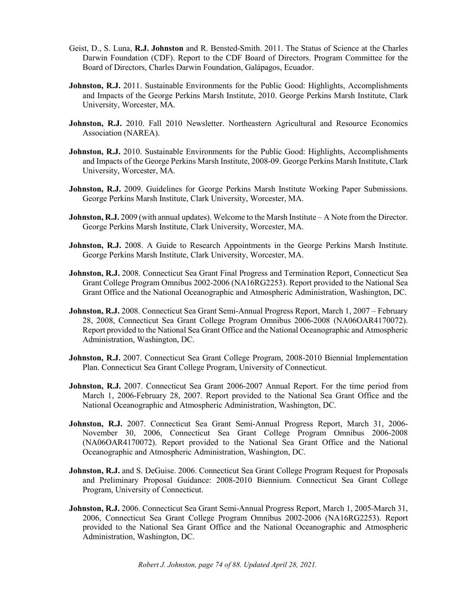- Geist, D., S. Luna, **R.J. Johnston** and R. Bensted-Smith. 2011. The Status of Science at the Charles Darwin Foundation (CDF). Report to the CDF Board of Directors. Program Committee for the Board of Directors, Charles Darwin Foundation, Galápagos, Ecuador.
- **Johnston, R.J.** 2011. Sustainable Environments for the Public Good: Highlights, Accomplishments and Impacts of the George Perkins Marsh Institute, 2010. George Perkins Marsh Institute, Clark University, Worcester, MA.
- **Johnston, R.J.** 2010. Fall 2010 Newsletter. Northeastern Agricultural and Resource Economics Association (NAREA).
- **Johnston, R.J.** 2010. Sustainable Environments for the Public Good: Highlights, Accomplishments and Impacts of the George Perkins Marsh Institute, 2008-09. George Perkins Marsh Institute, Clark University, Worcester, MA.
- **Johnston, R.J.** 2009. Guidelines for George Perkins Marsh Institute Working Paper Submissions. George Perkins Marsh Institute, Clark University, Worcester, MA.
- **Johnston, R.J.** 2009 (with annual updates). Welcome to the Marsh Institute A Note from the Director. George Perkins Marsh Institute, Clark University, Worcester, MA.
- Johnston, R.J. 2008. A Guide to Research Appointments in the George Perkins Marsh Institute. George Perkins Marsh Institute, Clark University, Worcester, MA.
- **Johnston, R.J.** 2008. Connecticut Sea Grant Final Progress and Termination Report, Connecticut Sea Grant College Program Omnibus 2002-2006 (NA16RG2253). Report provided to the National Sea Grant Office and the National Oceanographic and Atmospheric Administration, Washington, DC.
- **Johnston, R.J.** 2008. Connecticut Sea Grant Semi-Annual Progress Report, March 1, 2007 February 28, 2008, Connecticut Sea Grant College Program Omnibus 2006-2008 (NA06OAR4170072). Report provided to the National Sea Grant Office and the National Oceanographic and Atmospheric Administration, Washington, DC.
- **Johnston, R.J.** 2007. Connecticut Sea Grant College Program, 2008-2010 Biennial Implementation Plan. Connecticut Sea Grant College Program, University of Connecticut.
- **Johnston, R.J.** 2007. Connecticut Sea Grant 2006-2007 Annual Report. For the time period from March 1, 2006-February 28, 2007. Report provided to the National Sea Grant Office and the National Oceanographic and Atmospheric Administration, Washington, DC.
- **Johnston, R.J.** 2007. Connecticut Sea Grant Semi-Annual Progress Report, March 31, 2006- November 30, 2006, Connecticut Sea Grant College Program Omnibus 2006-2008 (NA06OAR4170072). Report provided to the National Sea Grant Office and the National Oceanographic and Atmospheric Administration, Washington, DC.
- **Johnston, R.J.** and S. DeGuise. 2006. Connecticut Sea Grant College Program Request for Proposals and Preliminary Proposal Guidance: 2008-2010 Biennium. Connecticut Sea Grant College Program, University of Connecticut.
- **Johnston, R.J.** 2006. Connecticut Sea Grant Semi-Annual Progress Report, March 1, 2005-March 31, 2006, Connecticut Sea Grant College Program Omnibus 2002-2006 (NA16RG2253). Report provided to the National Sea Grant Office and the National Oceanographic and Atmospheric Administration, Washington, DC.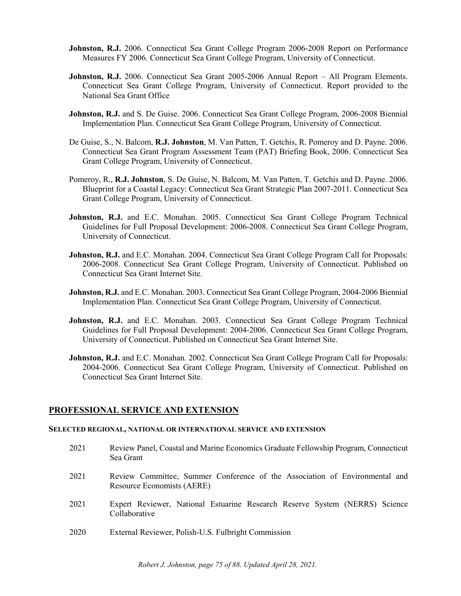- **Johnston, R.J.** 2006. Connecticut Sea Grant College Program 2006-2008 Report on Performance Measures FY 2006. Connecticut Sea Grant College Program, University of Connecticut.
- **Johnston, R.J.** 2006. Connecticut Sea Grant 2005-2006 Annual Report All Program Elements. Connecticut Sea Grant College Program, University of Connecticut. Report provided to the National Sea Grant Office
- **Johnston, R.J.** and S. De Guise. 2006. Connecticut Sea Grant College Program, 2006-2008 Biennial Implementation Plan. Connecticut Sea Grant College Program, University of Connecticut.
- De Guise, S., N. Balcom, **R.J. Johnston**, M. Van Patten, T. Getchis, R. Pomeroy and D. Payne. 2006. Connecticut Sea Grant Program Assessment Team (PAT) Briefing Book, 2006. Connecticut Sea Grant College Program, University of Connecticut.
- Pomeroy, R., **R.J. Johnston**, S. De Guise, N. Balcom, M. Van Patten, T. Getchis and D. Payne. 2006. Blueprint for a Coastal Legacy: Connecticut Sea Grant Strategic Plan 2007-2011. Connecticut Sea Grant College Program, University of Connecticut.
- **Johnston, R.J.** and E.C. Monahan. 2005. Connecticut Sea Grant College Program Technical Guidelines for Full Proposal Development: 2006-2008. Connecticut Sea Grant College Program, University of Connecticut.
- **Johnston, R.J.** and E.C. Monahan. 2004. Connecticut Sea Grant College Program Call for Proposals: 2006-2008. Connecticut Sea Grant College Program, University of Connecticut. Published on Connecticut Sea Grant Internet Site.
- **Johnston, R.J.** and E.C. Monahan. 2003. Connecticut Sea Grant College Program, 2004-2006 Biennial Implementation Plan. Connecticut Sea Grant College Program, University of Connecticut.
- **Johnston, R.J.** and E.C. Monahan. 2003. Connecticut Sea Grant College Program Technical Guidelines for Full Proposal Development: 2004-2006. Connecticut Sea Grant College Program, University of Connecticut. Published on Connecticut Sea Grant Internet Site.
- **Johnston, R.J.** and E.C. Monahan. 2002. Connecticut Sea Grant College Program Call for Proposals: 2004-2006. Connecticut Sea Grant College Program, University of Connecticut. Published on Connecticut Sea Grant Internet Site.

### **PROFESSIONAL SERVICE AND EXTENSION**

#### **SELECTED REGIONAL, NATIONAL OR INTERNATIONAL SERVICE AND EXTENSION**

- 2021 Review Panel, Coastal and Marine Economics Graduate Fellowship Program, Connecticut Sea Grant
- 2021 Review Committee, Summer Conference of the Association of Environmental and Resource Economists (AERE)
- 2021 Expert Reviewer, National Estuarine Research Reserve System (NERRS) Science Collaborative
- 2020 External Reviewer, Polish-U.S. Fulbright Commission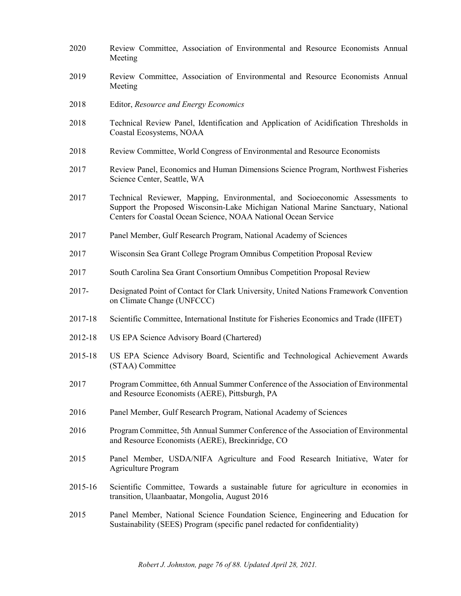- 2020 Review Committee, Association of Environmental and Resource Economists Annual Meeting 2019 Review Committee, Association of Environmental and Resource Economists Annual Meeting 2018 Editor, *Resource and Energy Economics* 2018 Technical Review Panel, Identification and Application of Acidification Thresholds in Coastal Ecosystems, NOAA 2018 Review Committee, World Congress of Environmental and Resource Economists 2017 Review Panel, Economics and Human Dimensions Science Program, Northwest Fisheries Science Center, Seattle, WA 2017 Technical Reviewer, Mapping, Environmental, and Socioeconomic Assessments to Support the Proposed Wisconsin-Lake Michigan National Marine Sanctuary, National Centers for Coastal Ocean Science, NOAA National Ocean Service 2017 Panel Member, Gulf Research Program, National Academy of Sciences 2017 Wisconsin Sea Grant College Program Omnibus Competition Proposal Review 2017 South Carolina Sea Grant Consortium Omnibus Competition Proposal Review 2017- Designated Point of Contact for Clark University, United Nations Framework Convention on Climate Change (UNFCCC) 2017-18 Scientific Committee, International Institute for Fisheries Economics and Trade (IIFET) 2012-18 US EPA Science Advisory Board (Chartered) 2015-18 US EPA Science Advisory Board, Scientific and Technological Achievement Awards (STAA) Committee 2017 Program Committee, 6th Annual Summer Conference of the Association of Environmental and Resource Economists (AERE), Pittsburgh, PA 2016 Panel Member, Gulf Research Program, National Academy of Sciences 2016 Program Committee, 5th Annual Summer Conference of the Association of Environmental and Resource Economists (AERE), Breckinridge, CO 2015 Panel Member, USDA/NIFA Agriculture and Food Research Initiative, Water for Agriculture Program 2015-16 Scientific Committee, Towards a sustainable future for agriculture in economies in transition, Ulaanbaatar, Mongolia, August 2016
- 2015 Panel Member, National Science Foundation Science, Engineering and Education for Sustainability (SEES) Program (specific panel redacted for confidentiality)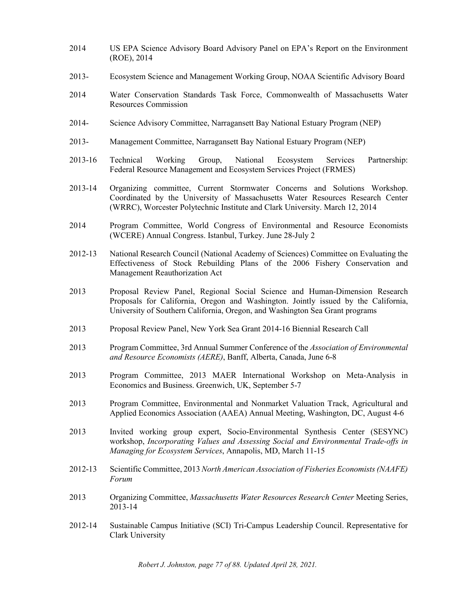- 2014 US EPA Science Advisory Board Advisory Panel on EPA's Report on the Environment (ROE), 2014
- 2013- Ecosystem Science and Management Working Group, NOAA Scientific Advisory Board
- 2014 Water Conservation Standards Task Force, Commonwealth of Massachusetts Water Resources Commission
- 2014- Science Advisory Committee, Narragansett Bay National Estuary Program (NEP)
- 2013- Management Committee, Narragansett Bay National Estuary Program (NEP)
- 2013-16 Technical Working Group, National Ecosystem Services Partnership: Federal Resource Management and Ecosystem Services Project (FRMES)
- 2013-14 Organizing committee, Current Stormwater Concerns and Solutions Workshop. Coordinated by the University of Massachusetts Water Resources Research Center (WRRC), Worcester Polytechnic Institute and Clark University. March 12, 2014
- 2014 Program Committee, World Congress of Environmental and Resource Economists (WCERE) Annual Congress. Istanbul, Turkey. June 28-July 2
- 2012-13 National Research Council (National Academy of Sciences) Committee on Evaluating the Effectiveness of Stock Rebuilding Plans of the 2006 Fishery Conservation and Management Reauthorization Act
- 2013 Proposal Review Panel, Regional Social Science and Human-Dimension Research Proposals for California, Oregon and Washington. Jointly issued by the California, University of Southern California, Oregon, and Washington Sea Grant programs
- 2013 Proposal Review Panel, New York Sea Grant 2014-16 Biennial Research Call
- 2013 Program Committee, 3rd Annual Summer Conference of the *Association of Environmental and Resource Economists (AERE)*, Banff, Alberta, Canada, June 6-8
- 2013 Program Committee, 2013 MAER International Workshop on Meta-Analysis in Economics and Business. Greenwich, UK, September 5-7
- 2013 Program Committee, Environmental and Nonmarket Valuation Track, Agricultural and Applied Economics Association (AAEA) Annual Meeting, Washington, DC, August 4-6
- 2013 Invited working group expert, Socio-Environmental Synthesis Center (SESYNC) workshop, *Incorporating Values and Assessing Social and Environmental Trade-offs in Managing for Ecosystem Services*, Annapolis, MD, March 11-15
- 2012-13 Scientific Committee, 2013 *North American Association of Fisheries Economists (NAAFE) Forum*
- 2013 Organizing Committee, *Massachusetts Water Resources Research Center* Meeting Series, 2013-14
- 2012-14 Sustainable Campus Initiative (SCI) Tri-Campus Leadership Council. Representative for Clark University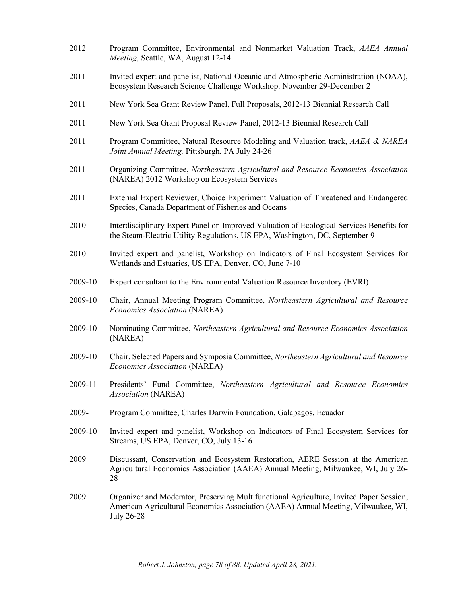- 2012 Program Committee, Environmental and Nonmarket Valuation Track, *AAEA Annual Meeting,* Seattle, WA, August 12-14
- 2011 Invited expert and panelist, National Oceanic and Atmospheric Administration (NOAA), Ecosystem Research Science Challenge Workshop. November 29-December 2
- 2011 New York Sea Grant Review Panel, Full Proposals, 2012-13 Biennial Research Call
- 2011 New York Sea Grant Proposal Review Panel, 2012-13 Biennial Research Call
- 2011 Program Committee, Natural Resource Modeling and Valuation track, *AAEA & NAREA Joint Annual Meeting,* Pittsburgh, PA July 24-26
- 2011 Organizing Committee, *Northeastern Agricultural and Resource Economics Association* (NAREA) 2012 Workshop on Ecosystem Services
- 2011 External Expert Reviewer, Choice Experiment Valuation of Threatened and Endangered Species, Canada Department of Fisheries and Oceans
- 2010 Interdisciplinary Expert Panel on Improved Valuation of Ecological Services Benefits for the Steam-Electric Utility Regulations, US EPA, Washington, DC, September 9
- 2010 Invited expert and panelist, Workshop on Indicators of Final Ecosystem Services for Wetlands and Estuaries, US EPA, Denver, CO, June 7-10
- 2009-10 Expert consultant to the Environmental Valuation Resource Inventory (EVRI)
- 2009-10 Chair, Annual Meeting Program Committee, *Northeastern Agricultural and Resource Economics Association* (NAREA)
- 2009-10 Nominating Committee, *Northeastern Agricultural and Resource Economics Association* (NAREA)
- 2009-10 Chair, Selected Papers and Symposia Committee, *Northeastern Agricultural and Resource Economics Association* (NAREA)
- 2009-11 Presidents' Fund Committee, *Northeastern Agricultural and Resource Economics Association* (NAREA)
- 2009- Program Committee, Charles Darwin Foundation, Galapagos, Ecuador
- 2009-10 Invited expert and panelist, Workshop on Indicators of Final Ecosystem Services for Streams, US EPA, Denver, CO, July 13-16
- 2009 Discussant, Conservation and Ecosystem Restoration, AERE Session at the American Agricultural Economics Association (AAEA) Annual Meeting, Milwaukee, WI, July 26- 28
- 2009 Organizer and Moderator, Preserving Multifunctional Agriculture, Invited Paper Session, American Agricultural Economics Association (AAEA) Annual Meeting, Milwaukee, WI, July 26-28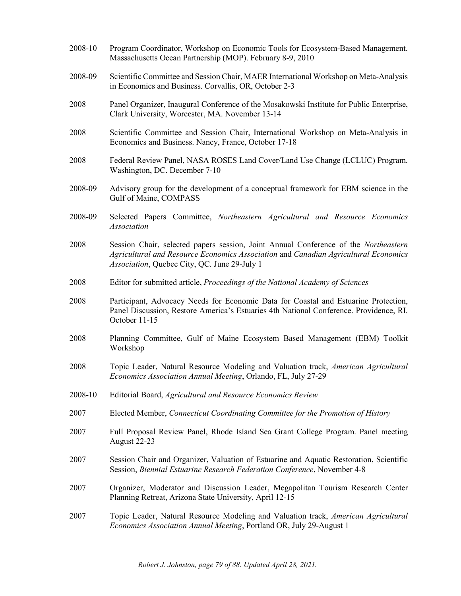2008-10 Program Coordinator, Workshop on Economic Tools for Ecosystem-Based Management. Massachusetts Ocean Partnership (MOP). February 8-9, 2010 2008-09 Scientific Committee and Session Chair, MAER International Workshop on Meta-Analysis in Economics and Business. Corvallis, OR, October 2-3 2008 Panel Organizer, Inaugural Conference of the Mosakowski Institute for Public Enterprise, Clark University, Worcester, MA. November 13-14 2008 Scientific Committee and Session Chair, International Workshop on Meta-Analysis in Economics and Business. Nancy, France, October 17-18 2008 Federal Review Panel, NASA ROSES Land Cover/Land Use Change (LCLUC) Program. Washington, DC. December 7-10 2008-09 Advisory group for the development of a conceptual framework for EBM science in the Gulf of Maine, COMPASS 2008-09 Selected Papers Committee, *Northeastern Agricultural and Resource Economics Association* 2008 Session Chair, selected papers session, Joint Annual Conference of the *Northeastern Agricultural and Resource Economics Association* and *Canadian Agricultural Economics Association*, Quebec City, QC. June 29-July 1 2008 Editor for submitted article, *Proceedings of the National Academy of Sciences* 2008 Participant, Advocacy Needs for Economic Data for Coastal and Estuarine Protection, Panel Discussion, Restore America's Estuaries 4th National Conference. Providence, RI. October 11-15 2008 Planning Committee, Gulf of Maine Ecosystem Based Management (EBM) Toolkit Workshop 2008 Topic Leader, Natural Resource Modeling and Valuation track, *American Agricultural Economics Association Annual Meeting*, Orlando, FL, July 27-29 2008-10 Editorial Board, *Agricultural and Resource Economics Review* 2007 Elected Member, *Connecticut Coordinating Committee for the Promotion of History* 2007 Full Proposal Review Panel, Rhode Island Sea Grant College Program. Panel meeting August 22-23 2007 Session Chair and Organizer, Valuation of Estuarine and Aquatic Restoration, Scientific Session, *Biennial Estuarine Research Federation Conference*, November 4-8 2007 Organizer, Moderator and Discussion Leader, Megapolitan Tourism Research Center Planning Retreat, Arizona State University, April 12-15 2007 Topic Leader, Natural Resource Modeling and Valuation track, *American Agricultural Economics Association Annual Meeting*, Portland OR, July 29-August 1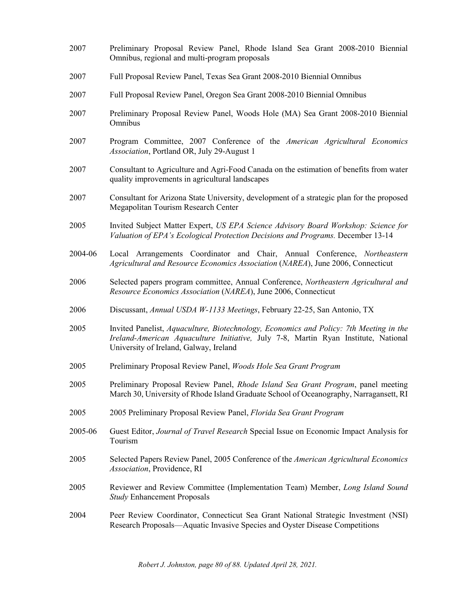- 2007 Preliminary Proposal Review Panel, Rhode Island Sea Grant 2008-2010 Biennial Omnibus, regional and multi-program proposals 2007 Full Proposal Review Panel, Texas Sea Grant 2008-2010 Biennial Omnibus 2007 Full Proposal Review Panel, Oregon Sea Grant 2008-2010 Biennial Omnibus 2007 Preliminary Proposal Review Panel, Woods Hole (MA) Sea Grant 2008-2010 Biennial Omnibus
- 2007 Program Committee, 2007 Conference of the *American Agricultural Economics Association*, Portland OR, July 29-August 1
- 2007 Consultant to Agriculture and Agri-Food Canada on the estimation of benefits from water quality improvements in agricultural landscapes
- 2007 Consultant for Arizona State University, development of a strategic plan for the proposed Megapolitan Tourism Research Center
- 2005 Invited Subject Matter Expert, *US EPA Science Advisory Board Workshop: Science for Valuation of EPA's Ecological Protection Decisions and Programs.* December 13-14
- 2004-06 Local Arrangements Coordinator and Chair, Annual Conference, *Northeastern Agricultural and Resource Economics Association* (*NAREA*), June 2006, Connecticut
- 2006 Selected papers program committee, Annual Conference, *Northeastern Agricultural and Resource Economics Association* (*NAREA*), June 2006, Connecticut
- 2006 Discussant, *Annual USDA W-1133 Meetings*, February 22-25, San Antonio, TX
- 2005 Invited Panelist, *Aquaculture, Biotechnology, Economics and Policy: 7th Meeting in the Ireland-American Aquaculture Initiative,* July 7-8, Martin Ryan Institute, National University of Ireland, Galway, Ireland
- 2005 Preliminary Proposal Review Panel, *Woods Hole Sea Grant Program*
- 2005 Preliminary Proposal Review Panel, *Rhode Island Sea Grant Program*, panel meeting March 30, University of Rhode Island Graduate School of Oceanography, Narragansett, RI
- 2005 2005 Preliminary Proposal Review Panel, *Florida Sea Grant Program*
- 2005-06 Guest Editor, *Journal of Travel Research* Special Issue on Economic Impact Analysis for Tourism
- 2005 Selected Papers Review Panel, 2005 Conference of the *American Agricultural Economics Association*, Providence, RI
- 2005 Reviewer and Review Committee (Implementation Team) Member, *Long Island Sound Study* Enhancement Proposals
- 2004 Peer Review Coordinator, Connecticut Sea Grant National Strategic Investment (NSI) Research Proposals—Aquatic Invasive Species and Oyster Disease Competitions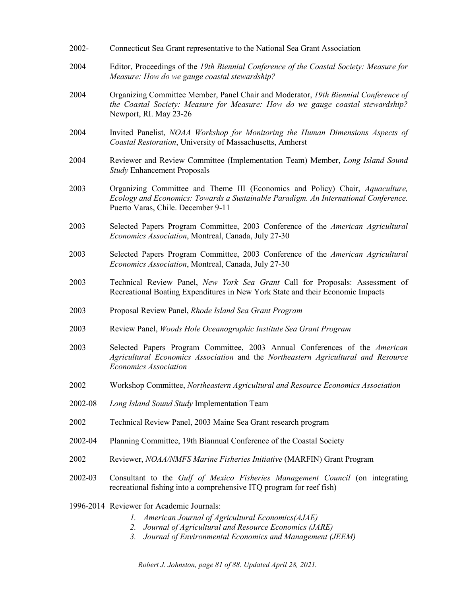| 2002-   | Connecticut Sea Grant representative to the National Sea Grant Association                                                                                                                                                           |
|---------|--------------------------------------------------------------------------------------------------------------------------------------------------------------------------------------------------------------------------------------|
| 2004    | Editor, Proceedings of the 19th Biennial Conference of the Coastal Society: Measure for<br>Measure: How do we gauge coastal stewardship?                                                                                             |
| 2004    | Organizing Committee Member, Panel Chair and Moderator, 19th Biennial Conference of<br>the Coastal Society: Measure for Measure: How do we gauge coastal stewardship?<br>Newport, RI. May 23-26                                      |
| 2004    | Invited Panelist, NOAA Workshop for Monitoring the Human Dimensions Aspects of<br>Coastal Restoration, University of Massachusetts, Amherst                                                                                          |
| 2004    | Reviewer and Review Committee (Implementation Team) Member, Long Island Sound<br><b>Study Enhancement Proposals</b>                                                                                                                  |
| 2003    | Organizing Committee and Theme III (Economics and Policy) Chair, <i>Aquaculture</i> ,<br>Ecology and Economics: Towards a Sustainable Paradigm. An International Conference.<br>Puerto Varas, Chile. December 9-11                   |
| 2003    | Selected Papers Program Committee, 2003 Conference of the American Agricultural<br>Economics Association, Montreal, Canada, July 27-30                                                                                               |
| 2003    | Selected Papers Program Committee, 2003 Conference of the American Agricultural<br>Economics Association, Montreal, Canada, July 27-30                                                                                               |
| 2003    | Technical Review Panel, New York Sea Grant Call for Proposals: Assessment of<br>Recreational Boating Expenditures in New York State and their Economic Impacts                                                                       |
| 2003    | Proposal Review Panel, Rhode Island Sea Grant Program                                                                                                                                                                                |
| 2003    | Review Panel, Woods Hole Oceanographic Institute Sea Grant Program                                                                                                                                                                   |
| 2003    | Selected Papers Program Committee, 2003 Annual Conferences of the American<br>Agricultural Economics Association and the Northeastern Agricultural and Resource<br><b>Economics Association</b>                                      |
| 2002    | Workshop Committee, Northeastern Agricultural and Resource Economics Association                                                                                                                                                     |
| 2002-08 | Long Island Sound Study Implementation Team                                                                                                                                                                                          |
| 2002    | Technical Review Panel, 2003 Maine Sea Grant research program                                                                                                                                                                        |
| 2002-04 | Planning Committee, 19th Biannual Conference of the Coastal Society                                                                                                                                                                  |
| 2002    | Reviewer, NOAA/NMFS Marine Fisheries Initiative (MARFIN) Grant Program                                                                                                                                                               |
| 2002-03 | Consultant to the Gulf of Mexico Fisheries Management Council (on integrating<br>recreational fishing into a comprehensive ITQ program for reef fish)                                                                                |
|         | 1996-2014 Reviewer for Academic Journals:<br>American Journal of Agricultural Economics(AJAE)<br>Ι.<br>Journal of Agricultural and Resource Economics (JARE)<br>2.<br>Journal of Environmental Economics and Management (JEEM)<br>3. |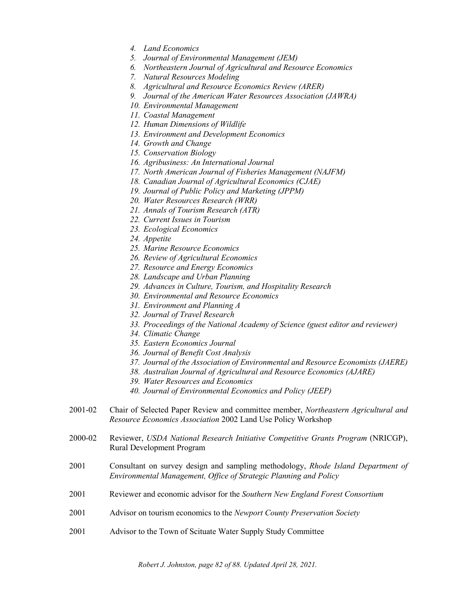- *4. Land Economics*
- *5. Journal of Environmental Management (JEM)*
- *6. Northeastern Journal of Agricultural and Resource Economics*
- *7. Natural Resources Modeling*
- *8. Agricultural and Resource Economics Review (ARER)*
- *9. Journal of the American Water Resources Association (JAWRA)*
- *10. Environmental Management*
- *11. Coastal Management*
- *12. Human Dimensions of Wildlife*
- *13. Environment and Development Economics*
- *14. Growth and Change*
- *15. Conservation Biology*
- *16. Agribusiness: An International Journal*
- *17. North American Journal of Fisheries Management (NAJFM)*
- *18. Canadian Journal of Agricultural Economics (CJAE)*
- *19. Journal of Public Policy and Marketing (JPPM)*
- *20. Water Resources Research (WRR)*
- *21. Annals of Tourism Research (ATR)*
- *22. Current Issues in Tourism*
- *23. Ecological Economics*
- *24. Appetite*
- *25. Marine Resource Economics*
- *26. Review of Agricultural Economics*
- *27. Resource and Energy Economics*
- *28. Landscape and Urban Planning*
- *29. Advances in Culture, Tourism, and Hospitality Research*
- *30. Environmental and Resource Economics*
- *31. Environment and Planning A*
- *32. Journal of Travel Research*
- *33. Proceedings of the National Academy of Science (guest editor and reviewer)*
- *34. Climatic Change*
- *35. Eastern Economics Journal*
- *36. Journal of Benefit Cost Analysis*
- *37. Journal of the Association of Environmental and Resource Economists (JAERE)*
- *38. Australian Journal of Agricultural and Resource Economics (AJARE)*
- *39. Water Resources and Economics*
- *40. Journal of Environmental Economics and Policy (JEEP)*
- 2001-02 Chair of Selected Paper Review and committee member, *Northeastern Agricultural and Resource Economics Association* 2002 Land Use Policy Workshop
- 2000-02 Reviewer, *USDA National Research Initiative Competitive Grants Program* (NRICGP), Rural Development Program
- 2001 Consultant on survey design and sampling methodology, *Rhode Island Department of Environmental Management, Office of Strategic Planning and Policy*
- 2001 Reviewer and economic advisor for the *Southern New England Forest Consortium*
- 2001 Advisor on tourism economics to the *Newport County Preservation Society*
- 2001 Advisor to the Town of Scituate Water Supply Study Committee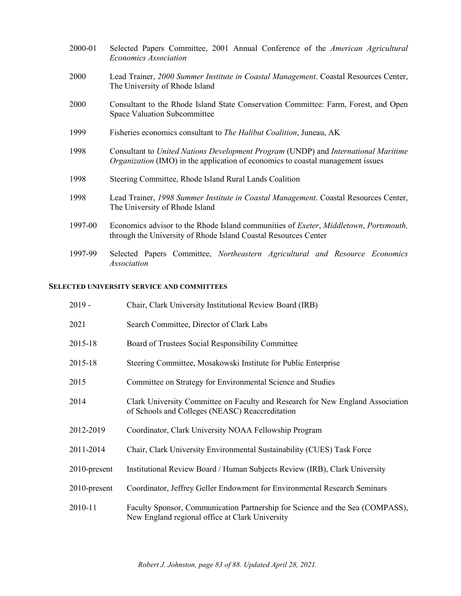| 2000-01 | Selected Papers Committee, 2001 Annual Conference of the American Agricultural<br><b>Economics Association</b>                                                        |
|---------|-----------------------------------------------------------------------------------------------------------------------------------------------------------------------|
| 2000    | Lead Trainer, 2000 Summer Institute in Coastal Management. Coastal Resources Center,<br>The University of Rhode Island                                                |
| 2000    | Consultant to the Rhode Island State Conservation Committee: Farm, Forest, and Open<br>Space Valuation Subcommittee                                                   |
| 1999    | Fisheries economics consultant to <i>The Halibut Coalition</i> , Juneau, AK                                                                                           |
| 1998    | Consultant to United Nations Development Program (UNDP) and International Maritime<br>Organization (IMO) in the application of economics to coastal management issues |
| 1998    | Steering Committee, Rhode Island Rural Lands Coalition                                                                                                                |
| 1998    | Lead Trainer, 1998 Summer Institute in Coastal Management. Coastal Resources Center,<br>The University of Rhode Island                                                |
| 1997-00 | Economics advisor to the Rhode Island communities of <i>Exeter, Middletown, Portsmouth,</i><br>through the University of Rhode Island Coastal Resources Center        |
| 1997-99 | Selected Papers Committee, Northeastern Agricultural and Resource Economics<br>Association                                                                            |

## **SELECTED UNIVERSITY SERVICE AND COMMITTEES**

| $2019 -$        | Chair, Clark University Institutional Review Board (IRB)                                                                          |
|-----------------|-----------------------------------------------------------------------------------------------------------------------------------|
| 2021            | Search Committee, Director of Clark Labs                                                                                          |
| 2015-18         | Board of Trustees Social Responsibility Committee                                                                                 |
| 2015-18         | Steering Committee, Mosakowski Institute for Public Enterprise                                                                    |
| 2015            | Committee on Strategy for Environmental Science and Studies                                                                       |
| 2014            | Clark University Committee on Faculty and Research for New England Association<br>of Schools and Colleges (NEASC) Reaccreditation |
| 2012-2019       | Coordinator, Clark University NOAA Fellowship Program                                                                             |
| 2011-2014       | Chair, Clark University Environmental Sustainability (CUES) Task Force                                                            |
| $2010$ -present | Institutional Review Board / Human Subjects Review (IRB), Clark University                                                        |
| $2010$ -present | Coordinator, Jeffrey Geller Endowment for Environmental Research Seminars                                                         |
| 2010-11         | Faculty Sponsor, Communication Partnership for Science and the Sea (COMPASS),<br>New England regional office at Clark University  |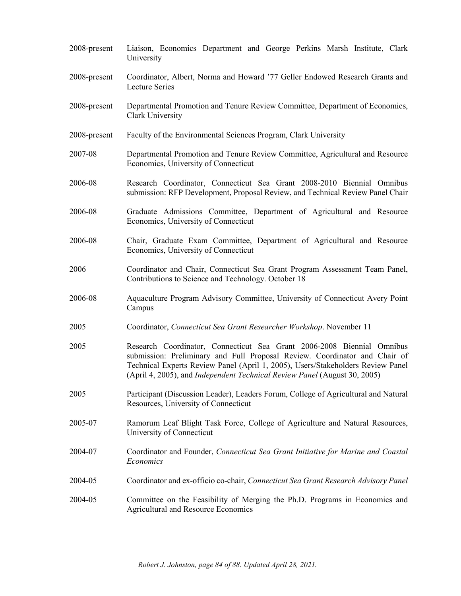| 2008-present | Liaison, Economics Department and George Perkins Marsh Institute, Clark<br>University                                                                                                                                                                                                                                |
|--------------|----------------------------------------------------------------------------------------------------------------------------------------------------------------------------------------------------------------------------------------------------------------------------------------------------------------------|
| 2008-present | Coordinator, Albert, Norma and Howard '77 Geller Endowed Research Grants and<br><b>Lecture Series</b>                                                                                                                                                                                                                |
| 2008-present | Departmental Promotion and Tenure Review Committee, Department of Economics,<br>Clark University                                                                                                                                                                                                                     |
| 2008-present | Faculty of the Environmental Sciences Program, Clark University                                                                                                                                                                                                                                                      |
| 2007-08      | Departmental Promotion and Tenure Review Committee, Agricultural and Resource<br>Economics, University of Connecticut                                                                                                                                                                                                |
| 2006-08      | Research Coordinator, Connecticut Sea Grant 2008-2010 Biennial Omnibus<br>submission: RFP Development, Proposal Review, and Technical Review Panel Chair                                                                                                                                                             |
| 2006-08      | Graduate Admissions Committee, Department of Agricultural and Resource<br>Economics, University of Connecticut                                                                                                                                                                                                       |
| 2006-08      | Chair, Graduate Exam Committee, Department of Agricultural and Resource<br>Economics, University of Connecticut                                                                                                                                                                                                      |
| 2006         | Coordinator and Chair, Connecticut Sea Grant Program Assessment Team Panel,<br>Contributions to Science and Technology. October 18                                                                                                                                                                                   |
| 2006-08      | Aquaculture Program Advisory Committee, University of Connecticut Avery Point<br>Campus                                                                                                                                                                                                                              |
| 2005         | Coordinator, Connecticut Sea Grant Researcher Workshop. November 11                                                                                                                                                                                                                                                  |
| 2005         | Research Coordinator, Connecticut Sea Grant 2006-2008 Biennial Omnibus<br>submission: Preliminary and Full Proposal Review. Coordinator and Chair of<br>Technical Experts Review Panel (April 1, 2005), Users/Stakeholders Review Panel<br>(April 4, 2005), and Independent Technical Review Panel (August 30, 2005) |
| 2005         | Participant (Discussion Leader), Leaders Forum, College of Agricultural and Natural<br>Resources, University of Connecticut                                                                                                                                                                                          |
| 2005-07      | Ramorum Leaf Blight Task Force, College of Agriculture and Natural Resources,<br>University of Connecticut                                                                                                                                                                                                           |
| 2004-07      | Coordinator and Founder, Connecticut Sea Grant Initiative for Marine and Coastal<br>Economics                                                                                                                                                                                                                        |
| 2004-05      | Coordinator and ex-officio co-chair, Connecticut Sea Grant Research Advisory Panel                                                                                                                                                                                                                                   |
| 2004-05      | Committee on the Feasibility of Merging the Ph.D. Programs in Economics and<br><b>Agricultural and Resource Economics</b>                                                                                                                                                                                            |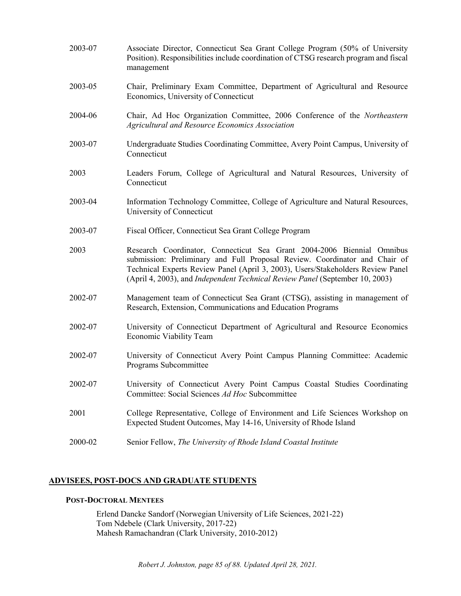| 2003-07 | Associate Director, Connecticut Sea Grant College Program (50% of University<br>Position). Responsibilities include coordination of CTSG research program and fiscal<br>management                                                                                                                                      |
|---------|-------------------------------------------------------------------------------------------------------------------------------------------------------------------------------------------------------------------------------------------------------------------------------------------------------------------------|
| 2003-05 | Chair, Preliminary Exam Committee, Department of Agricultural and Resource<br>Economics, University of Connecticut                                                                                                                                                                                                      |
| 2004-06 | Chair, Ad Hoc Organization Committee, 2006 Conference of the Northeastern<br>Agricultural and Resource Economics Association                                                                                                                                                                                            |
| 2003-07 | Undergraduate Studies Coordinating Committee, Avery Point Campus, University of<br>Connecticut                                                                                                                                                                                                                          |
| 2003    | Leaders Forum, College of Agricultural and Natural Resources, University of<br>Connecticut                                                                                                                                                                                                                              |
| 2003-04 | Information Technology Committee, College of Agriculture and Natural Resources,<br>University of Connecticut                                                                                                                                                                                                            |
| 2003-07 | Fiscal Officer, Connecticut Sea Grant College Program                                                                                                                                                                                                                                                                   |
| 2003    | Research Coordinator, Connecticut Sea Grant 2004-2006 Biennial Omnibus<br>submission: Preliminary and Full Proposal Review. Coordinator and Chair of<br>Technical Experts Review Panel (April 3, 2003), Users/Stakeholders Review Panel<br>(April 4, 2003), and Independent Technical Review Panel (September 10, 2003) |
| 2002-07 | Management team of Connecticut Sea Grant (CTSG), assisting in management of<br>Research, Extension, Communications and Education Programs                                                                                                                                                                               |
| 2002-07 | University of Connecticut Department of Agricultural and Resource Economics<br>Economic Viability Team                                                                                                                                                                                                                  |
| 2002-07 | University of Connecticut Avery Point Campus Planning Committee: Academic<br>Programs Subcommittee                                                                                                                                                                                                                      |
| 2002-07 | University of Connecticut Avery Point Campus Coastal Studies Coordinating<br>Committee: Social Sciences Ad Hoc Subcommittee                                                                                                                                                                                             |
| 2001    | College Representative, College of Environment and Life Sciences Workshop on<br>Expected Student Outcomes, May 14-16, University of Rhode Island                                                                                                                                                                        |
| 2000-02 | Senior Fellow, The University of Rhode Island Coastal Institute                                                                                                                                                                                                                                                         |

# **ADVISEES, POST-DOCS AND GRADUATE STUDENTS**

### **POST-DOCTORAL MENTEES**

Erlend Dancke Sandorf (Norwegian University of Life Sciences, 2021-22) Tom Ndebele (Clark University, 2017-22) Mahesh Ramachandran (Clark University, 2010-2012)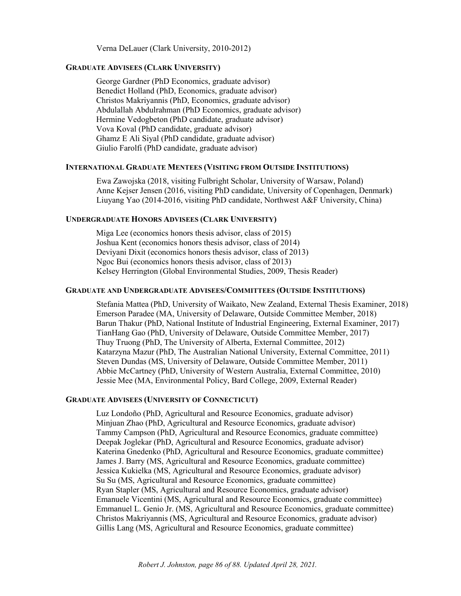Verna DeLauer (Clark University, 2010-2012)

#### **GRADUATE ADVISEES (CLARK UNIVERSITY)**

George Gardner (PhD Economics, graduate advisor) Benedict Holland (PhD, Economics, graduate advisor) Christos Makriyannis (PhD, Economics, graduate advisor) Abdulallah Abdulrahman (PhD Economics, graduate advisor) Hermine Vedogbeton (PhD candidate, graduate advisor) Vova Koval (PhD candidate, graduate advisor) Ghamz E Ali Siyal (PhD candidate, graduate advisor) Giulio Farolfi (PhD candidate, graduate advisor)

### **INTERNATIONAL GRADUATE MENTEES (VISITING FROM OUTSIDE INSTITUTIONS)**

Ewa Zawojska (2018, visiting Fulbright Scholar, University of Warsaw, Poland) Anne Kejser Jensen (2016, visiting PhD candidate, University of Copenhagen, Denmark) Liuyang Yao (2014-2016, visiting PhD candidate, Northwest A&F University, China)

### **UNDERGRADUATE HONORS ADVISEES (CLARK UNIVERSITY)**

Miga Lee (economics honors thesis advisor, class of 2015) Joshua Kent (economics honors thesis advisor, class of 2014) Deviyani Dixit (economics honors thesis advisor, class of 2013) Ngoc Bui (economics honors thesis advisor, class of 2013) Kelsey Herrington (Global Environmental Studies, 2009, Thesis Reader)

### **GRADUATE AND UNDERGRADUATE ADVISEES/COMMITTEES (OUTSIDE INSTITUTIONS)**

Stefania Mattea (PhD, University of Waikato, New Zealand, External Thesis Examiner, 2018) Emerson Paradee (MA, University of Delaware, Outside Committee Member, 2018) Barun Thakur (PhD, National Institute of Industrial Engineering, External Examiner, 2017) TianHang Gao (PhD, University of Delaware, Outside Committee Member, 2017) Thuy Truong (PhD, The University of Alberta, External Committee, 2012) Katarzyna Mazur (PhD, The Australian National University, External Committee, 2011) Steven Dundas (MS, University of Delaware, Outside Committee Member, 2011) Abbie McCartney (PhD, University of Western Australia, External Committee, 2010) Jessie Mee (MA, Environmental Policy, Bard College, 2009, External Reader)

### **GRADUATE ADVISEES (UNIVERSITY OF CONNECTICUT)**

Luz Londoño (PhD, Agricultural and Resource Economics, graduate advisor) Minjuan Zhao (PhD, Agricultural and Resource Economics, graduate advisor) Tammy Campson (PhD, Agricultural and Resource Economics, graduate committee) Deepak Joglekar (PhD, Agricultural and Resource Economics, graduate advisor) Katerina Gnedenko (PhD, Agricultural and Resource Economics, graduate committee) James J. Barry (MS, Agricultural and Resource Economics, graduate committee) Jessica Kukielka (MS, Agricultural and Resource Economics, graduate advisor) Su Su (MS, Agricultural and Resource Economics, graduate committee) Ryan Stapler (MS, Agricultural and Resource Economics, graduate advisor) Emanuele Vicentini (MS, Agricultural and Resource Economics, graduate committee) Emmanuel L. Genio Jr. (MS, Agricultural and Resource Economics, graduate committee) Christos Makriyannis (MS, Agricultural and Resource Economics, graduate advisor) Gillis Lang (MS, Agricultural and Resource Economics, graduate committee)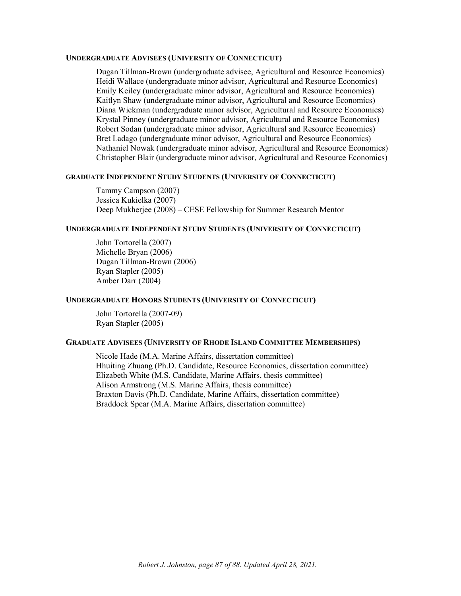### **UNDERGRADUATE ADVISEES (UNIVERSITY OF CONNECTICUT)**

Dugan Tillman-Brown (undergraduate advisee, Agricultural and Resource Economics) Heidi Wallace (undergraduate minor advisor, Agricultural and Resource Economics) Emily Keiley (undergraduate minor advisor, Agricultural and Resource Economics) Kaitlyn Shaw (undergraduate minor advisor, Agricultural and Resource Economics) Diana Wickman (undergraduate minor advisor, Agricultural and Resource Economics) Krystal Pinney (undergraduate minor advisor, Agricultural and Resource Economics) Robert Sodan (undergraduate minor advisor, Agricultural and Resource Economics) Bret Ladago (undergraduate minor advisor, Agricultural and Resource Economics) Nathaniel Nowak (undergraduate minor advisor, Agricultural and Resource Economics) Christopher Blair (undergraduate minor advisor, Agricultural and Resource Economics)

#### **GRADUATE INDEPENDENT STUDY STUDENTS (UNIVERSITY OF CONNECTICUT)**

Tammy Campson (2007) Jessica Kukielka (2007) Deep Mukherjee (2008) – CESE Fellowship for Summer Research Mentor

### **UNDERGRADUATE INDEPENDENT STUDY STUDENTS (UNIVERSITY OF CONNECTICUT)**

John Tortorella (2007) Michelle Bryan (2006) Dugan Tillman-Brown (2006) Ryan Stapler (2005) Amber Darr (2004)

### **UNDERGRADUATE HONORS STUDENTS (UNIVERSITY OF CONNECTICUT)**

John Tortorella (2007-09) Ryan Stapler (2005)

### **GRADUATE ADVISEES (UNIVERSITY OF RHODE ISLAND COMMITTEE MEMBERSHIPS)**

Nicole Hade (M.A. Marine Affairs, dissertation committee) Hhuiting Zhuang (Ph.D. Candidate, Resource Economics, dissertation committee) Elizabeth White (M.S. Candidate, Marine Affairs, thesis committee) Alison Armstrong (M.S. Marine Affairs, thesis committee) Braxton Davis (Ph.D. Candidate, Marine Affairs, dissertation committee) Braddock Spear (M.A. Marine Affairs, dissertation committee)